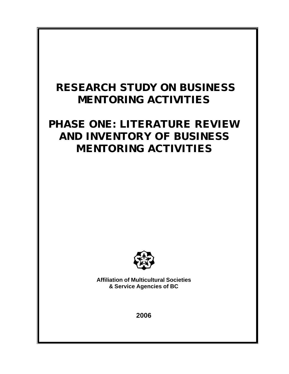# *RESEARCH STUDY ON BUSINESS MENTORING ACTIVITIES*

# **PHASE ONE: LITERATURE REVIEW AND INVENTORY OF BUSINESS MENTORING ACTIVITIES**



**Affiliation of Multicultural Societies & Service Agencies of BC**

**2006**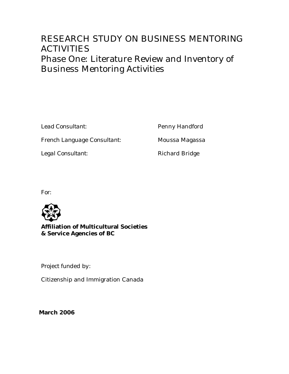# RESEARCH STUDY ON BUSINESS MENTORING **ACTIVITIES** Phase One: Literature Review and Inventory of Business Mentoring Activities

*Lead Consultant:* Penny Handford *French Language Consultant:* Moussa Magassa Legal Consultant: **Richard Bridge** 

*For:*



**Affiliation of Multicultural Societies & Service Agencies of BC**

*Project funded by:*

Citizenship and Immigration Canada

**March 2006**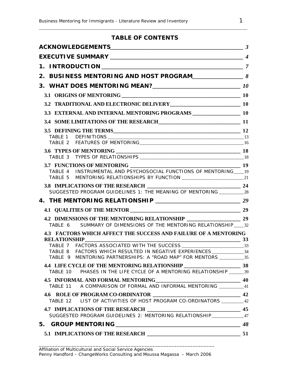| <b>TABLE OF CONTENTS</b>                                                                                                                                           |  |  |
|--------------------------------------------------------------------------------------------------------------------------------------------------------------------|--|--|
|                                                                                                                                                                    |  |  |
|                                                                                                                                                                    |  |  |
|                                                                                                                                                                    |  |  |
| 2 <sub>1</sub>                                                                                                                                                     |  |  |
| 3. WHAT DOES MENTORING MEAN? $\frac{10}{10}$                                                                                                                       |  |  |
|                                                                                                                                                                    |  |  |
|                                                                                                                                                                    |  |  |
|                                                                                                                                                                    |  |  |
|                                                                                                                                                                    |  |  |
|                                                                                                                                                                    |  |  |
|                                                                                                                                                                    |  |  |
|                                                                                                                                                                    |  |  |
|                                                                                                                                                                    |  |  |
| TABLE 4 INSTRUMENTAL AND PSYCHOSOCIAL FUNCTIONS OF MENTORING____ 19<br>TABLE 5 MENTORING RELATIONSHIPS BY FUNCTION ___________________________________21           |  |  |
|                                                                                                                                                                    |  |  |
| SUGGESTED PROGRAM GUIDELINES 1: THE MEANING OF MENTORING __________ 28                                                                                             |  |  |
|                                                                                                                                                                    |  |  |
| 4.2 DIMENSIONS OF THE MENTORING RELATIONSHIP ______________________ 29                                                                                             |  |  |
| SUMMARY OF DIMENSIONS OF THE MENTORING RELATIONSHIP ____ 32<br>TABLE 6                                                                                             |  |  |
| <b>4.3 FACTORS WHICH AFFECT THE SUCCESS AND FAILURE OF A MENTORING</b><br><b>RELATIONSHIP</b>                                                                      |  |  |
| TABLE 7 FACTORS ASSOCIATED WITH THE SUCCESS _______________________________33<br>TABLE 8 FACTORS WHICH RESULTED IN NEGATIVE EXPERIENCES __________________________ |  |  |
| TABLE 9 MENTORING PARTNERSHIPS: A "ROAD MAP" FOR MENTORS __________35                                                                                              |  |  |
|                                                                                                                                                                    |  |  |
| TABLE 10 PHASES IN THE LIFE CYCLE OF A MENTORING RELATIONSHIP ______ 39                                                                                            |  |  |
| 4.5 INFORMAL AND FORMAL MENTORING<br>TABLE 11 A COMPARISON OF FORMAL AND INFORMAL MENTORING<br>41                                                                  |  |  |
|                                                                                                                                                                    |  |  |
| TABLE 12 LIST OF ACTIVITIES OF HOST PROGRAM CO-ORDINATORS _________ 42                                                                                             |  |  |
| SUGGESTED PROGRAM GUIDELINES 2: MENTORING RELATIONSHIP_____________47                                                                                              |  |  |
| 5. GROUP MENTORING 48                                                                                                                                              |  |  |
|                                                                                                                                                                    |  |  |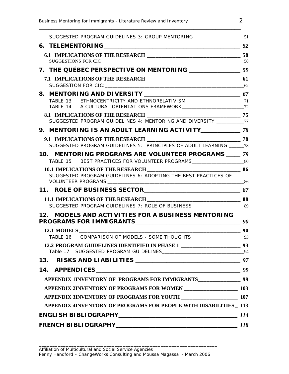**\_\_\_\_\_\_\_\_\_\_\_\_\_\_\_\_\_\_\_\_\_\_\_\_\_\_\_\_\_\_\_\_\_\_\_\_\_\_\_\_\_\_\_\_\_\_\_\_\_\_\_\_\_\_\_\_\_\_\_\_\_\_\_\_**

| SUGGESTED PROGRAM GUIDELINES 3: GROUP MENTORING ____________________51                                                                               |     |
|------------------------------------------------------------------------------------------------------------------------------------------------------|-----|
|                                                                                                                                                      |     |
|                                                                                                                                                      |     |
|                                                                                                                                                      |     |
|                                                                                                                                                      |     |
|                                                                                                                                                      |     |
|                                                                                                                                                      |     |
| TABLE 13 ETHNOCENTRICITY AND ETHNORELATIVISM _________________________71<br>TABLE 14 A CULTURAL ORIENTATIONS FRAMEWORK____________________________72 |     |
|                                                                                                                                                      |     |
| SUGGESTED PROGRAM GUIDELINES 4: MENTORING AND DIVERSITY __________77                                                                                 |     |
|                                                                                                                                                      |     |
|                                                                                                                                                      |     |
| SUGGESTED PROGRAM GUIDELINES 5: PRINCIPLES OF ADULT LEARNING ______ 78                                                                               |     |
| 10. MENTORING PROGRAMS ARE VOLUNTEER PROGRAMS ____ 79                                                                                                |     |
| TABLE 15 BEST PRACTICES FOR VOLUNTEER PROGRAMS______________________80                                                                               |     |
| SUGGESTED PROGRAM GUIDELINES 6: ADOPTING THE BEST PRACTICES OF                                                                                       |     |
|                                                                                                                                                      |     |
|                                                                                                                                                      |     |
| SUGGESTED PROGRAM GUIDELINES 7: ROLE OF BUSINESS____________________89                                                                               |     |
| 12. MODELS AND ACTIVITIES FOR A BUSINESS MENTORING                                                                                                   |     |
|                                                                                                                                                      |     |
| TABLE 16 COMPARISON OF MODELS - SOME THOUGHTS ________________________93                                                                             |     |
|                                                                                                                                                      |     |
| Table 17 SUGGESTED PROGRAM GUIDELINES___________________________________94                                                                           |     |
|                                                                                                                                                      |     |
|                                                                                                                                                      |     |
| APPENDIX 1INVENTORY OF PROGRAMS FOR IMMIGRANTS__________________ 99                                                                                  |     |
| APPENDIX 2INVENTORY OF PROGRAMS FOR WOMEN _________________________ 103                                                                              |     |
|                                                                                                                                                      |     |
| <b>APPENDIX 4INVENTORY OF PROGRAMS FOR PEOPLE WITH DISABILITIES 113</b>                                                                              |     |
|                                                                                                                                                      |     |
| <b>FRENCH BIBLIOGRAPHY</b>                                                                                                                           | 118 |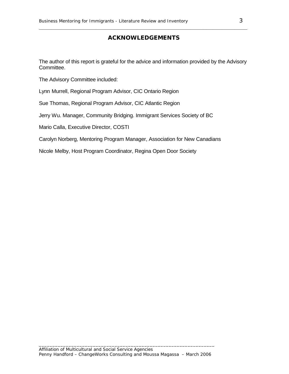## **ACKNOWLEDGEMENTS**

**\_\_\_\_\_\_\_\_\_\_\_\_\_\_\_\_\_\_\_\_\_\_\_\_\_\_\_\_\_\_\_\_\_\_\_\_\_\_\_\_\_\_\_\_\_\_\_\_\_\_\_\_\_\_\_\_\_\_\_\_\_\_\_\_\_\_**

The author of this report is grateful for the advice and information provided by the Advisory Committee.

The Advisory Committee included:

Lynn Murrell, Regional Program Advisor, CIC Ontario Region

Sue Thomas, Regional Program Advisor, CIC Atlantic Region

Jerry Wu. Manager, Community Bridging. Immigrant Services Society of BC

Mario Calla, Executive Director, COSTI

Carolyn Norberg, Mentoring Program Manager, Association for New Canadians

Nicole Melby, Host Program Coordinator, Regina Open Door Society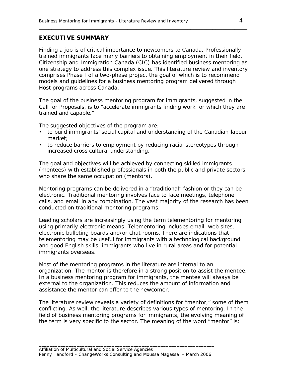## **EXECUTIVE SUMMARY**

Finding a job is of critical importance to newcomers to Canada. Professionally trained immigrants face many barriers to obtaining employment in their field. Citizenship and Immigration Canada (CIC) has identified business mentoring as one strategy to address this complex issue. This literature review and inventory comprises Phase I of a two-phase project the goal of which is to recommend models and guidelines for a business mentoring program delivered through Host programs across Canada.

**\_\_\_\_\_\_\_\_\_\_\_\_\_\_\_\_\_\_\_\_\_\_\_\_\_\_\_\_\_\_\_\_\_\_\_\_\_\_\_\_\_\_\_\_\_\_\_\_\_\_\_\_\_\_\_\_\_\_\_\_\_\_\_\_\_\_**

The goal of the business mentoring program for immigrants, suggested in the Call for Proposals, is to "accelerate immigrants finding work for which they are trained and capable."

The suggested objectives of the program are:

- to build immigrants' social capital and understanding of the Canadian labour market;
- to reduce barriers to employment by reducing racial stereotypes through increased cross cultural understanding.

The goal and objectives will be achieved by connecting skilled immigrants (mentees) with established professionals in both the public and private sectors who share the same occupation (mentors).

Mentoring programs can be delivered in a "traditional" fashion or they can be electronic. Traditional mentoring involves face to face meetings, telephone calls, and email in any combination. The vast majority of the research has been conducted on traditional mentoring programs.

Leading scholars are increasingly using the term telementoring for mentoring using primarily electronic means. Telementoring includes email, web sites, electronic bulleting boards and/or chat rooms. There are indications that telementoring may be useful for immigrants with a technological background and good English skills, immigrants who live in rural areas and for potential immigrants overseas.

Most of the mentoring programs in the literature are *internal* to an organization. The mentor is therefore in a strong position to assist the mentee. In a business mentoring program for immigrants, the mentee will always be *external* to the organization. This reduces the amount of information and assistance the mentor can offer to the newcomer.

The literature review reveals a variety of definitions for "mentor," some of them conflicting. As well, the literature describes various types of mentoring. In the field of business mentoring programs for immigrants, the evolving meaning of the term is very specific to the sector. The meaning of the word "mentor" is: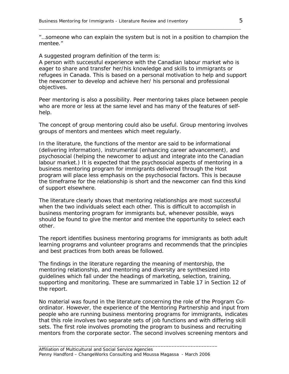"…someone who can explain the system but is not in a position to champion the mentee."

**\_\_\_\_\_\_\_\_\_\_\_\_\_\_\_\_\_\_\_\_\_\_\_\_\_\_\_\_\_\_\_\_\_\_\_\_\_\_\_\_\_\_\_\_\_\_\_\_\_\_\_\_\_\_\_\_\_\_\_\_\_\_\_\_**

A suggested program definition of the term is:

A person with successful experience with the Canadian labour market who is eager to share and transfer her/his knowledge and skills to immigrants or refugees in Canada. This is based on a personal motivation to help and support the newcomer to develop and achieve her/ his personal and professional objectives.

Peer mentoring is also a possibility. Peer mentoring takes place between people who are more or less at the same level and has many of the features of selfhelp.

The concept of group mentoring could also be useful. Group mentoring involves groups of mentors and mentees which meet regularly.

In the literature, the functions of the mentor are said to be informational (delivering information), instrumental (enhancing career advancement), and psychosocial (helping the newcomer to adjust and integrate into the Canadian labour market.) It is expected that the psychosocial aspects of mentoring in a business mentoring program for immigrants delivered through the Host program will place less emphasis on the psychosocial factors. This is because the timeframe for the relationship is short and the newcomer can find this kind of support elsewhere.

The literature clearly shows that mentoring relationships are most successful when the two individuals select each other. This is difficult to accomplish in business mentoring program for immigrants but, whenever possible, ways should be found to give the mentor and mentee the opportunity to select each other.

The report identifies business mentoring programs for immigrants as both adult learning programs and volunteer programs and recommends that the principles and best practices from both areas be followed.

The findings in the literature regarding the meaning of mentorship, the mentoring relationship, and mentoring and diversity are synthesized into guidelines which fall under the headings of marketing, selection, training, supporting and monitoring. These are summarized in Table 17 in Section 12 of the report.

No material was found in the literature concerning the role of the Program Coordinator. However, the experience of the Mentoring Partnership and input from people who are running business mentoring programs for immigrants, indicates that this role involves two separate sets of job functions and with differing skill sets. The first role involves promoting the program to business and recruiting mentors from the corporate sector. The second involves screening mentors and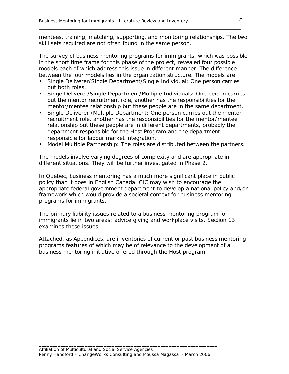mentees, training, matching, supporting, and monitoring relationships. The two skill sets required are not often found in the same person.

**\_\_\_\_\_\_\_\_\_\_\_\_\_\_\_\_\_\_\_\_\_\_\_\_\_\_\_\_\_\_\_\_\_\_\_\_\_\_\_\_\_\_\_\_\_\_\_\_\_\_\_\_\_\_\_\_\_\_\_\_\_\_\_\_**

The survey of business mentoring programs for immigrants, which was possible in the short time frame for this phase of the project, revealed four possible models each of which address this issue in different manner. The difference between the four models lies in the organization structure. The models are:

- *Single Deliverer/Single Department/Single Individual:* One person carries out both roles.
- *Singe Deliverer/Single Department/Multiple Individuals*: One person carries out the mentor recruitment role, another has the responsibilities for the mentor/mentee relationship but these people are in the same department.
- *Single Deliverer /Multiple Department:* One person carries out the mentor recruitment role, another has the responsibilities for the mentor/mentee relationship but these people are in different departments, probably the department responsible for the Host Program and the department responsible for labour market integration.
- *Model Multiple Partnership:* The roles are distributed between the partners.

The models involve varying degrees of complexity and are appropriate in different situations. They will be further investigated in Phase 2.

In Québec, business mentoring has a much more significant place in public policy than it does in English Canada. CIC may wish to encourage the appropriate federal government department to develop a national policy and/or framework which would provide a societal context for business mentoring programs for immigrants.

The primary liability issues related to a business mentoring program for immigrants lie in two areas: advice giving and workplace visits. Section 13 examines these issues.

Attached, as Appendices, are inventories of current or past business mentoring programs features of which may be of relevance to the development of a business mentoring initiative offered through the Host program.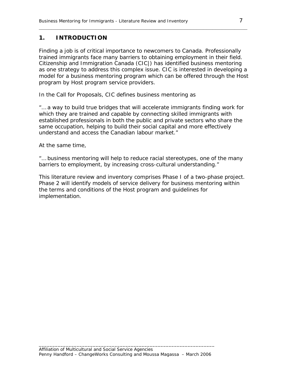# **1. INTRODUCTION**

Finding a job is of critical importance to newcomers to Canada. Professionally trained immigrants face many barriers to obtaining employment in their field. Citizenship and Immigration Canada (CIC|) has identified business mentoring as one strategy to address this complex issue. CIC is interested in developing a model for a business mentoring program which can be offered through the Host program by Host program service providers.

**\_\_\_\_\_\_\_\_\_\_\_\_\_\_\_\_\_\_\_\_\_\_\_\_\_\_\_\_\_\_\_\_\_\_\_\_\_\_\_\_\_\_\_\_\_\_\_\_\_\_\_\_\_\_\_\_\_\_\_\_\_\_\_\_\_\_**

In the Call for Proposals, CIC defines business mentoring as

"… a way to build true bridges that will accelerate immigrants finding work for which they are trained and capable by connecting skilled immigrants with established professionals in both the public and private sectors who share the same occupation, helping to build their social capital and more effectively understand and access the Canadian labour market."

At the same time,

"… business mentoring will help to reduce racial stereotypes, one of the many barriers to employment, by increasing cross-cultural understanding."

This literature review and inventory comprises Phase I of a two-phase project. Phase 2 will identify models of service delivery for business mentoring within the terms and conditions of the Host program and guidelines for implementation.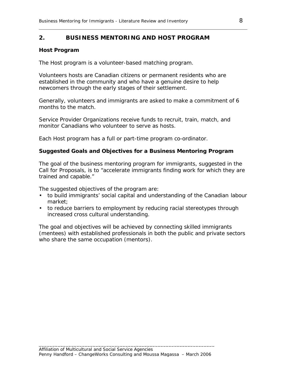## **2. BUSINESS MENTORING AND HOST PROGRAM**

#### **Host Program**

The Host program is a volunteer-based matching program.

Volunteers hosts are Canadian citizens or permanent residents who are established in the community and who have a genuine desire to help newcomers through the early stages of their settlement.

Generally, volunteers and immigrants are asked to make a commitment of 6 months to the match.

**\_\_\_\_\_\_\_\_\_\_\_\_\_\_\_\_\_\_\_\_\_\_\_\_\_\_\_\_\_\_\_\_\_\_\_\_\_\_\_\_\_\_\_\_\_\_\_\_\_\_\_\_\_\_\_\_\_\_\_\_\_\_\_\_\_\_**

Service Provider Organizations receive funds to recruit, train, match, and monitor Canadians who volunteer to serve as hosts.

Each Host program has a full or part-time program co-ordinator.

#### **Suggested Goals and Objectives for a Business Mentoring Program**

The goal of the business mentoring program for immigrants, suggested in the Call for Proposals, is to "accelerate immigrants finding work for which they are trained and capable."

The suggested objectives of the program are:

- to build immigrants' social capital and understanding of the Canadian labour market;
- to reduce barriers to employment by reducing racial stereotypes through increased cross cultural understanding.

The goal and objectives will be achieved by connecting skilled immigrants (mentees) with established professionals in both the public and private sectors who share the same occupation (mentors).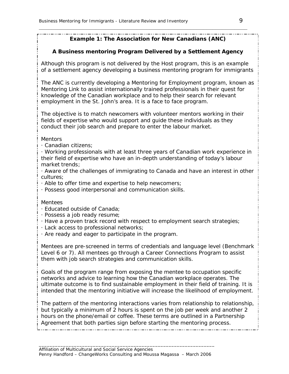# **Example 1: The Association for New Canadians (ANC)**

**\_\_\_\_\_\_\_\_\_\_\_\_\_\_\_\_\_\_\_\_\_\_\_\_\_\_\_\_\_\_\_\_\_\_\_\_\_\_\_\_\_\_\_\_\_\_\_\_\_\_\_\_\_\_\_\_\_\_\_\_\_\_\_\_\_\_**

# **A Business mentoring Program Delivered by a Settlement Agency**

Although this program is not delivered by the Host program, this is an example of a settlement agency developing a business mentoring program for immigrants

The ANC is currently developing a Mentoring for Employment program, known as *Mentoring Link* to assist internationally trained professionals in their quest for knowledge of the Canadian workplace and to help their search for relevant employment in the St. John's area. It is a face to face program.

The objective is to match newcomers with volunteer mentors working in their fields of expertise who would support and guide these individuals as they conduct their job search and prepare to enter the labour market.

# *Mentors*

· Canadian citizens;

· Working professionals with at least three years of Canadian work experience in their field of expertise who have an in-depth understanding of today's labour market trends;

· Aware of the challenges of immigrating to Canada and have an interest in other cultures;

- · Able to offer time and expertise to help newcomers;
- · Possess good interpersonal and communication skills.

## *Mentees*

- · Educated outside of Canada;
- · Possess a job ready resume;
- · Have a proven track record with respect to employment search strategies;
- · Lack access to professional networks;
- · Are ready and eager to participate in the program.

Mentees are pre-screened in terms of credentials and language level (Benchmark Level 6 or 7). All mentees go through a Career Connections Program to assist them with job search strategies and communication skills.

Goals of the program range from exposing the mentee to occupation specific networks and advice to learning how the Canadian workplace operates. The ultimate outcome is to find sustainable employment in their field of training. It is intended that the mentoring initiative will increase the likelihood of employment.

The pattern of the mentoring interactions varies from relationship to relationship, but typically a minimum of 2 hours is spent on the job per week and another 2 hours on the phone/email or coffee. These terms are outlined in a Partnership Agreement that both parties sign before starting the mentoring process.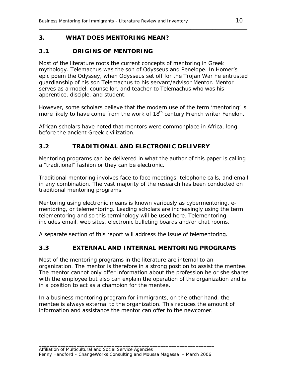# **3. WHAT DOES MENTORING MEAN?**

# **3.1 ORIGINS OF MENTORING**

Most of the literature roots the current concepts of mentoring in Greek mythology. Telemachus was the son of Odysseus and Penelope. In Homer's epic poem the Odyssey, when Odysseus set off for the Trojan War he entrusted guardianship of his son Telemachus to his servant/advisor Mentor. Mentor serves as a model, counsellor, and teacher to Telemachus who was his apprentice, disciple, and student.

**\_\_\_\_\_\_\_\_\_\_\_\_\_\_\_\_\_\_\_\_\_\_\_\_\_\_\_\_\_\_\_\_\_\_\_\_\_\_\_\_\_\_\_\_\_\_\_\_\_\_\_\_\_\_\_\_\_\_\_\_\_\_\_\_\_\_**

However, some scholars believe that the modern use of the term 'mentoring' is more likely to have come from the work of 18<sup>th</sup> century French writer Fenelon.

African scholars have noted that mentors were commonplace in Africa, long before the ancient Greek civilization.

# **3.2 TRADITIONAL AND ELECTRONIC DELIVERY**

Mentoring programs can be delivered in what the author of this paper is calling a "traditional" fashion or they can be electronic.

Traditional mentoring involves face to face meetings, telephone calls, and email in any combination. The vast majority of the research has been conducted on traditional mentoring programs.

Mentoring using electronic means is known variously as cybermentoring, ementoring, or telementoring. Leading scholars are increasingly using the term telementoring and so this terminology will be used here. Telementoring includes email, web sites, electronic bulleting boards and/or chat rooms.

A separate section of this report will address the issue of telementoring.

# **3.3 EXTERNAL AND INTERNAL MENTORING PROGRAMS**

Most of the mentoring programs in the literature are *internal* to an organization. The mentor is therefore in a strong position to assist the mentee. The mentor cannot only offer information about the profession he or she shares with the employee but also can explain the operation of the organization and is in a position to act as a champion for the mentee.

In a business mentoring program for immigrants, on the other hand, the mentee is always *external* to the organization. This reduces the amount of information and assistance the mentor can offer to the newcomer.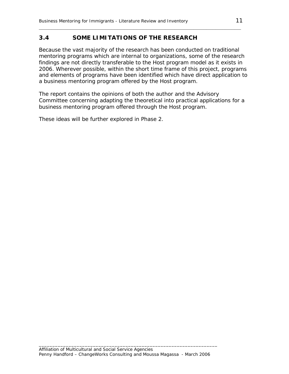# **3.4 SOME LIMITATIONS OF THE RESEARCH**

Because the vast majority of the research has been conducted on traditional mentoring programs which are internal to organizations, some of the research findings are not directly transferable to the Host program model as it exists in 2006. Wherever possible, within the short time frame of this project, programs and elements of programs have been identified which have direct application to a business mentoring program offered by the Host program.

**\_\_\_\_\_\_\_\_\_\_\_\_\_\_\_\_\_\_\_\_\_\_\_\_\_\_\_\_\_\_\_\_\_\_\_\_\_\_\_\_\_\_\_\_\_\_\_\_\_\_\_\_\_\_\_\_\_\_\_\_\_\_\_\_**

The report contains the opinions of both the author and the Advisory Committee concerning adapting the theoretical into practical applications for a business mentoring program offered through the Host program.

These ideas will be further explored in Phase 2.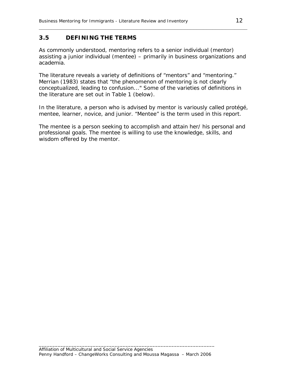# **3.5 DEFINING THE TERMS**

As commonly understood, mentoring refers to a senior individual (mentor) assisting a junior individual (mentee) – primarily in business organizations and academia.

**\_\_\_\_\_\_\_\_\_\_\_\_\_\_\_\_\_\_\_\_\_\_\_\_\_\_\_\_\_\_\_\_\_\_\_\_\_\_\_\_\_\_\_\_\_\_\_\_\_\_\_\_\_\_\_\_\_\_\_\_\_\_\_\_\_\_**

The literature reveals a variety of definitions of "mentors" and "mentoring." Merrian (1983) states that "the phenomenon of mentoring is not clearly conceptualized, leading to confusion..." Some of the varieties of definitions in the literature are set out in Table 1 (below).

In the literature, a person who is advised by mentor is variously called protégé, mentee, learner, novice, and junior. "Mentee" is the term used in this report.

The mentee is a person seeking to accomplish and attain her/ his personal and professional goals. The mentee is willing to use the knowledge, skills, and wisdom offered by the mentor.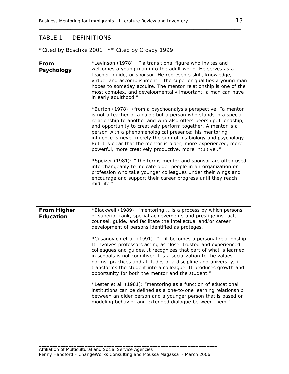# *TABLE 1 DEFINITIONS*

\*Cited by Boschke 2001 \*\* Cited by Crosby 1999

| From              | *Levinson (1978): " a transitional figure who invites and                                                                                                                                                                                                                                                                                                                                                                                                                                                                          |  |  |
|-------------------|------------------------------------------------------------------------------------------------------------------------------------------------------------------------------------------------------------------------------------------------------------------------------------------------------------------------------------------------------------------------------------------------------------------------------------------------------------------------------------------------------------------------------------|--|--|
| <b>Psychology</b> | welcomes a young man into the adult world. He serves as a<br>teacher, guide, or sponsor. He represents skill, knowledge,<br>virtue, and accomplishment - the superior qualities a young man<br>hopes to someday acquire. The mentor relationship is one of the<br>most complex, and developmentally important, a man can have<br>in early adulthood."                                                                                                                                                                              |  |  |
|                   | *Burton (1978): (from a psychoanalysis perspective) "a mentor<br>is not a teacher or a guide but a person who stands in a special<br>relationship to another and who also offers peership, friendship,<br>and opportunity to creatively perform together. A mentor is a<br>person with a phenomenological presence; his mentoring<br>influence is never merely the sum of his biology and psychology.<br>But it is clear that the mentor is older, more experienced, more<br>powerful, more creatively productive, more intuitive" |  |  |
|                   | *Speizer (1981): " the terms mentor and sponsor are often used<br>interchangeably to indicate older people in an organization or<br>profession who take younger colleagues under their wings and<br>encourage and support their career progress until they reach<br>mid-life."                                                                                                                                                                                                                                                     |  |  |

**\_\_\_\_\_\_\_\_\_\_\_\_\_\_\_\_\_\_\_\_\_\_\_\_\_\_\_\_\_\_\_\_\_\_\_\_\_\_\_\_\_\_\_\_\_\_\_\_\_\_\_\_\_\_\_\_\_\_\_\_\_\_\_\_**

| <b>From Higher</b><br><b>Education</b> | *Blackwell (1989): "mentoring  is a process by which persons<br>of superior rank, special achievements and prestige instruct,<br>counsel, guide, and facilitate the intellectual and/or career<br>development of persons identified as proteges."                                                                                                                                                                                                                        |
|----------------------------------------|--------------------------------------------------------------------------------------------------------------------------------------------------------------------------------------------------------------------------------------------------------------------------------------------------------------------------------------------------------------------------------------------------------------------------------------------------------------------------|
|                                        | *Cusanovich et al. (1991): " it becomes a personal relationship.<br>It involves professors acting as close, trusted and experienced<br>colleagues and guidesit recognizes that part of what is learned<br>in schools is not cognitive; it is a socialization to the values,<br>norms, practices and attitudes of a discipline and university; it<br>transforms the student into a colleague. It produces growth and<br>opportunity for both the mentor and the student." |
|                                        | *Lester et al. (1981): "mentoring as a function of educational<br>institutions can be defined as a one-to-one learning relationship<br>between an older person and a younger person that is based on<br>modeling behavior and extended dialogue between them."                                                                                                                                                                                                           |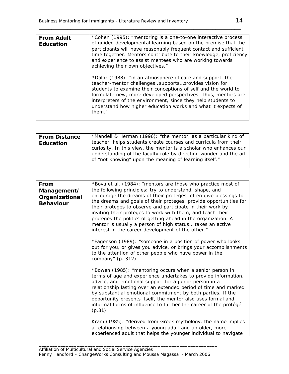| <b>From Adult</b><br><b>Education</b> | *Cohen (1995): "mentoring is a one-to-one interactive process<br>of guided developmental learning based on the premise that the<br>participants will have reasonably frequent contact and sufficient<br>time together. Mentors contribute to their knowledge, proficiency<br>and experience to assist mentees who are working towards<br>achieving their own objectives."                      |
|---------------------------------------|------------------------------------------------------------------------------------------------------------------------------------------------------------------------------------------------------------------------------------------------------------------------------------------------------------------------------------------------------------------------------------------------|
|                                       | *Daloz (1988): "in an atmosphere of care and support, the<br>teacher-mentor challengessupportsprovides vision for<br>students to examine their conceptions of self and the world to<br>formulate new, more developed perspectives. Thus, mentors are<br>interpreters of the environment, since they help students to<br>understand how higher education works and what it expects of<br>them." |

**\_\_\_\_\_\_\_\_\_\_\_\_\_\_\_\_\_\_\_\_\_\_\_\_\_\_\_\_\_\_\_\_\_\_\_\_\_\_\_\_\_\_\_\_\_\_\_\_\_\_\_\_\_\_\_\_\_\_\_\_\_\_\_\_**

| <b>From Distance</b> | *Mandell & Herman (1996): "the mentor, as a particular kind of    |
|----------------------|-------------------------------------------------------------------|
| <b>Education</b>     | teacher, helps students create courses and curricula from their   |
|                      | curiosity. In this view, the mentor is a scholar who enhances our |
|                      | understanding of the faculty role by directing wonder and the art |
|                      | of "not knowing" upon the meaning of learning itself."            |
|                      |                                                                   |

| From<br>Management/<br>Organizational<br><b>Behaviour</b> | *Bova et al. (1984): "mentors are those who practice most of<br>the following principles: try to understand, shape, and<br>encourage the dreams of their proteges, often give blessings to<br>the dreams and goals of their proteges, provide opportunities for<br>their proteges to observe and participate in their work by<br>inviting their proteges to work with them, and teach their<br>proteges the politics of getting ahead in the organization. A<br>mentor is usually a person of high status takes an active |
|-----------------------------------------------------------|---------------------------------------------------------------------------------------------------------------------------------------------------------------------------------------------------------------------------------------------------------------------------------------------------------------------------------------------------------------------------------------------------------------------------------------------------------------------------------------------------------------------------|
|                                                           | interest in the career development of the other."<br><i>*Fagenson (1989): "someone in a position of power who looks</i><br>out for you, or gives you advice, or brings your accomplishments<br>to the attention of other people who have power in the<br>company" (p. 312).                                                                                                                                                                                                                                               |
|                                                           | *Bowen (1985): "mentoring occurs when a senior person in<br>terms of age and experience undertakes to provide information,<br>advice, and emotional support for a junior person in a<br>relationship lasting over an extended period of time and marked<br>by substantial emotional commitment by both parties. If the<br>opportunity presents itself, the mentor also uses formal and<br>informal forms of influence to further the career of the protégé"<br>$(p.31)$ .                                                 |
|                                                           | Kram (1985): "derived from Greek mythology, the name implies<br>a relationship between a young adult and an older, more<br>experienced adult that helps the younger individual to navigate                                                                                                                                                                                                                                                                                                                                |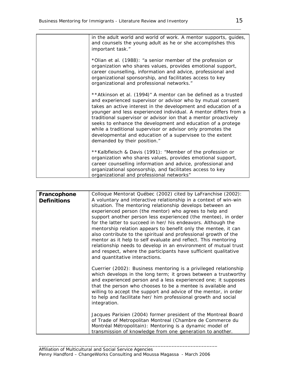| in the adult world and world of work. A mentor supports, guides,<br>and counsels the young adult as he or she accomplishes this<br>important task."                                                                                                                                                                                                                                                                                                                                                                                                               |
|-------------------------------------------------------------------------------------------------------------------------------------------------------------------------------------------------------------------------------------------------------------------------------------------------------------------------------------------------------------------------------------------------------------------------------------------------------------------------------------------------------------------------------------------------------------------|
| *Olian et al. (1988): "a senior member of the profession or<br>organization who shares values, provides emotional support,<br>career counselling, information and advice, professional and<br>organizational sponsorship, and facilitates access to key<br>organizational and professional networks."                                                                                                                                                                                                                                                             |
| **Atkinson et al. (1994)" A mentor can be defined as a trusted<br>and experienced supervisor or advisor who by mutual consent<br>takes an active interest in the development and education of a<br>younger and less experienced individual. A mentor differs from a<br>traditional supervisor or advisor ion that a mentor proactively<br>seeks to enhance the development and education of a protege<br>while a traditional supervisor or advisor only promotes the<br>developmental and education of a supervisee to the extent<br>demanded by their position." |
| ** Kalbfleisch & Davis (1991): "Member of the profession or<br>organization who shares values, provides emotional support,<br>career counselling information and advice, professional and<br>organizational sponsorship, and facilitates access to key<br>organizational and professional networks"                                                                                                                                                                                                                                                               |

**\_\_\_\_\_\_\_\_\_\_\_\_\_\_\_\_\_\_\_\_\_\_\_\_\_\_\_\_\_\_\_\_\_\_\_\_\_\_\_\_\_\_\_\_\_\_\_\_\_\_\_\_\_\_\_\_\_\_\_\_\_\_\_\_**

| Francophone<br><b>Definitions</b> | Colloque Mentorat Québec (2002) cited by LaFranchise (2002):<br>A voluntary and interactive relationship in a context of win-win<br>situation. The mentoring relationship develops between an<br>experienced person (the mentor) who agrees to help and<br>support another person less experienced (the mentee), in order<br>for the latter to succeed in her/ his endeavors. Although the<br>mentorship relation appears to benefit only the mentee, it can<br>also contribute to the spiritual and professional growth of the<br>mentor as it help to self evaluate and reflect. This mentoring<br>relationship needs to develop in an environment of mutual trust<br>and respect, where the participants have sufficient qualitative<br>and quantitative interactions. |
|-----------------------------------|---------------------------------------------------------------------------------------------------------------------------------------------------------------------------------------------------------------------------------------------------------------------------------------------------------------------------------------------------------------------------------------------------------------------------------------------------------------------------------------------------------------------------------------------------------------------------------------------------------------------------------------------------------------------------------------------------------------------------------------------------------------------------|
|                                   | Cuerrier (2002): Business mentoring is a privileged relationship<br>which develops in the long term; it grows between a trustworthy<br>and experienced person and a less experienced one; it supposes<br>that the person who chooses to be a mentee is available and<br>willing to accept the support and advice of the mentor, in order<br>to help and facilitate her/ him professional growth and social<br>integration.<br>Jacques Parisien (2004) former president of the Montreal Board<br>of Trade of Metropolitan Montreal (Chambre de Commerce du<br>Montréal Métropolitain): Mentoring is a dynamic model of<br>transmission of knowledge from one generation to another.                                                                                        |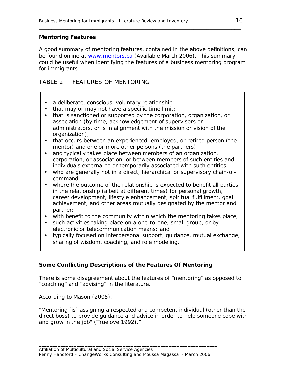## **Mentoring Features**

A good summary of mentoring features, contained in the above definitions, can be found online at www.mentors.ca (Available March 2006). This summary could be useful when identifying the features of a business mentoring program for immigrants.

**\_\_\_\_\_\_\_\_\_\_\_\_\_\_\_\_\_\_\_\_\_\_\_\_\_\_\_\_\_\_\_\_\_\_\_\_\_\_\_\_\_\_\_\_\_\_\_\_\_\_\_\_\_\_\_\_\_\_\_\_\_\_\_\_**

# *TABLE 2 FEATURES OF MENTORING*

- a deliberate, conscious, voluntary relationship:
- that may or may not have a specific time limit;
- that is sanctioned or supported by the corporation, organization, or association (by time, acknowledgement of supervisors or administrators, or is in alignment with the mission or vision of the organization);
- that occurs between an experienced, employed, or retired person (the mentor) and one or more other persons (the partners);
- and typically takes place between members of an organization, corporation, or association, or between members of such entities and individuals external to or temporarily associated with such entities;
- who are generally not in a direct, hierarchical or supervisory chain-ofcommand;
- where the outcome of the relationship is expected to benefit all parties in the relationship (albeit at different times) for personal growth, career development, lifestyle enhancement, spiritual fulfillment, goal achievement, and other areas mutually designated by the mentor and partner;
- with benefit to the community within which the mentoring takes place;
- such activities taking place on a one-to-one, small group, or by electronic or telecommunication means; and
- typically focused on interpersonal support, guidance, mutual exchange, sharing of wisdom, coaching, and role modeling.

# **Some Conflicting Descriptions of the Features Of Mentoring**

There is some disagreement about the features of "mentoring" as opposed to "coaching" and "advising" in the literature.

According to Mason (2005),

"Mentoring [is] assigning a respected and competent individual (other than the direct boss) to provide guidance and advice in order to help someone cope with and grow in the job" (Truelove 1992)."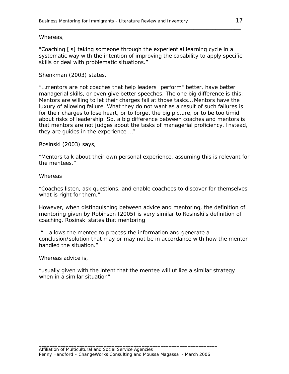Whereas,

"Coaching [is] taking someone through the experiential learning cycle in a systematic way with the intention of improving the capability to apply specific skills or deal with problematic situations."

**\_\_\_\_\_\_\_\_\_\_\_\_\_\_\_\_\_\_\_\_\_\_\_\_\_\_\_\_\_\_\_\_\_\_\_\_\_\_\_\_\_\_\_\_\_\_\_\_\_\_\_\_\_\_\_\_\_\_\_\_\_\_\_\_**

Shenkman (2003) states,

"…mentors are not coaches that help leaders "perform" better, have better managerial skills, or even give better speeches. The one big difference is this: Mentors are willing to let their charges fail at those tasks… Mentors have the luxury of allowing failure. What they do not want as a result of such failures is for their charges to lose heart, or to forget the big picture, or to be too timid about risks of leadership. So, a big difference between coaches and mentors is that mentors are not judges about the tasks of managerial proficiency. Instead, they are guides in the experience …"

Rosinski (2003) says,

"Mentors talk about their own personal experience, assuming this is relevant for the mentees."

## **Whereas**

"Coaches listen, ask questions, and enable coachees to discover for themselves what is right for them."

However, when distinguishing between advice and mentoring, the definition of mentoring given by Robinson (2005) is very similar to Rosinski's definition of coaching. Rosinski states that mentoring

 "… allows the mentee to process the information and generate a conclusion/solution that may or may not be in accordance with how the mentor handled the situation."

Whereas advice is,

"usually given with the intent that the mentee will utilize a similar strategy when in a similar situation"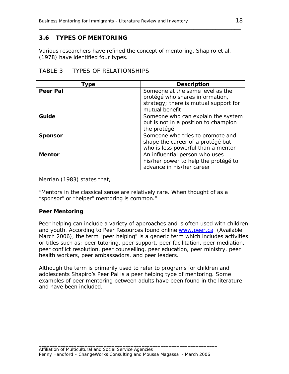# **3.6 TYPES OF MENTORING**

Various researchers have refined the concept of mentoring. Shapiro et al. (1978) have identified four types.

**\_\_\_\_\_\_\_\_\_\_\_\_\_\_\_\_\_\_\_\_\_\_\_\_\_\_\_\_\_\_\_\_\_\_\_\_\_\_\_\_\_\_\_\_\_\_\_\_\_\_\_\_\_\_\_\_\_\_\_\_\_\_\_\_**

| Гуре            | <b>Description</b>                                                                                                             |
|-----------------|--------------------------------------------------------------------------------------------------------------------------------|
| <b>Peer Pal</b> | Someone at the same level as the<br>protégé who shares information,<br>strategy; there is mutual support for<br>mutual benefit |
| Guide           | Someone who can explain the system<br>but is not in a position to champion<br>the protégé                                      |
| <b>Sponsor</b>  | Someone who tries to promote and<br>shape the career of a protégé but<br>who is less powerful than a mentor                    |
| <b>Mentor</b>   | An influential person who uses<br>his/her power to help the protégé to<br>advance in his/her career                            |

# *TABLE 3 TYPES OF RELATIONSHIPS*

Merrian (1983) states that,

"Mentors in the classical sense are relatively rare. When thought of as a "sponsor" or "helper" mentoring is common."

## **Peer Mentoring**

Peer helping can include a variety of approaches and is often used with children and youth. According to Peer Resources found online www.peer.ca (Available March 2006), the term "peer helping" is a generic term which includes activities or titles such as: peer tutoring, peer support, peer facilitation, peer mediation, peer conflict resolution, peer counselling, peer education, peer ministry, peer health workers, peer ambassadors, and peer leaders.

Although the term is primarily used to refer to programs for children and adolescents Shapiro's *Peer Pal* is a peer helping type of mentoring. Some examples of peer mentoring between adults have been found in the literature and have been included.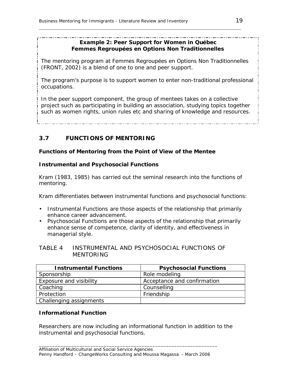# **Example 2: Peer Support for Women in Québec Femmes Regroupées en Options Non Traditionnelles**

The mentoring program at Femmes Regroupées en Options Non Traditionnelles (FRONT, 2002) is a blend of one to one and peer support.

**\_\_\_\_\_\_\_\_\_\_\_\_\_\_\_\_\_\_\_\_\_\_\_\_\_\_\_\_\_\_\_\_\_\_\_\_\_\_\_\_\_\_\_\_\_\_\_\_\_\_\_\_\_\_\_\_\_\_\_\_\_\_\_\_**

The program's purpose is to support women to enter non-traditional professional occupations.

In the peer support component, the group of mentees takes on a collective project such as participating in building an association, studying topics together such as women rights, union rules etc and sharing of knowledge and resources.

# **3.7 FUNCTIONS OF MENTORING**

## **Functions of Mentoring from the Point of View of the Mentee**

# **Instrumental and Psychosocial Functions**

Kram (1983, 1985) has carried out the seminal research into the functions of mentoring.

Kram differentiates between instrumental functions and psychosocial functions:

- *Instrumental Functions* are those aspects of the relationship that primarily enhance career advancement.
- *Psychosocial Functions* are those aspects of the relationship that primarily enhance sense of competence, clarity of identity, and effectiveness in managerial style.

## *TABLE 4 INSTRUMENTAL AND PSYCHOSOCIAL FUNCTIONS OF MENTORING*

| <b>Instrumental Functions</b> | <b>Psychosocial Functions</b> |
|-------------------------------|-------------------------------|
| Sponsorship                   | Role modeling                 |
| Exposure and visibility       | Acceptance and confirmation   |
| Coaching                      | Counselling                   |
| Protection                    | Friendship                    |
| Challenging assignments       |                               |

## **Informational Function**

Researchers are now including an informational function in addition to the instrumental and psychosocial functions.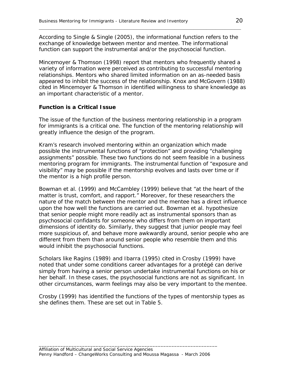According to Single & Single (2005), the informational function refers to the exchange of knowledge between mentor and mentee. The informational function can support the instrumental and/or the psychosocial function.

**\_\_\_\_\_\_\_\_\_\_\_\_\_\_\_\_\_\_\_\_\_\_\_\_\_\_\_\_\_\_\_\_\_\_\_\_\_\_\_\_\_\_\_\_\_\_\_\_\_\_\_\_\_\_\_\_\_\_\_\_\_\_\_\_**

Mincemoyer & Thomson (1998) report that mentors who frequently shared a variety of information were perceived as contributing to successful mentoring relationships. Mentors who shared limited information on an as-needed basis appeared to inhibit the success of the relationship. Knox and McGovern (1988) cited in Mincemoyer & Thomson in identified willingness to share knowledge as an important characteristic of a mentor.

# **Function is a Critical Issue**

The issue of the function of the business mentoring relationship in a program for immigrants is a critical one. The function of the mentoring relationship will greatly influence the design of the program.

Kram's research involved mentoring within an organization which made possible the instrumental functions of "protection" and providing "challenging assignments" possible. These two functions do not seem feasible in a business mentoring program for immigrants. The instrumental function of "exposure and visibility" may be possible if the mentorship evolves and lasts over time or if the mentor is a high profile person.

Bowman et al. (1999) and McCambley (1999) believe that "at the heart of the matter is trust, comfort, and rapport." Moreover, for these researchers the nature of the match between the mentor and the mentee has a direct influence upon the how well the functions are carried out. Bowman et al. hypothesize that senior people might more readily act as instrumental sponsors than as psychosocial confidants for someone who differs from them on important dimensions of identity do. Similarly, they suggest that junior people may feel more suspicious of, and behave more awkwardly around, senior people who are different from them than around senior people who resemble them and this would inhibit the psychosocial functions.

Scholars like Ragins (1989) and Ibarra (1995) cited in Crosby (1999) have noted that under some conditions career advantages for a protégé can derive simply from having a senior person undertake instrumental functions on his or her behalf. In these cases, the psychosocial functions are not as significant. In other circumstances, warm feelings may also be very important to the mentee.

Crosby (1999) has identified the functions of the types of mentorship types as she defines them. These are set out in Table 5.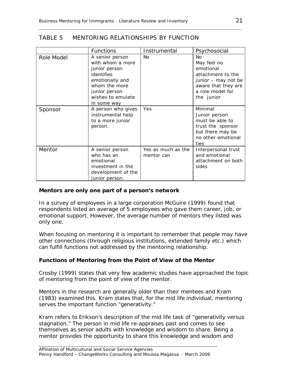|            | <b>Functions</b>                                                                                                                                            | Instrumental                     | Psychosocial                                                                                                                               |
|------------|-------------------------------------------------------------------------------------------------------------------------------------------------------------|----------------------------------|--------------------------------------------------------------------------------------------------------------------------------------------|
| Role Model | A senior person<br>with whom a more<br>junior person<br>identifies<br>emotionally and<br>whom the more<br>junior person<br>wishes to emulate<br>in some way | No.                              | <b>No</b><br>May feel no<br>emotional<br>attachment to the<br>junior - may not be<br>aware that they are<br>a role model for<br>the junior |
| Sponsor    | A person who gives<br>instrumental help<br>to a more junior<br>person.                                                                                      | Yes                              | Minimal<br>Junior person<br>must be able to<br>trust the sponsor<br>but there may be<br>no other emotional<br>ties                         |
| Mentor     | A senior person<br>who has an<br>emotional<br>investment in the<br>development of the<br>junior person.                                                     | Yes as much as the<br>mentor can | Interpersonal trust<br>and emotional<br>attachment on both<br>sides                                                                        |

**\_\_\_\_\_\_\_\_\_\_\_\_\_\_\_\_\_\_\_\_\_\_\_\_\_\_\_\_\_\_\_\_\_\_\_\_\_\_\_\_\_\_\_\_\_\_\_\_\_\_\_\_\_\_\_\_\_\_\_\_\_\_\_\_**

# *TABLE 5 MENTORING RELATIONSHIPS BY FUNCTION*

## **Mentors are only one part of a person's network**

In a survey of employees in a large corporation McGuire (1999) found that respondents listed an average of 5 employees who gave them career, job, or emotional support. However, the average number of mentors they listed was only one.

When focusing on mentoring it is important to remember that people may have other connections (through religious institutions, extended family etc.) which can fulfill functions not addressed by the mentoring relationship.

## **Functions of Mentoring from the Point of View of the Mentor**

Crosby (1999) states that very few academic studies have approached the topic of mentoring from the point of view of the mentor.

Mentors in the research are generally older than their mentees and Kram (1983) examined this. Kram states that, for the mid life individual, mentoring serves the important function "generativity."

Kram refers to Erikson's description of the mid life task of "generativity versus stagnation." The person in mid life re-appraises past and comes to see themselves as senior adults with knowledge and wisdom to share. Being a mentor provides the opportunity to share this knowledge and wisdom and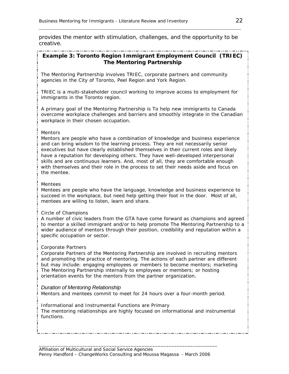provides the mentor with stimulation, challenges, and the opportunity to be creative.

**\_\_\_\_\_\_\_\_\_\_\_\_\_\_\_\_\_\_\_\_\_\_\_\_\_\_\_\_\_\_\_\_\_\_\_\_\_\_\_\_\_\_\_\_\_\_\_\_\_\_\_\_\_\_\_\_\_\_\_\_\_\_\_\_**

# **Example 3: Toronto Region Immigrant Employment Council (TRIEC) The Mentoring Partnership**

The Mentoring Partnership involves TRIEC, corporate partners and community agencies in the City of Toronto, Peel Region and York Region.

TRIEC is a multi-stakeholder council working to improve access to employment for immigrants in the Toronto region.

A primary goal of the Mentoring Partnership is To help new immigrants to Canada overcome workplace challenges and barriers and smoothly integrate in the Canadian workplace in their chosen occupation.

### *Mentors*

Mentors are people who have a combination of knowledge and business experience and can bring wisdom to the learning process. They are not necessarily senior executives but have clearly established themselves in their current roles and likely have a reputation for developing others. They have well-developed interpersonal skills and are continuous learners. And, most of all, they are comfortable enough with themselves and their role in the process to set their needs aside and focus on the mentee.

### *Mentees*

Mentees are people who have the language, knowledge and business experience to succeed in the workplace, but need help getting their foot in the door. Most of all, mentees are willing to listen, learn and share.

#### *Circle of Champions*

A number of civic leaders from the GTA have come forward as champions and agreed to mentor a skilled immigrant and/or to help promote The Mentoring Partnership to a wider audience of mentors through their position, credibility and reputation within a specific occupation or sector.

#### *Corporate Partners*

Corporate Partners of the Mentoring Partnership are involved in recruiting mentors and promoting the practice of mentoring. The actions of each partner are different but may include: engaging employees or members to become mentors; marketing The Mentoring Partnership internally to employees or members; or hosting orientation events for the mentors from the partner organization.

## *Duration of Mentoring Relationship*

Mentors and mentees commit to meet for 24 hours over a four-month period.

*Informational and Instrumental Functions are Primary* The mentoring relationships are highly focused on informational and instrumental functions.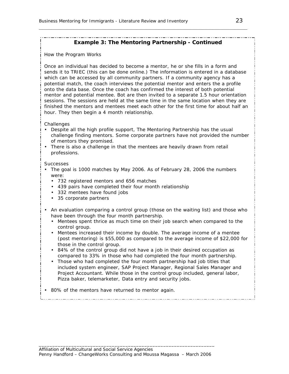# **Example 3: The Mentoring Partnership - Continued**

**\_\_\_\_\_\_\_\_\_\_\_\_\_\_\_\_\_\_\_\_\_\_\_\_\_\_\_\_\_\_\_\_\_\_\_\_\_\_\_\_\_\_\_\_\_\_\_\_\_\_\_\_\_\_\_\_\_\_\_\_\_\_\_\_\_\_**

*How the Program Works*

Once an individual has decided to become a mentor, he or she fills in a form and sends it to TRIEC (this can be done online.) The information is entered in a database which can be accessed by all community partners. If a community agency has a potential match, the coach interviews the potential mentor and enters the a profile onto the data base. Once the coach has confirmed the interest of both potential mentor and potential mentee. Bot are then invited to a separate 1.5 hour orientation sessions. The sessions are held at the same time in the same location when they are finished the mentors and mentees meet each other for the first time for about half an hour. They then begin a 4 month relationship.

*Challenges*

- Despite all the high profile support, The Mentoring Partnership has the usual challenge finding mentors. Some corporate partners have not provided the number of mentors they promised.
- There is also a challenge in that the mentees are heavily drawn from retail professions.

*Successes*

- The goal is 1000 matches by May 2006. As of February 28, 2006 the numbers were:
	- 732 registered mentors and 656 matches
	- 439 pairs have completed their four month relationship
	- 332 mentees have found jobs
	- 35 corporate partners
- An evaluation comparing a control group (those on the waiting list) and those who have been through the four month partnership.
	- Mentees spent thrice as much time on their job search when compared to the control group.
	- Mentees increased their income by double. The average income of a mentee (post mentoring) is \$55,000 as compared to the average income of \$22,000 for those in the control group.
	- 84% of the control group did not have a job in their desired occupation as compared to 33% in those who had completed the four month partnership.
	- Those who had completed the four month partnership had job titles that included system engineer, SAP Project Manager, Regional Sales Manager and Project Accountant. While those in the control group included, general labor, Pizza baker, telemarketer, Data entry and security jobs.
- 80% of the mentors have returned to mentor again.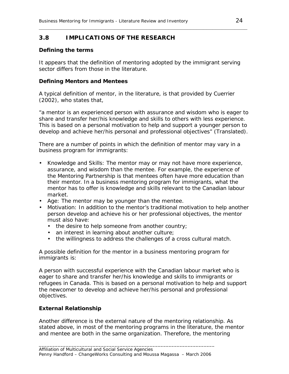# **3.8 IMPLICATIONS OF THE RESEARCH**

# **Defining the terms**

It appears that the definition of mentoring adopted by the immigrant serving sector differs from those in the literature.

**\_\_\_\_\_\_\_\_\_\_\_\_\_\_\_\_\_\_\_\_\_\_\_\_\_\_\_\_\_\_\_\_\_\_\_\_\_\_\_\_\_\_\_\_\_\_\_\_\_\_\_\_\_\_\_\_\_\_\_\_\_\_\_\_\_\_**

## **Defining Mentors and Mentees**

A typical definition of mentor, in the literature, is that provided by Cuerrier (2002), who states that,

"a mentor is an experienced person with assurance and wisdom who is eager to share and transfer her/his knowledge and skills to others with less experience. This is based on a personal motivation to help and support a younger person to develop and achieve her/his personal and professional objectives" (Translated).

There are a number of points in which the definition of mentor may vary in a business program for immigrants:

- *Knowledge and Skills*: The mentor may or may not have more experience, assurance, and wisdom than the mentee. For example, the experience of the Mentoring Partnership is that mentees often have more education than their mentor. In a business mentoring program for immigrants, what the mentor has to offer is knowledge and skills relevant to the *Canadian* labour market.
- *Age*: The mentor may be younger than the mentee.
- *Motivation*: In addition to the mentor's traditional motivation to help another person develop and achieve his or her professional objectives, the mentor must also have:
	- the desire to help someone from another country;
	- an interest in learning about another culture;
	- the willingness to address the challenges of a cross cultural match.

A possible definition for the mentor in a business mentoring program for immigrants is:

*A person with successful experience with the Canadian labour market who is eager to share and transfer her/his knowledge and skills to immigrants or refugees in Canada. This is based on a personal motivation to help and support the newcomer to develop and achieve her/his personal and professional objectives.*

# **External Relationship**

Another difference is the external nature of the mentoring relationship. As stated above, in most of the mentoring programs in the literature, the mentor and mentee are both in the same organization. Therefore, the mentoring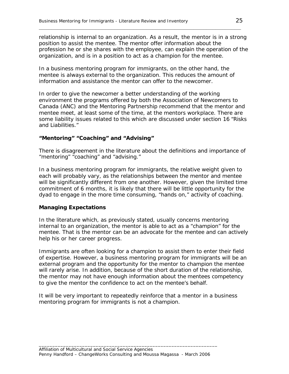relationship is *internal* to an organization. As a result, the mentor is in a strong position to assist the mentee. The mentor offer information about the profession he or she shares with the employee, can explain the operation of the organization, and is in a position to act as a champion for the mentee.

**\_\_\_\_\_\_\_\_\_\_\_\_\_\_\_\_\_\_\_\_\_\_\_\_\_\_\_\_\_\_\_\_\_\_\_\_\_\_\_\_\_\_\_\_\_\_\_\_\_\_\_\_\_\_\_\_\_\_\_\_\_\_\_\_**

In a business mentoring program for immigrants, on the other hand, the mentee is always *external* to the organization. This reduces the amount of information and assistance the mentor can offer to the newcomer.

In order to give the newcomer a better understanding of the working environment the programs offered by both the Association of Newcomers to Canada (ANC) and the Mentoring Partnership recommend that the mentor and mentee meet, at least some of the time, at the mentors workplace. There are some liability issues related to this which are discussed under section 16 *"Risks and Liabilities."*

# **"Mentoring" "Coaching" and "Advising"**

There is disagreement in the literature about the definitions and importance of "mentoring" "coaching" and "advising."

In a business mentoring program for immigrants, the relative weight given to each will probably vary, as the relationships between the mentor and mentee will be significantly different from one another. However, given the limited time commitment of 6 months, it is likely that there will be little opportunity for the dyad to engage in the more time consuming, "hands on," activity of coaching.

## **Managing Expectations**

In the literature which, as previously stated, usually concerns mentoring internal to an organization, the mentor is able to act as a "champion" for the mentee. That is the mentor can be an advocate for the mentee and can actively help his or her career progress.

Immigrants are often looking for a champion to assist them to enter their field of expertise. However, a business mentoring program for immigrants will be an external program and the opportunity for the mentor to champion the mentee will rarely arise. In addition, because of the short duration of the relationship, the mentor may not have enough information about the mentees competency to give the mentor the confidence to act on the mentee's behalf.

It will be very important to repeatedly reinforce that a mentor in a business mentoring program for immigrants is *not* a champion.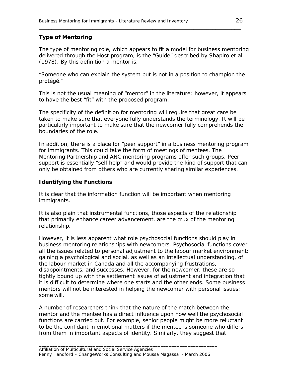# **Type of Mentoring**

The type of mentoring role, which appears to fit a model for business mentoring delivered through the Host program, is the "Guide" described by Shapiro et al. (1978). By this definition a mentor is,

**\_\_\_\_\_\_\_\_\_\_\_\_\_\_\_\_\_\_\_\_\_\_\_\_\_\_\_\_\_\_\_\_\_\_\_\_\_\_\_\_\_\_\_\_\_\_\_\_\_\_\_\_\_\_\_\_\_\_\_\_\_\_\_\_**

"Someone who can explain the system but is not in a position to champion the protégé."

This is not the usual meaning of "mentor" in the literature; however, it appears to have the best "fit" with the proposed program.

The specificity of the definition for mentoring will require that great care be taken to make sure that everyone fully understands the terminology. It will be particularly important to make sure that the newcomer fully comprehends the boundaries of the role.

In addition, there is a place for "peer support" in a business mentoring program for immigrants. This could take the form of meetings of mentees. The Mentoring Partnership and ANC mentoring programs offer such groups. Peer support is essentially "self help" and would provide the kind of support that can only be obtained from others who are currently sharing similar experiences.

## **Identifying the Functions**

It is clear that the information function will be important when mentoring immigrants.

It is also plain that instrumental functions, those aspects of the relationship that primarily enhance career advancement, are the crux of the mentoring relationship.

However, it is less apparent what role psychosocial functions should play in business mentoring relationships with newcomers. Psychosocial functions cover all the issues related to personal adjustment to the labour market environment: gaining a psychological and social, as well as an intellectual understanding, of the labour market in Canada and all the accompanying frustrations, disappointments, and successes. However, for the newcomer, these are so tightly bound up with the settlement issues of adjustment and integration that it is difficult to determine where one starts and the other ends. Some business mentors will not be interested in helping the newcomer with personal issues; some will.

A number of researchers think that the nature of the match between the mentor and the mentee has a direct influence upon how well the psychosocial functions are carried out. For example, senior people might be more reluctant to be the confidant in emotional matters if the mentee is someone who differs from them in important aspects of identity. Similarly, they suggest that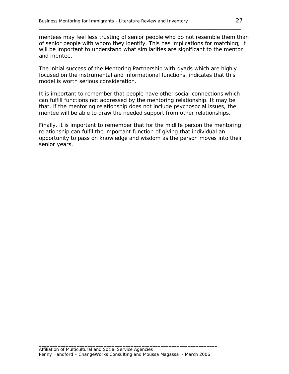mentees may feel less trusting of senior people who do not resemble them than of senior people with whom they identify. This has implications for matching; it will be important to understand what similarities are significant to the mentor and mentee.

**\_\_\_\_\_\_\_\_\_\_\_\_\_\_\_\_\_\_\_\_\_\_\_\_\_\_\_\_\_\_\_\_\_\_\_\_\_\_\_\_\_\_\_\_\_\_\_\_\_\_\_\_\_\_\_\_\_\_\_\_\_\_\_\_**

The initial success of the Mentoring Partnership with dyads which are highly focused on the instrumental and informational functions, indicates that this model is worth serious consideration.

It is important to remember that people have other social connections which can fulfill functions not addressed by the mentoring relationship. It may be that, if the mentoring relationship does not include psychosocial issues, the mentee will be able to draw the needed support from other relationships.

Finally, it is important to remember that for the midlife person the mentoring relationship can fulfil the important function of giving that individual an opportunity to pass on knowledge and wisdom as the person moves into their senior years.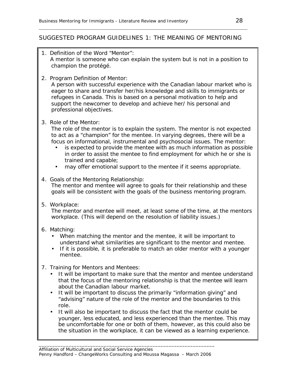*SUGGESTED PROGRAM GUIDELINES 1: THE MEANING OF MENTORING*

**\_\_\_\_\_\_\_\_\_\_\_\_\_\_\_\_\_\_\_\_\_\_\_\_\_\_\_\_\_\_\_\_\_\_\_\_\_\_\_\_\_\_\_\_\_\_\_\_\_\_\_\_\_\_\_\_\_\_\_\_\_\_\_\_\_\_**

- 1. Definition of the Word "Mentor": A mentor is someone who can explain the system but is not in a position to champion the protégé.
- 2. Program Definition of Mentor:

*A person with successful experience with the Canadian labour market who is eager to share and transfer her/his knowledge and skills to immigrants or refugees in Canada. This is based on a personal motivation to help and support the newcomer to develop and achieve her/ his personal and professional objectives.*

3. Role of the Mentor:

The role of the mentor is to explain the system. The mentor is not expected to act as a "champion" for the mentee. In varying degrees, there will be a focus on informational, instrumental and psychosocial issues. The mentor:

- is expected to provide the mentee with as much information as possible in order to assist the mentee to find employment for which he or she is trained and capable;
- may offer emotional support to the mentee if it seems appropriate.

# 4. Goals of the Mentoring Relationship:

The mentor and mentee will agree to goals for their relationship and these goals will be consistent with the goals of the business mentoring program.

5. Workplace:

The mentor and mentee will meet, at least some of the time, at the mentors workplace. (This will depend on the resolution of liability issues.)

- 6. Matching:
	- When matching the mentor and the mentee, it will be important to understand what similarities are significant to the mentor and mentee.
	- If it is possible, it is preferable to match an older mentor with a younger mentee.
- 7. Training for Mentors and Mentees:
	- It will be important to make sure that the mentor and mentee understand that the focus of the mentoring relationship is that the mentee will learn about the Canadian labour market.
	- It will be important to discuss the primarily "information giving" and "advising" nature of the role of the mentor and the boundaries to this role.
	- It will also be important to discuss the fact that the mentor could be younger, less educated, and less experienced than the mentee. This may be uncomfortable for one or both of them, however, as this could also be the situation in the workplace, it can be viewed as a learning experience.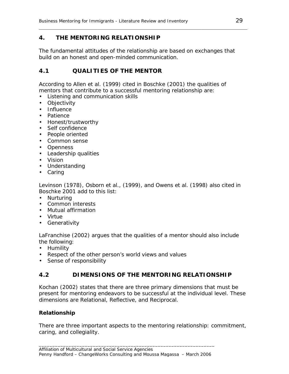# **4. THE MENTORING RELATIONSHIP**

The fundamental attitudes of the relationship are based on exchanges that build on an honest and open-minded communication.

**\_\_\_\_\_\_\_\_\_\_\_\_\_\_\_\_\_\_\_\_\_\_\_\_\_\_\_\_\_\_\_\_\_\_\_\_\_\_\_\_\_\_\_\_\_\_\_\_\_\_\_\_\_\_\_\_\_\_\_\_\_\_\_\_\_\_**

# **4.1 QUALITIES OF THE MENTOR**

According to Allen et al. (1999) cited in Boschke (2001) the qualities of mentors that contribute to a successful mentoring relationship are:

- Listening and communication skills
- **Objectivity**
- Influence
- Patience
- Honest/trustworthy
- Self confidence
- People oriented
- Common sense
- Openness
- Leadership qualities
- Vision
- Understanding
- Caring

Levinson (1978), Osborn et al., (1999), and Owens et al. (1998) also cited in Boschke 2001 add to this list:

- Nurturing
- Common interests
- Mutual affirmation
- Virtue
- Generativity

LaFranchise (2002) argues that the qualities of a mentor should also include the following:

- Humility
- Respect of the other person's world views and values
- Sense of responsibility

# **4.2 DIMENSIONS OF THE MENTORING RELATIONSHIP**

Kochan (2002) states that there are three primary dimensions that must be present for mentoring endeavors to be successful at the individual level. These dimensions are Relational, Reflective, and Reciprocal.

## **Relationship**

There are three important aspects to the mentoring relationship: commitment, caring, and collegiality.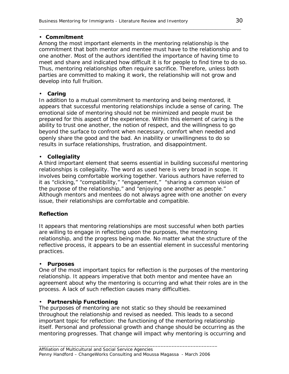### • *Commitment*

Among the most important elements in the mentoring relationship is the commitment that both mentor and mentee must have to the relationship and to one another. Most of the authors identified the importance of having time to meet and share and indicated how difficult it is for people to find time to do so. Thus, mentoring relationships often require sacrifice. Therefore, unless both parties are committed to making it work, the relationship will not grow and develop into full fruition.

**\_\_\_\_\_\_\_\_\_\_\_\_\_\_\_\_\_\_\_\_\_\_\_\_\_\_\_\_\_\_\_\_\_\_\_\_\_\_\_\_\_\_\_\_\_\_\_\_\_\_\_\_\_\_\_\_\_\_\_\_\_\_\_\_**

## • *Caring*

In addition to a mutual commitment to mentoring and being mentored, it appears that successful mentoring relationships include a sense of caring. The emotional side of mentoring should not be minimized and people must be prepared for this aspect of the experience. Within this element of caring is the ability to trust one another, the notion of respect, and the willingness to go beyond the surface to confront when necessary, comfort when needed and openly share the good and the bad. An inability or unwillingness to do so results in surface relationships, frustration, and disappointment.

# • *Collegiality*

A third important element that seems essential in building successful mentoring relationships is collegiality. The word as used here is very broad in scope. It involves being comfortable working together. Various authors have referred to it as "clicking," "compatibility," "engagement," "sharing a common vision of the purpose of the relationship," and "enjoying one another as people." Although mentors and mentees do not always agree with one another on every issue, their relationships are comfortable and compatible.

## **Reflection**

It appears that mentoring relationships are most successful when both parties are willing to engage in reflecting upon the purposes, the mentoring relationship, and the progress being made. No matter what the structure of the reflective process, it appears to be an essential element in successful mentoring practices.

## • *Purposes*

One of the most important topics for reflection is the purposes of the mentoring relationship. It appears imperative that both mentor and mentee have an agreement about why the mentoring is occurring and what their roles are in the process. A lack of such reflection causes many difficulties.

## • *Partnership Functioning*

The purposes of mentoring are not static so they should be reexamined throughout the relationship and revised as needed. This leads to a second important topic for reflection: the functioning of the mentoring relationship itself. Personal and professional growth and change should be occurring as the mentoring progresses. That change will impact why mentoring is occurring and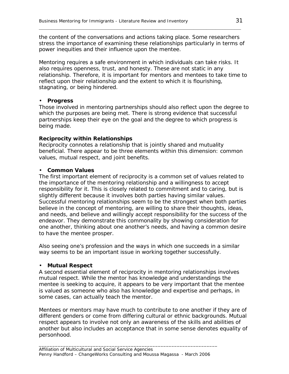the content of the conversations and actions taking place. Some researchers stress the importance of examining these relationships particularly in terms of power inequities and their influence upon the mentee.

**\_\_\_\_\_\_\_\_\_\_\_\_\_\_\_\_\_\_\_\_\_\_\_\_\_\_\_\_\_\_\_\_\_\_\_\_\_\_\_\_\_\_\_\_\_\_\_\_\_\_\_\_\_\_\_\_\_\_\_\_\_\_\_\_**

Mentoring requires a safe environment in which individuals can take risks. It also requires openness, trust, and honesty. These are not static in any relationship. Therefore, it is important for mentors and mentees to take time to reflect upon their relationship and the extent to which it is flourishing, stagnating, or being hindered.

# • *Progress*

Those involved in mentoring partnerships should also reflect upon the degree to which the purposes are being met. There is strong evidence that successful partnerships keep their eye on the goal and the degree to which progress is being made.

# **Reciprocity within Relationships**

Reciprocity connotes a relationship that is jointly shared and mutuality beneficial. There appear to be three elements within this dimension: common values, mutual respect, and joint benefits.

# • *Common Values*

The first important element of reciprocity is a common set of values related to the importance of the mentoring relationship and a willingness to accept responsibility for it. This is closely related to commitment and to caring, but is slightly different because it involves both parties having similar values. Successful mentoring relationships seem to be the strongest when both parties believe in the concept of mentoring, are willing to share their thoughts, ideas, and needs, and believe and willingly accept responsibility for the success of the endeavor. They demonstrate this commonality by showing consideration for one another, thinking about one another's needs, and having a common desire to have the mentee prosper.

Also seeing one's profession and the ways in which one succeeds in a similar way seems to be an important issue in working together successfully.

# • *Mutual Respect*

A second essential element of reciprocity in mentoring relationships involves mutual respect. While the mentor has knowledge and understandings the mentee is seeking to acquire, it appears to be very important that the mentee is valued as someone who also has knowledge and expertise and perhaps, in some cases, can actually teach the mentor.

Mentees or mentors may have much to contribute to one another if they are of different genders or come from differing cultural or ethnic backgrounds. Mutual respect appears to involve not only an awareness of the skills and abilities of another but also includes an acceptance that in some sense denotes equality of personhood.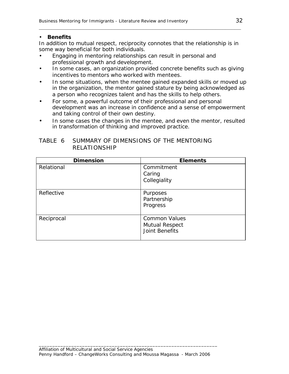## • *Benefits*

In addition to mutual respect, reciprocity connotes that the relationship is in some way beneficial for both individuals.

**\_\_\_\_\_\_\_\_\_\_\_\_\_\_\_\_\_\_\_\_\_\_\_\_\_\_\_\_\_\_\_\_\_\_\_\_\_\_\_\_\_\_\_\_\_\_\_\_\_\_\_\_\_\_\_\_\_\_\_\_\_\_\_\_**

- Engaging in mentoring relationships can result in personal and professional growth and development.
- In some cases, an organization provided concrete benefits such as giving incentives to mentors who worked with mentees.
- In some situations, when the mentee gained expanded skills or moved up in the organization, the mentor gained stature by being acknowledged as a person who recognizes talent and has the skills to help others.
- For some, a powerful outcome of their professional and personal development was an increase in confidence and a sense of empowerment and taking control of their own destiny.
- In some cases the changes in the mentee, and even the mentor, resulted in transformation of thinking and improved practice.

*TABLE 6 SUMMARY OF DIMENSIONS OF THE MENTORING RELATIONSHIP*

| <b>Dimension</b> | <b>Elements</b>                                                 |
|------------------|-----------------------------------------------------------------|
| Relational       | Commitment<br>Caring<br>Collegiality                            |
| Reflective       | Purposes<br>Partnership<br>Progress                             |
| Reciprocal       | <b>Common Values</b><br><b>Mutual Respect</b><br>Joint Benefits |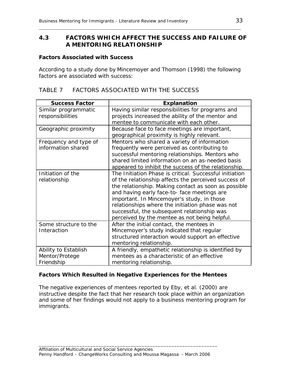# **4.3 FACTORS WHICH AFFECT THE SUCCESS AND FAILURE OF A MENTORING RELATIONSHIP**

**\_\_\_\_\_\_\_\_\_\_\_\_\_\_\_\_\_\_\_\_\_\_\_\_\_\_\_\_\_\_\_\_\_\_\_\_\_\_\_\_\_\_\_\_\_\_\_\_\_\_\_\_\_\_\_\_\_\_\_\_\_\_\_\_**

## **Factors Associated with Success**

According to a study done by Mincemoyer and Thomson (1998) the following factors are associated with success:

| <b>Success Factor</b> | <b>Explanation</b>                                      |  |
|-----------------------|---------------------------------------------------------|--|
| Similar programmatic  | Having similar responsibilities for programs and        |  |
| responsibilities      | projects increased the ability of the mentor and        |  |
|                       | mentee to communicate with each other.                  |  |
| Geographic proximity  | Because face to face meetings are important,            |  |
|                       | geographical proximity is highly relevant.              |  |
| Frequency and type of | Mentors who shared a variety of information             |  |
| information shared    | frequently were perceived as contributing to            |  |
|                       | successful mentoring relationships. Mentors who         |  |
|                       | shared limited information on an as-needed basis        |  |
|                       | appeared to inhibit the success of the relationship.    |  |
| Initiation of the     | The Initiation Phase is critical. Successful initiation |  |
| relationship          | of the relationship affects the perceived success of    |  |
|                       | the relationship. Making contact as soon as possible    |  |
|                       | and having early face-to- face meetings are             |  |
|                       | important. In Mincemoyer's study, in those              |  |
|                       | relationships where the initiation phase was not        |  |
|                       | successful, the subsequent relationship was             |  |
|                       | perceived by the mentee as not being helpful.           |  |
| Some structure to the | After the initial contact, the mentees in               |  |
| Interaction           | Mincemoyer's study indicated that regular               |  |
|                       | structured interaction would support an effective       |  |
|                       | mentoring relationship.                                 |  |
| Ability to Establish  | A friendly, empathetic relationship is identified by    |  |
| Mentor/Protege        | mentees as a characteristic of an effective             |  |
| Friendship            | mentoring relationship.                                 |  |

# *TABLE 7 FACTORS ASSOCIATED WITH THE SUCCESS*

## **Factors Which Resulted in Negative Experiences for the Mentees**

The negative experiences of mentees reported by Eby, et al. (2000) are instructive despite the fact that her research took place within an organization and some of her findings would not apply to a business mentoring program for immigrants.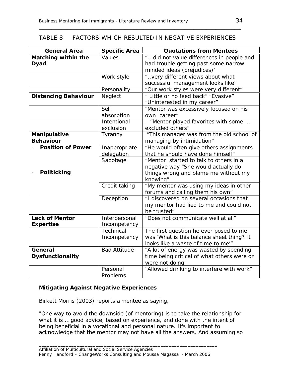# *TABLE 8 FACTORS WHICH RESULTED IN NEGATIVE EXPERIENCES*

**\_\_\_\_\_\_\_\_\_\_\_\_\_\_\_\_\_\_\_\_\_\_\_\_\_\_\_\_\_\_\_\_\_\_\_\_\_\_\_\_\_\_\_\_\_\_\_\_\_\_\_\_\_\_\_\_\_\_\_\_\_\_\_\_**

| <b>General Area</b>                | <b>Specific Area</b> | <b>Quotations from Mentees</b>                                                                                 |
|------------------------------------|----------------------|----------------------------------------------------------------------------------------------------------------|
| Matching within the<br><b>Dyad</b> | Values               | "did not value differences in people and<br>had trouble getting past some narrow<br>minded ideas (prejudices)' |
|                                    | Work style           | " very different views about what<br>successful management looks like"                                         |
|                                    | Personality          | "Our work styles were very different"                                                                          |
| <b>Distancing Behaviour</b>        | Neglect              | " Little or no feed back" "Evasive"<br>"Uninterested in my career"                                             |
|                                    | Self                 | "Mentor was excessively focused on his                                                                         |
|                                    | absorption           | own career"                                                                                                    |
|                                    | Intentional          | - "Mentor played favorites with some                                                                           |
|                                    | exclusion            | excluded others"                                                                                               |
| Manipulative<br><b>Behaviour</b>   | Tyranny              | "This manager was from the old school of<br>managing by intimidation"                                          |
| <b>Position of Power</b>           | Inappropriate        | "He would often give others assignments                                                                        |
|                                    | delegation           | that he should have done himself"                                                                              |
|                                    | Sabotage             | "Mentor started to talk to others in a                                                                         |
|                                    |                      | negative way "She would actually do                                                                            |
| Politicking                        |                      | things wrong and blame me without my<br>knowing"                                                               |
|                                    | Credit taking        | "My mentor was using my ideas in other<br>forums and calling them his own"                                     |
|                                    | Deception            | "I discovered on several occasions that                                                                        |
|                                    |                      | my mentor had lied to me and could not<br>be trusted"                                                          |
| <b>Lack of Mentor</b>              | Interpersonal        | "Does not communicate well at all"                                                                             |
| <b>Expertise</b>                   | Incompetency         |                                                                                                                |
|                                    | <b>Technical</b>     | The first question he ever posed to me                                                                         |
|                                    | Incompetency         | was 'What is this balance sheet thing? It                                                                      |
|                                    |                      | looks like a waste of time to me"                                                                              |
| General                            | <b>Bad Attitude</b>  | "A lot of energy was wasted by spending                                                                        |
| <b>Dysfunctionality</b>            |                      | time being critical of what others were or<br>were not doing"                                                  |
|                                    | Personal<br>Problems | "Allowed drinking to interfere with work"                                                                      |

## **Mitigating Against Negative Experiences**

Birkett Morris (2003) reports a mentee as saying,

"One way to avoid the downside (of mentoring) is to take the relationship for what it is … good advice, based on experience, and done with the intent of being beneficial in a vocational and personal nature. It's important to acknowledge that the mentor may not have all the answers. And assuming so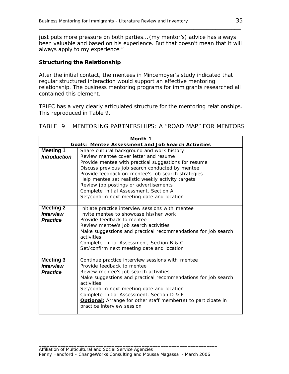just puts more pressure on both parties… (my mentor's) advice has always been valuable and based on his experience. But that doesn't mean that it will always apply to my experience."

**\_\_\_\_\_\_\_\_\_\_\_\_\_\_\_\_\_\_\_\_\_\_\_\_\_\_\_\_\_\_\_\_\_\_\_\_\_\_\_\_\_\_\_\_\_\_\_\_\_\_\_\_\_\_\_\_\_\_\_\_\_\_\_\_**

## **Structuring the Relationship**

After the initial contact, the mentees in Mincemoyer's study indicated that regular structured interaction would support an effective mentoring relationship. The business mentoring programs for immigrants researched all contained this element.

TRIEC has a very clearly articulated structure for the mentoring relationships. This reproduced in Table 9.

| Month 1                                                   |                                                                                                                                                                                                                                                                                                                                                                                                          |  |
|-----------------------------------------------------------|----------------------------------------------------------------------------------------------------------------------------------------------------------------------------------------------------------------------------------------------------------------------------------------------------------------------------------------------------------------------------------------------------------|--|
| <b>Goals: Mentee Assessment and Job Search Activities</b> |                                                                                                                                                                                                                                                                                                                                                                                                          |  |
| <b>Meeting 1</b><br><b>Introduction</b>                   | Share cultural background and work history<br>Review mentee cover letter and resume                                                                                                                                                                                                                                                                                                                      |  |
|                                                           | Provide mentee with practical suggestions for resume<br>Discuss previous job search conducted by mentee<br>Provide feedback on mentee's job search strategies<br>Help mentee set realistic weekly activity targets<br>Review job postings or advertisements<br>Complete Initial Assessment, Section A<br>Set/confirm next meeting date and location                                                      |  |
| <b>Meeting 2</b><br><b>Interview</b><br><b>Practice</b>   | Initiate practice interview sessions with mentee<br>Invite mentee to showcase his/her work<br>Provide feedback to mentee<br>Review mentee's job search activities<br>Make suggestions and practical recommendations for job search<br>activities<br>Complete Initial Assessment, Section B & C<br>Set/confirm next meeting date and location                                                             |  |
| <b>Meeting 3</b><br><b>Interview</b><br><b>Practice</b>   | Continue practice interview sessions with mentee<br>Provide feedback to mentee<br>Review mentee's job search activities<br>Make suggestions and practical recommendations for job search<br>activities<br>Set/confirm next meeting date and location<br>Complete Initial Assessment, Section D & E<br><b>Optional:</b> Arrange for other staff member(s) to participate in<br>practice interview session |  |

### *TABLE 9 MENTORING PARTNERSHIPS: A "ROAD MAP" FOR MENTORS*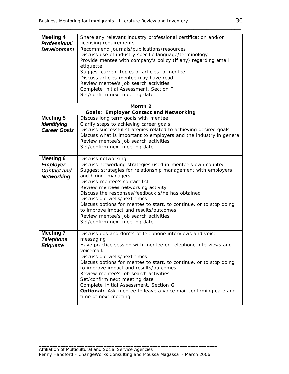| <b>Meeting 4</b>    | Share any relevant industry professional certification and/or         |
|---------------------|-----------------------------------------------------------------------|
| <b>Professional</b> | licensing requirements                                                |
| <b>Development</b>  | Recommend journals/publications/resources                             |
|                     | Discuss use of industry specific language/terminology                 |
|                     | Provide mentee with company's policy (if any) regarding email         |
|                     | etiquette                                                             |
|                     | Suggest current topics or articles to mentee                          |
|                     | Discuss articles mentee may have read                                 |
|                     | Review mentee's job search activities                                 |
|                     | Complete Initial Assessment, Section F                                |
|                     | Set/confirm next meeting date                                         |
|                     |                                                                       |
|                     | Month <sub>2</sub>                                                    |
|                     | <b>Goals: Employer Contact and Networking</b>                         |
| <b>Meeting 5</b>    | Discuss long term goals with mentee                                   |
| <b>Identifying</b>  | Clarify steps to achieving career goals                               |
| <b>Career Goals</b> | Discuss successful strategies related to achieving desired goals      |
|                     | Discuss what is important to employers and the industry in general    |
|                     | Review mentee's job search activities                                 |
|                     | Set/confirm next meeting date                                         |
|                     |                                                                       |
| <b>Meeting 6</b>    | Discuss networking                                                    |
| <b>Employer</b>     | Discuss networking strategies used in mentee's own country            |
| <b>Contact and</b>  | Suggest strategies for relationship management with employers         |
| <b>Networking</b>   | and hiring managers                                                   |
|                     | Discuss mentee's contact list                                         |
|                     | Review mentees networking activity                                    |
|                     | Discuss the responses/feedback s/he has obtained                      |
|                     | Discuss did wells/next times                                          |
|                     | Discuss options for mentee to start, to continue, or to stop doing    |
|                     | to improve impact and results/outcomes                                |
|                     | Review mentee's job search activities                                 |
|                     | Set/confirm next meeting date                                         |
| <b>Meeting 7</b>    | Discuss dos and don'ts of telephone interviews and voice              |
| <b>Telephone</b>    | messaging                                                             |
|                     | Have practice session with mentee on telephone interviews and         |
| <b>Etiquette</b>    | voicemail.                                                            |
|                     | Discuss did wells/next times                                          |
|                     |                                                                       |
|                     | Discuss options for mentee to start, to continue, or to stop doing    |
|                     | to improve impact and results/outcomes                                |
|                     | Review mentee's job search activities                                 |
|                     | Set/confirm next meeting date                                         |
|                     | Complete Initial Assessment, Section G                                |
|                     | <b>Optional:</b> Ask mentee to leave a voice mail confirming date and |
|                     | time of next meeting                                                  |
|                     |                                                                       |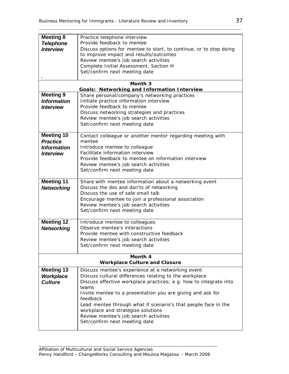| <b>Meeting 8</b>   | Practice telephone interview                                                                                |  |
|--------------------|-------------------------------------------------------------------------------------------------------------|--|
| <b>Telephone</b>   | Provide feedback to mentee                                                                                  |  |
| <b>Interview</b>   | Discuss options for mentee to start, to continue, or to stop doing                                          |  |
|                    | to improve impact and results/outcomes                                                                      |  |
|                    | Review mentee's job search activities                                                                       |  |
|                    | Complete Initial Assessment, Section H                                                                      |  |
|                    | Set/confirm next meeting date                                                                               |  |
|                    |                                                                                                             |  |
|                    | Month 3                                                                                                     |  |
|                    | <b>Goals: Networking and Information Interview</b>                                                          |  |
| <b>Meeting 9</b>   | Share personal/company's networking practices                                                               |  |
| <b>Information</b> | Initiate practice information interview                                                                     |  |
| <b>Interview</b>   | Provide feedback to mentee                                                                                  |  |
|                    | Discuss networking strategies and practices                                                                 |  |
|                    | Review mentee's job search activities                                                                       |  |
|                    | Set/confirm next meeting date                                                                               |  |
| <b>Meeting 10</b>  | Contact colleague or another mentor regarding meeting with                                                  |  |
| <b>Practice</b>    | mentee                                                                                                      |  |
| <b>Information</b> | Introduce mentee to colleague                                                                               |  |
|                    | Facilitate information interview                                                                            |  |
| <b>Interview</b>   | Provide feedback to mentee on information interview                                                         |  |
|                    |                                                                                                             |  |
|                    | Review mentee's job search activities<br>Set/confirm next meeting date                                      |  |
|                    |                                                                                                             |  |
| <b>Meeting 11</b>  | Share with mentee information about a networking event                                                      |  |
| <b>Networking</b>  | Discuss the dos and don'ts of networking                                                                    |  |
|                    | Discuss the use of safe small talk                                                                          |  |
|                    | Encourage mentee to join a professional association                                                         |  |
|                    | Review mentee's job search activities                                                                       |  |
|                    | Set/confirm next meeting date                                                                               |  |
|                    |                                                                                                             |  |
| <b>Meeting 12</b>  | Introduce mentee to colleagues                                                                              |  |
| <b>Networking</b>  | Observe mentee's interactions                                                                               |  |
|                    | Provide mentee with constructive feedback                                                                   |  |
|                    | Review mentee's job search activities                                                                       |  |
|                    | Set/confirm next meeting date                                                                               |  |
|                    |                                                                                                             |  |
|                    | Month 4<br><b>Workplace Culture and Closure</b>                                                             |  |
| <b>Meeting 13</b>  |                                                                                                             |  |
| <b>Workplace</b>   | Discuss mentee's experience at a networking event<br>Discuss cultural differences relating to the workplace |  |
| <b>Culture</b>     | Discuss effective workplace practices; e.g. how to integrate into                                           |  |
|                    | teams                                                                                                       |  |
|                    | Invite mentee to a presentation you are giving and ask for                                                  |  |
|                    | feedback                                                                                                    |  |
|                    | Lead mentee through what if scenario's that people face in the                                              |  |
|                    | workplace and strategize solutions                                                                          |  |
|                    | Review mentee's job search activities                                                                       |  |
|                    | Set/confirm next meeting date                                                                               |  |
|                    |                                                                                                             |  |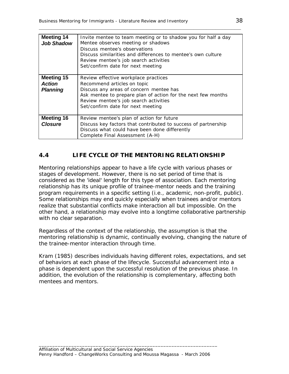| <b>Meeting 14</b><br><b>Job Shadow</b>                | Invite mentee to team meeting or to shadow you for half a day<br>Mentee observes meeting or shadows<br>Discuss mentee's observations<br>Discuss similarities and differences to mentee's own culture<br>Review mentee's job search activities<br>Set/confirm date for next meeting |
|-------------------------------------------------------|------------------------------------------------------------------------------------------------------------------------------------------------------------------------------------------------------------------------------------------------------------------------------------|
| <b>Meeting 15</b><br><b>Action</b><br><b>Planning</b> | Review effective workplace practices<br>Recommend articles on topic<br>Discuss any areas of concern mentee has<br>Ask mentee to prepare plan of action for the next few months<br>Review mentee's job search activities<br>Set/confirm date for next meeting                       |
| Meeting 16<br><b>Closure</b>                          | Review mentee's plan of action for future<br>Discuss key factors that contributed to success of partnership<br>Discuss what could have been done differently<br>Complete Final Assessment (A-H)                                                                                    |

# **4.4 LIFE CYCLE OF THE MENTORING RELATIONSHIP**

Mentoring relationships appear to have a life cycle with various phases or stages of development. However, there is no set period of time that is considered as the 'ideal' length for this type of association. Each mentoring relationship has its unique profile of trainee-mentor needs and the training program requirements in a specific setting (i.e., academic, non-profit, public). Some relationships may end quickly especially when trainees and/or mentors realize that substantial conflicts make interaction all but impossible. On the other hand, a relationship may evolve into a longtime collaborative partnership with no clear separation.

Regardless of the context of the relationship, the assumption is that the mentoring relationship is dynamic, continually evolving, changing the nature of the trainee-mentor interaction through time.

Kram (1985) describes individuals having different roles, expectations, and set of behaviors at each phase of the lifecycle. Successful advancement into a phase is dependent upon the successful resolution of the previous phase. In addition, the evolution of the relationship is complementary, affecting both mentees and mentors.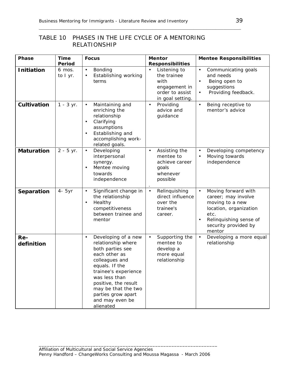# *TABLE 10 PHASES IN THE LIFE CYCLE OF A MENTORING RELATIONSHIP*

**\_\_\_\_\_\_\_\_\_\_\_\_\_\_\_\_\_\_\_\_\_\_\_\_\_\_\_\_\_\_\_\_\_\_\_\_\_\_\_\_\_\_\_\_\_\_\_\_\_\_\_\_\_\_\_\_\_\_\_\_\_\_\_\_**

| <b>Phase</b>       | <b>Time</b><br>Period | <b>Focus</b>                                                                                                                                                                                                                                                                  | <b>Mentor</b><br><b>Responsibilities</b>                                                                 | <b>Mentee Responsibilities</b>                                                                                                                                                        |
|--------------------|-----------------------|-------------------------------------------------------------------------------------------------------------------------------------------------------------------------------------------------------------------------------------------------------------------------------|----------------------------------------------------------------------------------------------------------|---------------------------------------------------------------------------------------------------------------------------------------------------------------------------------------|
| <b>Initiation</b>  | 6 mos.<br>to I yr.    | Bonding<br>$\bullet$<br>Establishing working<br>$\bullet$<br>terms                                                                                                                                                                                                            | Listening to<br>$\bullet$<br>the trainee<br>with<br>engagement in<br>order to assist<br>in goal setting. | Communicating goals<br>$\bullet$<br>and needs<br>Being open to<br>$\bullet$<br>suggestions<br>Providing feedback.<br>$\bullet$                                                        |
| <b>Cultivation</b> | $1 - 3$ yr.           | Maintaining and<br>$\bullet$<br>enriching the<br>relationship<br>Clarifying<br>$\bullet$<br>assumptions<br>Establishing and<br>$\bullet$<br>accomplishing work-<br>related goals.                                                                                             | Providing<br>$\bullet$<br>advice and<br>guidance                                                         | Being receptive to<br>$\bullet$<br>mentor's advice                                                                                                                                    |
| <b>Maturation</b>  | $2 - 5$ yr.           | Developing<br>$\bullet$<br>interpersonal<br>synergy.<br>Mentee moving<br>$\bullet$<br>towards<br>independence                                                                                                                                                                 | Assisting the<br>$\bullet$<br>mentee to<br>achieve career<br>goals<br>whenever<br>possible               | Developing competency<br>$\bullet$<br>Moving towards<br>$\bullet$<br>independence                                                                                                     |
| Separation         | $4 - 5yr$             | Significant change in<br>$\bullet$<br>the relationship<br>Healthy<br>$\bullet$<br>competitiveness<br>between trainee and<br>mentor                                                                                                                                            | Relinquishing<br>$\bullet$<br>direct influence<br>over the<br>trainee's<br>career.                       | Moving forward with<br>$\bullet$<br>career; may involve<br>moving to a new<br>location, organization<br>etc.<br>Relinquishing sense of<br>$\bullet$<br>security provided by<br>mentor |
| Re-<br>definition  |                       | Developing of a new<br>$\bullet$<br>relationship where<br>both parties see<br>each other as<br>colleagues and<br>equals. If the<br>trainee's experience<br>was less than<br>positive, the result<br>may be that the two<br>parties grow apart<br>and may even be<br>alienated | Supporting the<br>$\bullet$<br>mentee to<br>develop a<br>more equal<br>relationship                      | Developing a more equal<br>$\bullet$<br>relationship                                                                                                                                  |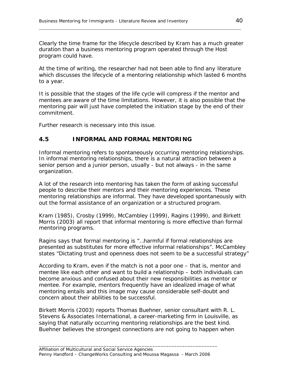Clearly the time frame for the lifecycle described by Kram has a much greater duration than a business mentoring program operated through the Host program could have.

**\_\_\_\_\_\_\_\_\_\_\_\_\_\_\_\_\_\_\_\_\_\_\_\_\_\_\_\_\_\_\_\_\_\_\_\_\_\_\_\_\_\_\_\_\_\_\_\_\_\_\_\_\_\_\_\_\_\_\_\_\_\_\_\_**

At the time of writing, the researcher had not been able to find any literature which discusses the lifecycle of a mentoring relationship which lasted 6 months to a year.

It is possible that the stages of the life cycle will compress if the mentor and mentees are aware of the time limitations. However, it is also possible that the mentoring pair will just have completed the initiation stage by the end of their commitment.

Further research is necessary into this issue.

# **4.5 INFORMAL AND FORMAL MENTORING**

Informal mentoring refers to spontaneously occurring mentoring relationships. In informal mentoring relationships, there is a natural attraction between a senior person and a junior person, usually - but not always - in the same organization.

A lot of the research into mentoring has taken the form of asking successful people to describe their mentors and their mentoring experiences. These mentoring relationships are informal. They have developed spontaneously with out the formal assistance of an organization or a structured program.

Kram (1985), Crosby (1999), McCambley (1999), Ragins (1999), and Birkett Morris (2003) all report that informal mentoring is more effective than formal mentoring programs.

Ragins says that formal mentoring is "…harmful if formal relationships are presented as substitutes for more effective informal relationships". McCambley states "Dictating trust and openness does not seem to be a successful strategy"

According to Kram, even if the match is not a poor one – that is, mentor and mentee like each other and want to build a relationship – both individuals can become anxious and confused about their new responsibilities as mentor or mentee. For example, mentors frequently have an idealized image of what mentoring entails and this image may cause considerable self-doubt and concern about their abilities to be successful.

Birkett Morris (2003) reports Thomas Buehner, senior consultant with R. L. Stevens & Associates International, a career-marketing firm in Louisville, as saying that naturally occurring mentoring relationships are the best kind. Buehner believes the strongest connections are not going to happen when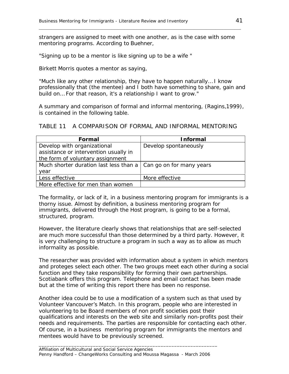strangers are assigned to meet with one another, as is the case with some mentoring programs. According to Buehner,

**\_\_\_\_\_\_\_\_\_\_\_\_\_\_\_\_\_\_\_\_\_\_\_\_\_\_\_\_\_\_\_\_\_\_\_\_\_\_\_\_\_\_\_\_\_\_\_\_\_\_\_\_\_\_\_\_\_\_\_\_\_\_\_\_**

"Signing up to be a mentor is like signing up to be a wife "

Birkett Morris quotes a mentor as saying,

"Much like any other relationship, they have to happen naturally… I know professionally that (the mentee) and I both have something to share, gain and build on… For that reason, it's a relationship I want to grow."

A summary and comparison of formal and informal mentoring, (Ragins,1999), is contained in the following table.

| TABLE 11 A COMPARISON OF FORMAL AND INFORMAL MENTORING |  |  |
|--------------------------------------------------------|--|--|
|                                                        |  |  |

| Formal                                 | <b>Informal</b>          |
|----------------------------------------|--------------------------|
| Develop with organizational            | Develop spontaneously    |
| assistance or intervention usually in  |                          |
| the form of voluntary assignment       |                          |
| Much shorter duration last less than a | Can go on for many years |
| vear                                   |                          |
| Less effective                         | More effective           |
| More effective for men than women      |                          |

The formality, or lack of it, in a business mentoring program for immigrants is a thorny issue. Almost by definition, a business mentoring program for immigrants, delivered through the Host program, is going to be a formal, structured, program.

However, the literature clearly shows that relationships that are self-selected are much more successful than those determined by a third party. However, it is very challenging to structure a program in such a way as to allow as much informality as possible.

The researcher was provided with information about a system in which mentors and proteges select each other. The two groups meet each other during a social function and they take responsibility for forming their own partnerships. Scotiabank offers this program. Telephone and email contact has been made but at the time of writing this report there has been no response.

Another idea could be to use a modification of a system such as that used by Volunteer Vancouver's Match. In this program, people who are interested in volunteering to be Board members of non profit societies post their qualifications and interests on the web site and similarly non-profits post their needs and requirements. The parties are responsible for contacting each other. Of course, in a business mentoring program for immigrants the mentors and mentees would have to be previously screened.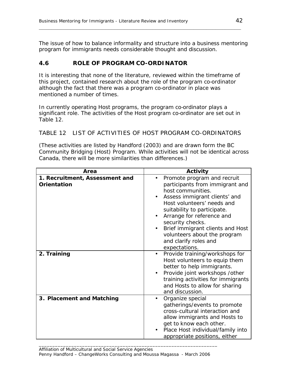The issue of how to balance informality and structure into a business mentoring program for immigrants needs considerable thought and discussion.

**\_\_\_\_\_\_\_\_\_\_\_\_\_\_\_\_\_\_\_\_\_\_\_\_\_\_\_\_\_\_\_\_\_\_\_\_\_\_\_\_\_\_\_\_\_\_\_\_\_\_\_\_\_\_\_\_\_\_\_\_\_\_\_\_**

# **4.6 ROLE OF PROGRAM CO-ORDINATOR**

It is interesting that none of the literature, reviewed within the timeframe of this project, contained research about the role of the program co-ordinator although the fact that there was a program co-ordinator in place was mentioned a number of times.

In currently operating Host programs, the program co-ordinator plays a significant role. The activities of the Host program co-ordinator are set out in Table 12.

## *TABLE 12 LIST OF ACTIVITIES OF HOST PROGRAM CO-ORDINATORS*

(These activities are listed by Handford (2003) and are drawn form the BC Community Bridging (Host) Program. While activities will not be identical across Canada, there will be more similarities than differences.)

| Area                                                 | Activity                                                                                                                                                                                                                                                                                                                                                                   |
|------------------------------------------------------|----------------------------------------------------------------------------------------------------------------------------------------------------------------------------------------------------------------------------------------------------------------------------------------------------------------------------------------------------------------------------|
| 1. Recruitment, Assessment and<br><b>Orientation</b> | Promote program and recruit<br>$\bullet$<br>participants from immigrant and<br>host communities.<br>Assess immigrant clients' and<br>$\bullet$<br>Host volunteers' needs and<br>suitability to participate.<br>Arrange for reference and<br>security checks.<br>Brief immigrant clients and Host<br>volunteers about the program<br>and clarify roles and<br>expectations. |
| 2. Training                                          | Provide training/workshops for<br>$\bullet$<br>Host volunteers to equip them<br>better to help immigrants.<br>Provide joint workshops /other<br>training activities for immigrants<br>and Hosts to allow for sharing<br>and discussion.                                                                                                                                    |
| 3. Placement and Matching                            | Organize special<br>gatherings/events to promote<br>cross-cultural interaction and<br>allow immigrants and Hosts to<br>get to know each other.<br>Place Host individual/family into<br>appropriate positions, either                                                                                                                                                       |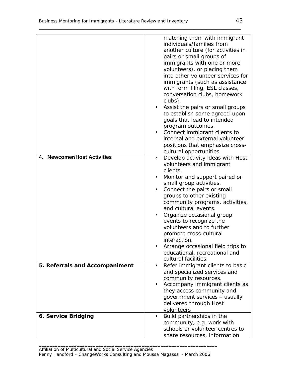| 4. Newcomer/Host Activities    | matching them with immigrant<br>individuals/families from<br>another culture (for activities in<br>pairs or small groups of<br>immigrants with one or more<br>volunteers), or placing them<br>into other volunteer services for<br>immigrants (such as assistance<br>with form filing, ESL classes,<br>conversation clubs, homework<br>clubs).<br>Assist the pairs or small groups<br>to establish some agreed-upon<br>goals that lead to intended<br>program outcomes.<br>Connect immigrant clients to<br>internal and external volunteer<br>positions that emphasize cross-<br>cultural opportunities.<br>Develop activity ideas with Host<br>$\bullet$<br>volunteers and immigrant<br>clients.<br>Monitor and support paired or<br>small group activities.<br>Connect the pairs or small<br>groups to other existing<br>community programs, activities,<br>and cultural events.<br>Organize occasional group<br>events to recognize the<br>volunteers and to further<br>promote cross-cultural<br>interaction.<br>Arrange occasional field trips to<br>educational, recreational and<br>cultural facilities. |
|--------------------------------|-----------------------------------------------------------------------------------------------------------------------------------------------------------------------------------------------------------------------------------------------------------------------------------------------------------------------------------------------------------------------------------------------------------------------------------------------------------------------------------------------------------------------------------------------------------------------------------------------------------------------------------------------------------------------------------------------------------------------------------------------------------------------------------------------------------------------------------------------------------------------------------------------------------------------------------------------------------------------------------------------------------------------------------------------------------------------------------------------------------------|
| 5. Referrals and Accompaniment | Refer immigrant clients to basic<br>$\bullet$<br>and specialized services and                                                                                                                                                                                                                                                                                                                                                                                                                                                                                                                                                                                                                                                                                                                                                                                                                                                                                                                                                                                                                                   |
|                                | community resources.<br>Accompany immigrant clients as                                                                                                                                                                                                                                                                                                                                                                                                                                                                                                                                                                                                                                                                                                                                                                                                                                                                                                                                                                                                                                                          |
|                                | they access community and                                                                                                                                                                                                                                                                                                                                                                                                                                                                                                                                                                                                                                                                                                                                                                                                                                                                                                                                                                                                                                                                                       |
|                                | government services - usually<br>delivered through Host                                                                                                                                                                                                                                                                                                                                                                                                                                                                                                                                                                                                                                                                                                                                                                                                                                                                                                                                                                                                                                                         |
|                                | volunteers                                                                                                                                                                                                                                                                                                                                                                                                                                                                                                                                                                                                                                                                                                                                                                                                                                                                                                                                                                                                                                                                                                      |
| 6. Service Bridging            | Build partnerships in the<br>community, e.g. work with                                                                                                                                                                                                                                                                                                                                                                                                                                                                                                                                                                                                                                                                                                                                                                                                                                                                                                                                                                                                                                                          |
|                                | schools or volunteer centres to                                                                                                                                                                                                                                                                                                                                                                                                                                                                                                                                                                                                                                                                                                                                                                                                                                                                                                                                                                                                                                                                                 |
|                                | share resources, information                                                                                                                                                                                                                                                                                                                                                                                                                                                                                                                                                                                                                                                                                                                                                                                                                                                                                                                                                                                                                                                                                    |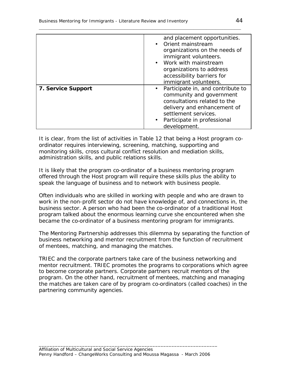|                    | and placement opportunities.<br>• Orient mainstream<br>organizations on the needs of<br>immigrant volunteers.<br>Work with mainstream<br>$\bullet$<br>organizations to address<br>accessibility barriers for<br>immigrant volunteers. |
|--------------------|---------------------------------------------------------------------------------------------------------------------------------------------------------------------------------------------------------------------------------------|
| 7. Service Support | Participate in, and contribute to<br>$\bullet$<br>community and government<br>consultations related to the<br>delivery and enhancement of<br>settlement services.<br>Participate in professional<br>$\bullet$<br>development.         |

It is clear, from the list of activities in Table 12 that being a Host program coordinator requires interviewing, screening, matching, supporting and monitoring skills, cross cultural conflict resolution and mediation skills, administration skills, and public relations skills.

It is likely that the program co-ordinator of a business mentoring program offered through the Host program will require these skills *plus* the ability to speak the language of business and to network with business people.

Often individuals who are skilled in working with people and who are drawn to work in the non-profit sector do not have knowledge of, and connections in, the business sector. A person who had been the co-ordinator of a traditional Host program talked about the enormous learning curve she encountered when she became the co-ordinator of a business mentoring program for immigrants.

The Mentoring Partnership addresses this dilemma by separating the function of business networking and mentor recruitment from the function of recruitment of mentees, matching, and managing the matches.

TRIEC and the corporate partners take care of the business networking and mentor recruitment. TRIEC promotes the programs to corporations which agree to become corporate partners. Corporate partners recruit mentors of the program. On the other hand, recruitment of mentees, matching and managing the matches are taken care of by program co-ordinators (called coaches) in the partnering community agencies.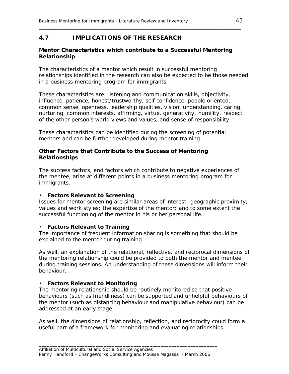# **4.7 IMPLICATIONS OF THE RESEARCH**

### **Mentor Characteristics which contribute to a Successful Mentoring Relationship**

**\_\_\_\_\_\_\_\_\_\_\_\_\_\_\_\_\_\_\_\_\_\_\_\_\_\_\_\_\_\_\_\_\_\_\_\_\_\_\_\_\_\_\_\_\_\_\_\_\_\_\_\_\_\_\_\_\_\_\_\_\_\_\_\_**

The characteristics of a mentor which result in successful mentoring relationships identified in the research can also be expected to be those needed in a business mentoring program for immigrants.

These characteristics are: listening and communication skills, objectivity, influence, patience, honest/trustworthy, self confidence, people oriented, common sense, openness, leadership qualities, vision, understanding, caring, nurturing, common interests, affirming, virtue, generativity, humility, respect of the other person's world views and values, and sense of responsibility.

These characteristics can be identified during the screening of potential mentors and can be further developed during mentor training.

#### **Other Factors that Contribute to the Success of Mentoring Relationships**

The success factors, and factors which contribute to negative experiences of the mentee, arise at different points in a business mentoring program for immigrants.

### • *Factors Relevant to Screening*

Issues for mentor screening are similar areas of interest; geographic proximity; values and work styles; the expertise of the mentor; and to some extent the successful functioning of the mentor in his or her personal life.

# • *Factors Relevant to Training*

The importance of frequent information sharing is something that should be explained to the mentor during training.

As well, an explanation of the relational, reflective, and reciprocal dimensions of the mentoring relationship could be provided to both the mentor and mentee during training sessions. An understanding of these dimensions will inform their behaviour.

# • *Factors Relevant to Monitoring*

The mentoring relationship should be routinely monitored so that positive behaviours (such as friendliness) can be supported and unhelpful behaviours of the mentor (such as distancing behaviour and manipulative behaviour) can be addressed at an early stage.

As well, the dimensions of relationship, reflection, and reciprocity could form a useful part of a framework for monitoring and evaluating relationships.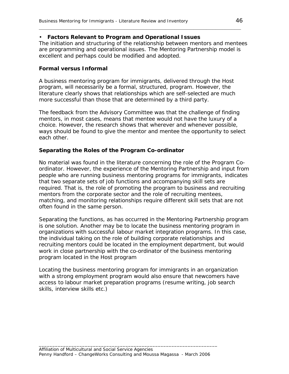### • *Factors Relevant to Program and Operational Issues*

The initiation and structuring of the relationship between mentors and mentees are programming and operational issues. The Mentoring Partnership model is excellent and perhaps could be modified and adopted.

**\_\_\_\_\_\_\_\_\_\_\_\_\_\_\_\_\_\_\_\_\_\_\_\_\_\_\_\_\_\_\_\_\_\_\_\_\_\_\_\_\_\_\_\_\_\_\_\_\_\_\_\_\_\_\_\_\_\_\_\_\_\_\_\_**

## **Formal versus Informal**

A business mentoring program for immigrants, delivered through the Host program, will necessarily be a formal, structured, program. However, the literature clearly shows that relationships which are self-selected are much more successful than those that are determined by a third party.

The feedback from the Advisory Committee was that the challenge of finding mentors, in most cases, means that mentee would not have the luxury of a choice. However, the research shows that wherever and whenever possible, ways should be found to give the mentor and mentee the opportunity to select each other.

### **Separating the Roles of the Program Co-ordinator**

No material was found in the literature concerning the role of the Program Coordinator. However, the experience of the Mentoring Partnership and input from people who are running business mentoring programs for immigrants, indicates that two separate sets of job functions and accompanying skill sets are required. That is, the role of promoting the program to business and recruiting mentors from the corporate sector and the role of recruiting mentees, matching, and monitoring relationships require different skill sets that are not often found in the same person.

Separating the functions, as has occurred in the Mentoring Partnership program is one solution. Another may be to locate the business mentoring program in organizations with successful labour market integration programs. In this case, the individual taking on the role of building corporate relationships and recruiting mentors could be located in the employment department, but would work in close partnership with the co-ordinator of the business mentoring program located in the Host program

Locating the business mentoring program for immigrants in an organization with a strong employment program would also ensure that newcomers have access to labour market preparation programs (resume writing, job search skills, interview skills etc.)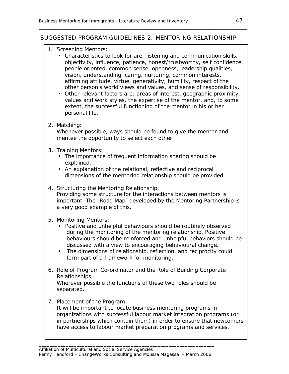# *SUGGESTED PROGRAM GUIDELINES 2: MENTORING RELATIONSHIP*

**\_\_\_\_\_\_\_\_\_\_\_\_\_\_\_\_\_\_\_\_\_\_\_\_\_\_\_\_\_\_\_\_\_\_\_\_\_\_\_\_\_\_\_\_\_\_\_\_\_\_\_\_\_\_\_\_\_\_\_\_\_\_\_\_\_\_**

- 1. Screening Mentors:
	- Characteristics to look for are: listening and communication skills, objectivity, influence, patience, honest/trustworthy, self confidence, people oriented, common sense, openness, leadership qualities, vision, understanding, caring, nurturing, common interests, affirming attitude, virtue, generativity, humility, respect of the other person's world views and values, and sense of responsibility.
	- Other relevant factors are: areas of interest, geographic proximity, values and work styles, the expertise of the mentor, and, to some extent, the successful functioning of the mentor in his or her personal life.
- 2. Matching:

Whenever possible, ways should be found to give the mentor and mentee the opportunity to select each other.

- 3. Training Mentors:
	- The importance of frequent information sharing should be explained.
	- An explanation of the relational, reflective and reciprocal dimensions of the mentoring relationship should be provided.
- 4. Structuring the Mentoring Relationship: Providing some structure for the interactions between mentors is important. The "Road Map" developed by the Mentoring Partnership is a very good example of this.
- 5. Monitoring Mentors:
	- Positive and unhelpful behaviours should be routinely observed during the monitoring of the mentoring relationship. Positive behaviours should be reinforced and unhelpful behaviors should be discussed with a view to encouraging behavioural change.
	- The dimensions of relationship, reflection, and reciprocity could form part of a framework for monitoring.
- 6. Role of Program Co-ordinator and the Role of Building Corporate Relationships: Wherever possible the functions of these two roles should be separated.
- 7. Placement of the Program:

It will be important to locate business mentoring programs in organizations with successful labour market integration programs (or in partnerships which contain them) in order to ensure that newcomers have access to labour market preparation programs and services.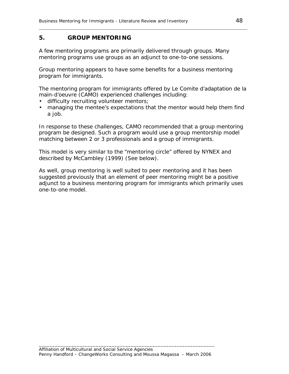# **5. GROUP MENTORING**

A few mentoring programs are primarily delivered through groups. Many mentoring programs use groups as an adjunct to one-to-one sessions.

Group mentoring appears to have some benefits for a business mentoring program for immigrants.

The mentoring program for immigrants offered by Le Comite d'adaptation de la main-d'oeuvre (CAMO) experienced challenges including:

**\_\_\_\_\_\_\_\_\_\_\_\_\_\_\_\_\_\_\_\_\_\_\_\_\_\_\_\_\_\_\_\_\_\_\_\_\_\_\_\_\_\_\_\_\_\_\_\_\_\_\_\_\_\_\_\_\_\_\_\_\_\_\_\_\_\_**

- difficulty recruiting volunteer mentors;
- managing the mentee's expectations that the mentor would help them find a job.

In response to these challenges, CAMO recommended that a group mentoring program be designed. Such a program would use a group mentorship model matching between 2 or 3 professionals and a group of immigrants.

This model is very similar to the "mentoring circle" offered by NYNEX and described by McCambley (1999) (See below).

As well, group mentoring is well suited to peer mentoring and it has been suggested previously that an element of peer mentoring might be a positive adjunct to a business mentoring program for immigrants which primarily uses one-to-one model.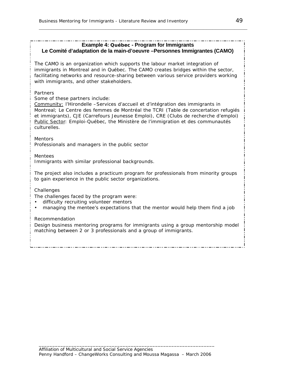#### **Example 4: Québec - Program for Immigrants Le Comité d'adaptation de la main-d'oeuvre –Personnes Immigrantes (CAMO)**

**\_\_\_\_\_\_\_\_\_\_\_\_\_\_\_\_\_\_\_\_\_\_\_\_\_\_\_\_\_\_\_\_\_\_\_\_\_\_\_\_\_\_\_\_\_\_\_\_\_\_\_\_\_\_\_\_\_\_\_\_\_\_\_\_\_\_**

The CAMO is an organization which supports the labour market integration of immigrants in Montreal and in Québec. The CAMO creates bridges within the sector, facilitating networks and resource-sharing between various service providers working with immigrants, and other stakeholders.

#### *Partners*

Some of these partners include:

Community: l'Hirondelle –Services d'accueil et d'intégration des immigrants in Montreal; Le Centre des femmes de Montréal the TCRI (Table de concertation refugiés et immigrants), CJE (Carrefours Jeunesse Emploi), CRE (Clubs de recherche d'emploi) Public Sector: Emploi-Québec, the *Ministère de l'immigration et des communautés culturelles.*

#### *Mentors*

Professionals and managers in the public sector

#### *Mentees*

Immigrants with similar professional backgrounds.

The project also includes a practicum program for professionals from minority groups to gain experience in the public sector organizations.

#### *Challenges*

The challenges faced by the program were:

- difficulty recruiting volunteer mentors
- managing the mentee's expectations that the mentor would help them find a job

#### *Recommendation*

Design business mentoring programs for immigrants using a group mentorship model matching between 2 or 3 professionals and a group of immigrants.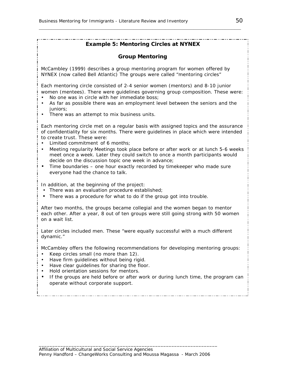# **Example 5: Mentoring Circles at NYNEX**

**\_\_\_\_\_\_\_\_\_\_\_\_\_\_\_\_\_\_\_\_\_\_\_\_\_\_\_\_\_\_\_\_\_\_\_\_\_\_\_\_\_\_\_\_\_\_\_\_\_\_\_\_\_\_\_\_\_\_\_\_\_\_\_\_**

### **Group Mentoring**

McCambley (1999) describes a group mentoring program for women offered by NYNEX (now called Bell Atlantic) The groups were called "mentoring circles"

Each mentoring circle consisted of 2-4 senior women (mentors) and 8-10 junior women (mentees). There were guidelines governing group composition. These were:

- No one was in circle with her immediate boss;
- As far as possible there was an employment level between the seniors and the juniors;
- There was an attempt to mix business units.

Each mentoring circle met on a regular basis with assigned topics and the assurance of confidentiality for six months. There were guidelines in place which were intended to create trust. These were:

- *Limited commitment* of 6 months;
- *Meeting regularity* Meetings took place before or after work or at lunch 5-6 weeks meet once a week. Later they could switch to once a month participants would decide on the discussion topic one week in advance;
- *Time boundaries* one hour exactly recorded by timekeeper who made sure everyone had the chance to talk.

In addition, at the beginning of the project:

- There was an evaluation procedure established;
- There was a procedure for what to do if the group got into trouble.

After two months, the groups became collegial and the women began to mentor each other. After a year, 8 out of ten groups were still going strong with 50 women on a wait list.

Later circles included men. These "were equally successful with a much different dynamic."

McCambley offers the following recommendations for developing mentoring groups:

- Keep circles small (no more than 12).
- Have firm guidelines without being rigid.
- Have clear quidelines for sharing the floor.
- Hold orientation sessions for mentors.
- If the groups are held before or after work or during lunch time, the program can operate without corporate support.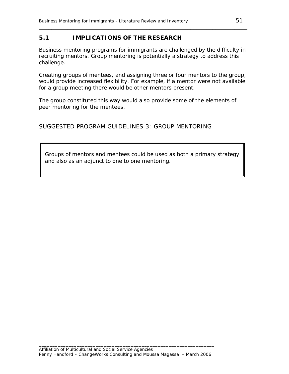# **5.1 IMPLICATIONS OF THE RESEARCH**

Business mentoring programs for immigrants are challenged by the difficulty in recruiting mentors. Group mentoring is potentially a strategy to address this challenge.

**\_\_\_\_\_\_\_\_\_\_\_\_\_\_\_\_\_\_\_\_\_\_\_\_\_\_\_\_\_\_\_\_\_\_\_\_\_\_\_\_\_\_\_\_\_\_\_\_\_\_\_\_\_\_\_\_\_\_\_\_\_\_\_\_\_\_**

Creating groups of mentees, and assigning three or four mentors to the group, would provide increased flexibility. For example, if a mentor were not available for a group meeting there would be other mentors present.

The group constituted this way would also provide some of the elements of peer mentoring for the mentees.

*SUGGESTED PROGRAM GUIDELINES 3: GROUP MENTORING*

Groups of mentors and mentees could be used as both a primary strategy and also as an adjunct to one to one mentoring.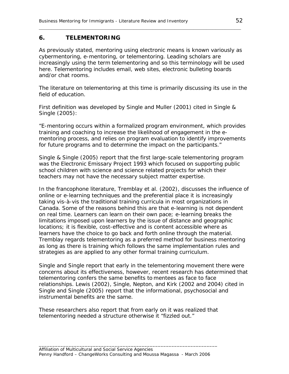# **6. TELEMENTORING**

As previously stated, mentoring using electronic means is known variously as cybermentoring, e-mentoring, or telementoring. Leading scholars are increasingly using the term telementoring and so this terminology will be used here. Telementoring includes email, web sites, electronic bulleting boards and/or chat rooms.

**\_\_\_\_\_\_\_\_\_\_\_\_\_\_\_\_\_\_\_\_\_\_\_\_\_\_\_\_\_\_\_\_\_\_\_\_\_\_\_\_\_\_\_\_\_\_\_\_\_\_\_\_\_\_\_\_\_\_\_\_\_\_\_\_**

The literature on telementoring at this time is primarily discussing its use in the field of education.

First definition was developed by Single and Muller (2001) cited in Single & Single (2005):

"E-mentoring occurs within a formalized program environment, which provides training and coaching to increase the likelihood of engagement in the ementoring process, and relies on program evaluation to identify improvements for future programs and to determine the impact on the participants."

Single & Single (2005) report that the first large-scale telementoring program was the Electronic Emissary Project 1993 which focused on supporting public school children with science and science related projects for which their teachers may not have the necessary subject matter expertise.

In the francophone literature, Tremblay et al. (2002), discusses the influence of online or e-learning techniques and the preferential place it is increasingly taking vis-à-vis the traditional training curricula in most organizations in Canada. Some of the reasons behind this are that e-learning is not dependent on real time. Learners can learn on their own pace; e-learning breaks the limitations imposed upon learners by the issue of distance and geographic locations; it is flexible, cost-effective and is content accessible where as learners have the choice to go back and forth online through the material. Tremblay regards telementoring as a preferred method for business mentoring as long as there is training which follows the same implementation rules and strategies as are applied to any other formal training curriculum.

Single and Single report that early in the telementoring movement there were concerns about its effectiveness, however, recent research has determined that telementoring confers the same benefits to mentees as face to face relationships. Lewis (2002), Single, Nepton, and Kirk (2002 and 2004) cited in Single and Single (2005) report that the informational, psychosocial and instrumental benefits are the same.

These researchers also report that from early on it was realized that telementoring needed a structure otherwise it "fizzled out."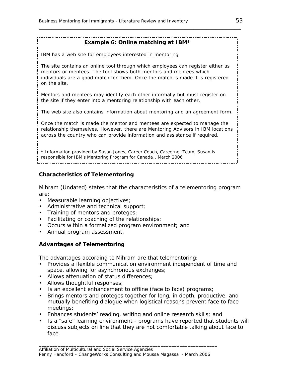# **Example 6: Online matching at IBM\***

**\_\_\_\_\_\_\_\_\_\_\_\_\_\_\_\_\_\_\_\_\_\_\_\_\_\_\_\_\_\_\_\_\_\_\_\_\_\_\_\_\_\_\_\_\_\_\_\_\_\_\_\_\_\_\_\_\_\_\_\_\_\_\_\_**

IBM has a web site for employees interested in mentoring.

The site contains an online tool through which employees can register either as mentors or mentees. The tool shows both mentors and mentees which individuals are a good match for them. Once the match is made it is registered on the site.

Mentors and mentees may identify each other informally but must register on the site if they enter into a mentoring relationship with each other.

The web site also contains information about mentoring and an agreement form.

Once the match is made the mentor and mentees are expected to manage the relationship themselves. However, there are Mentoring Advisors in IBM locations across the country who can provide information and assistance if required.

\* Information provided by Susan Jones, Career Coach, Careernet Team, Susan is responsible for IBM's Mentoring Program for Canada,. March 2006

## **Characteristics of Telementoring**

Mihram (Undated) states that the characteristics of a telementoring program are:

- Measurable learning objectives;
- Administrative and technical support;
- Training of mentors and proteges;
- Facilitating or coaching of the relationships;
- Occurs within a formalized program environment; and
- Annual program assessment.

### **Advantages of Telementoring**

The advantages according to Mihram are that telementoring:

- Provides a flexible communication environment independent of time and space, allowing for asynchronous exchanges;
- Allows attenuation of status differences;
- Allows thoughtful responses;
- Is an excellent enhancement to offline (face to face) programs;
- Brings mentors and proteges together for long, in depth, productive, and mutually benefiting dialogue when logistical reasons prevent face to face meetings;
- Enhances students' reading, writing and online research skills; and
- Is a "safe" learning environment programs have reported that students will discuss subjects on line that they are not comfortable talking about face to face.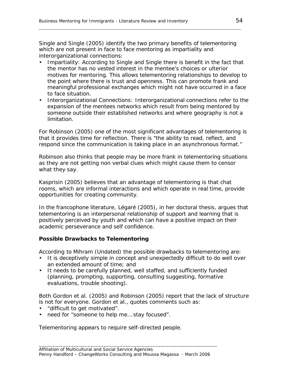Single and Single (2005) identify the two primary benefits of telementoring which are not present in face to face mentoring as impartiality and interorganizational connections:

**\_\_\_\_\_\_\_\_\_\_\_\_\_\_\_\_\_\_\_\_\_\_\_\_\_\_\_\_\_\_\_\_\_\_\_\_\_\_\_\_\_\_\_\_\_\_\_\_\_\_\_\_\_\_\_\_\_\_\_\_\_\_\_\_**

- *Impartiality:* According to Single and Single there is benefit in the fact that the mentor has no vested interest in the mentee's choices or ulterior motives for mentoring. This allows telementoring relationships to develop to the point where there is trust and openness. This can promote frank and meaningful professional exchanges which might not have occurred in a face to face situation.
- *Interorganizational Connections*: Interorganizational connections refer to the expansion of the mentees networks which result from being mentored by someone outside their established networks and where geography is not a limitation.

For Robinson (2005) one of the most significant advantages of telementoring is that it provides time for reflection. There is "the ability to read, reflect, and respond since the communication is taking place in an asynchronous format."

Robinson also thinks that people may be more frank in telementoring situations as they are not getting non verbal clues which might cause them to censor what they say.

Kasprisin (2005) believes that an advantage of telementoring is that chat rooms, which are informal interactions and which operate in real time, provide opportunities for creating community.

In the francophone literature, Légaré (2005), in her doctoral thesis, argues that telementoring is an interpersonal relationship of support and learning that is positively perceived by youth and which can have a positive impact on their academic perseverance and self confidence.

### **Possible Drawbacks to Telementoring**

According to Mihram (Undated) the possible drawbacks to telementoring are:

- It is deceptively simple in concept and unexpectedly difficult *to do well* over an extended amount of time; and
- It needs to be carefully planned, well staffed, and sufficiently funded (planning, prompting, supporting, consulting suggesting, formative evaluations, trouble shooting).

Both Gordon et al. (2005) and Robinson (2005) report that the lack of structure is not for everyone. Gordon et al., quotes comments such as:

- "difficult to get motivated".
- need for "someone to help me… stay focused".

Telementoring appears to require self-directed people.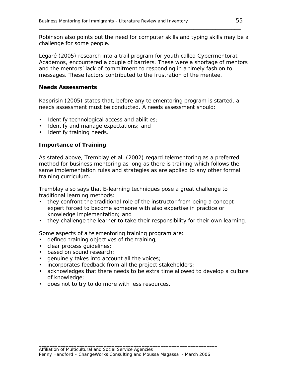Robinson also points out the need for computer skills and typing skills may be a challenge for some people.

**\_\_\_\_\_\_\_\_\_\_\_\_\_\_\_\_\_\_\_\_\_\_\_\_\_\_\_\_\_\_\_\_\_\_\_\_\_\_\_\_\_\_\_\_\_\_\_\_\_\_\_\_\_\_\_\_\_\_\_\_\_\_\_\_**

Légaré (2005) research into a trail program for youth called Cybermentorat Academos, encountered a couple of barriers. These were a shortage of mentors and the mentors' lack of commitment to responding in a timely fashion to messages. These factors contributed to the frustration of the mentee.

#### **Needs Assessments**

Kasprisin (2005) states that, before any telementoring program is started, a needs assessment must be conducted. A needs assessment should:

- Identify technological access and abilities;
- Identify and manage expectations; and
- Identify training needs.

### **Importance of Training**

As stated above, Tremblay et al. (2002) regard telementoring as a preferred method for business mentoring as long as there is training which follows the same implementation rules and strategies as are applied to any other formal training curriculum.

Tremblay also says that E-learning techniques pose a great challenge to traditional learning methods:

- they confront the traditional role of the instructor from being a conceptexpert forced to become someone with also expertise in practice or knowledge implementation; and
- they challenge the learner to take their responsibility for their own learning.

Some aspects of a telementoring training program are:

- defined training objectives of the training;
- clear process quidelines;
- based on sound research;
- genuinely takes into account all the voices;
- incorporates feedback from all the project stakeholders;
- acknowledges that there needs to be extra time allowed to develop a culture of knowledge;
- does not to try to do more with less resources.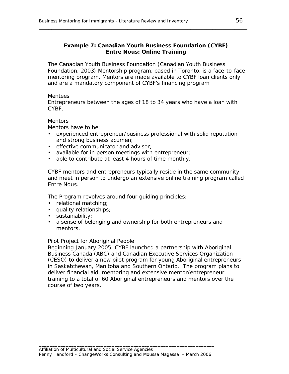# **Example 7: Canadian Youth Business Foundation (CYBF) Entre Nous: Online Training**

**\_\_\_\_\_\_\_\_\_\_\_\_\_\_\_\_\_\_\_\_\_\_\_\_\_\_\_\_\_\_\_\_\_\_\_\_\_\_\_\_\_\_\_\_\_\_\_\_\_\_\_\_\_\_\_\_\_\_\_\_\_\_\_\_\_\_**

The *Canadian Youth Business Foundation* (Canadian Youth Business Foundation, 2003) *Mentorship program,* based in Toronto, is a face-to-face mentoring program. Mentors are made available to CYBF loan clients only and are a mandatory component of CYBF's financing program

#### **Mentees**

Entrepreneurs between the ages of 18 to 34 years who have a loan with CYBF.

## **Mentors**

Mentors have to be:

- experienced entrepreneur/business professional with solid reputation and strong business acumen;
- effective communicator and advisor;
- available for in person meetings with entrepreneur;
- able to contribute at least 4 hours of time monthly.

CYBF mentors and entrepreneurs typically reside in the same community and meet in person to undergo an extensive online training program called Entre Nous.

The Program revolves around four guiding principles:

- relational matching;
- quality relationships;
- sustainability;
- a sense of belonging and ownership for both entrepreneurs and mentors.

### Pilot Project for Aboriginal People

Beginning January 2005, CYBF launched a partnership with Aboriginal Business Canada (ABC) and Canadian Executive Services Organization (CESO) to deliver a new pilot program for young Aboriginal entrepreneurs in Saskatchewan, Manitoba and Southern Ontario. The program plans to deliver financial aid, mentoring and extensive mentor/entrepreneur training to a total of 60 Aboriginal entrepreneurs and mentors over the course of two years.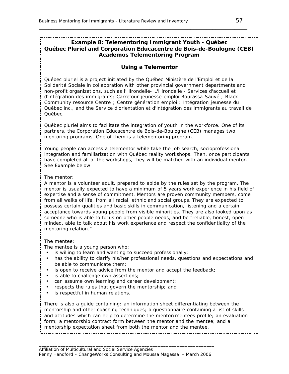## **Example 8: Telementoring Immigrant Youth - Québec Québec Pluriel and Corporation Educacentre de Bois-de-Boulogne (CÉB) Academos Telementoring Program**

**\_\_\_\_\_\_\_\_\_\_\_\_\_\_\_\_\_\_\_\_\_\_\_\_\_\_\_\_\_\_\_\_\_\_\_\_\_\_\_\_\_\_\_\_\_\_\_\_\_\_\_\_\_\_\_\_\_\_\_\_\_\_\_\_\_\_**

### **Using a Telementor**

Québec pluriel is a project initiated by the Québec Ministère de l'Emploi et de la Solidarit*é* Sociale in collaboration with other provincial government departments and non-profit organizations, such as l'Hirondelle- L'Hirondelle - Services d'accueil et d'intégration des immigrants; Carrefour jeunesse-emploi Bourassa-Sauvé ; Black Community resource Centre ; Centre génération emploi ; Intégration jeunesse du Québec inc., and the Service d'orientation et d'intégration des immigrants au travail de Québec.

Québec pluriel aims to facilitate the integration of youth in the workforce. One of its partners, the Corporation Educacentre de Bois-de-Boulogne (CÉB) manages two mentoring programs. One of them is a telementoring program.

Young people can access a telementor while take the job search, socioprofessional integration and familiarization with Québec reality workshops. Then, once participants have completed all of the workshops, they will be matched with an individual mentor. See Example below

#### *The mentor:*

A mentor is a volunteer adult, prepared to abide by the rules set by the program. The mentor is usually expected to have a minimum of 5 years work experience in his field of expertise and a sense of commitment. Mentors are proven community members, come from all walks of life, from all racial, ethnic and social groups. They are expected to possess certain qualities and basic skills in communication, listening and a certain acceptance towards young people from visible minorities. They are also looked upon as someone who is able to focus on other people needs, and be "reliable, honest, openminded, able to talk about his work experience and respect the confidentiality of the mentoring relation."

#### The mentee:

The mentee is a young person who:

- is willing to learn and wanting to succeed professionally;
- has the ability to clarify his/her professional needs, questions and expectations and be able to communicate them;
- is open to receive advice from the mentor and accept the feedback;
- is able to challenge own assertions;
- can assume own learning and career development;
- respects the rules that govern the mentorship; and
- is respectful in human relations.

There is also a guide containing: an information sheet differentiating between the mentorship and other coaching techniques; a questionnaire containing a list of skills and attitudes which can help to determine the mentor/mentees profile; an evaluation form; a mentorship contract form between the mentor and the mentee; and a mentorship expectation sheet from both the mentor and the mentee.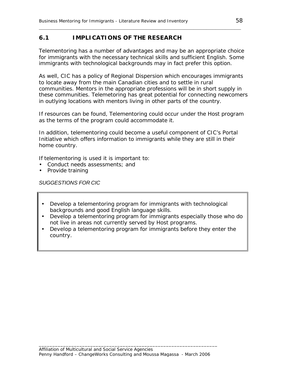# **6.1 IMPLICATIONS OF THE RESEARCH**

Telementoring has a number of advantages and may be an appropriate choice for immigrants with the necessary technical skills and sufficient English. Some immigrants with technological backgrounds may in fact prefer this option.

**\_\_\_\_\_\_\_\_\_\_\_\_\_\_\_\_\_\_\_\_\_\_\_\_\_\_\_\_\_\_\_\_\_\_\_\_\_\_\_\_\_\_\_\_\_\_\_\_\_\_\_\_\_\_\_\_\_\_\_\_\_\_\_\_**

As well, CIC has a policy of Regional Dispersion which encourages immigrants to locate away from the main Canadian cities and to settle in rural communities. Mentors in the appropriate professions will be in short supply in these communities. Telemetoring has great potential for connecting newcomers in outlying locations with mentors living in other parts of the country.

If resources can be found, Telementoring could occur under the Host program as the terms of the program could accommodate it.

In addition, telementoring could become a useful component of CIC's Portal Initiative which offers information to immigrants while they are still in their home country.

If telementoring is used it is important to:

- Conduct needs assessments; and
- Provide training

*SUGGESTIONS FOR CIC*

- Develop a telementoring program for immigrants with technological backgrounds and good English language skills.
- Develop a telementoring program for immigrants especially those who do not live in areas not currently served by Host programs.
- Develop a telementoring program for immigrants before they enter the country.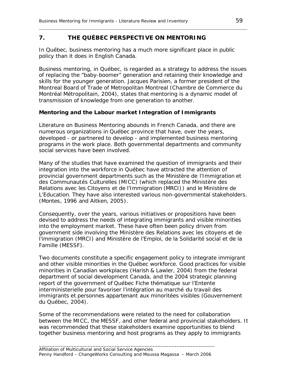# **7. THE QUÉBEC PERSPECTIVE ON MENTORING**

In Québec, business mentoring has a much more significant place in public policy than it does in English Canada.

**\_\_\_\_\_\_\_\_\_\_\_\_\_\_\_\_\_\_\_\_\_\_\_\_\_\_\_\_\_\_\_\_\_\_\_\_\_\_\_\_\_\_\_\_\_\_\_\_\_\_\_\_\_\_\_\_\_\_\_\_\_\_\_\_\_\_**

Business mentoring, in Québec, is regarded as a strategy to address the issues of replacing the "baby-boomer" generation and retaining their knowledge and skills for the younger generation. Jacques Parisien, a former president of the Montreal Board of Trade of Metropolitan Montreal (Chambre de Commerce du Montréal Métropolitain, 2004), states that mentoring is a dynamic model of transmission of knowledge from one generation to another.

### **Mentoring and the Labour market Integration of Immigrants**

Literature on Business Mentoring abounds in French Canada, and there are numerous organizations in Québec province that have, over the years, developed - or partnered to develop - and implemented business mentoring programs in the work place. Both governmental departments and community social services have been involved.

Many of the studies that have examined the question of immigrants and their integration into the workforce in Québec have attracted the attention of provincial government departments such as the Ministère de l'Immigration et des Communautés Culturelles (MICC) (which replaced the Ministère des Relations avec les Citoyens et de l'Immigration (MRCI)) and le Ministère de L'Education. They have also interested various non-governmental stakeholders. (Montes, 1996 and Aitken, 2005).

Consequently, over the years, various initiatives or propositions have been devised to address the needs of integrating immigrants and visible minorities into the employment market. These have often been policy driven from government side involving the *Minist*è*re des Relations avec les citoyens et de l'immigration (MRCI) and Minist*è*re de l'Emploi, de la Solidarité social et de la Famille (MESSF).*

Two documents constitute a specific engagement policy to integrate immigrant and other visible minorities in the Québec workforce. G*ood practices for visible minorities in Canadian workplaces* (Harish & Lawler, 2004) from the federal department of social development Canada, and the 2004 strategic planning report of the government of Québec *Fiche thématique sur l'Entente interministerielle pour favoriser l'intégration au marché du travail des immigrants et personnes appartenant aux minoritées visibles* (Gouvernement du Québec, 2004).

Some of the recommendations were related to the need for collaboration between the MICC, the MESSF, and other federal and provincial stakeholders. It was recommended that these stakeholders examine opportunities to blend together business mentoring and host programs as they apply to immigrants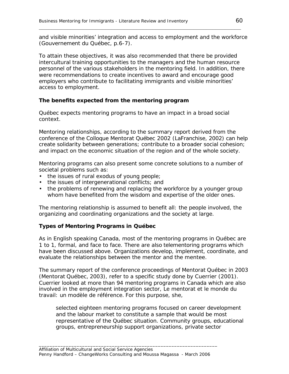and visible minorities' integration and access to employment and the workforce (Gouvernement du Québec, p.6-7).

**\_\_\_\_\_\_\_\_\_\_\_\_\_\_\_\_\_\_\_\_\_\_\_\_\_\_\_\_\_\_\_\_\_\_\_\_\_\_\_\_\_\_\_\_\_\_\_\_\_\_\_\_\_\_\_\_\_\_\_\_\_\_\_\_**

To attain these objectives, it was also recommended that there be provided intercultural training opportunities to the managers and the human resource personnel of the various stakeholders in the mentoring field. In addition, there were recommendations to create incentives to award and encourage good employers who contribute to facilitating immigrants and visible minorities' access to employment.

### **The benefits expected from the mentoring program**

Québec expects mentoring programs to have an impact in a broad social context.

Mentoring relationships, according to the summary report derived from the conference of the Colloque Mentorat Québec 2002 (LaFranchise, 2002) can help create solidarity between generations; contribute to a broader social cohesion; and impact on the economic situation of the region and of the whole society.

Mentoring programs can also present some concrete solutions to a number of societal problems such as:

- the issues of rural exodus of young people;
- the issues of intergenerational conflicts; and
- the problems of renewing and replacing the workforce by a younger group whom have benefited from the wisdom and expertise of the older ones.

The mentoring relationship is assumed to benefit all: the people involved, the organizing and coordinating organizations and the society at large.

# **Types of Mentoring Programs in Québec**

As in English speaking Canada, most of the mentoring programs in Québec are 1 to 1, formal, and face to face. There are also telementoring programs which have been discussed above. Organizations develop, implement, coordinate, and evaluate the relationships between the mentor and the mentee.

The summary report of the conference proceedings of Mentorat Québec in 2003 (Mentorat Québec, 2003), refer to a specific study done by Cuerrier (2001). Cuerrier looked at more than 94 mentoring programs in Canada which are also involved in the employment integration sector, *Le mentorat et le monde du travail: un modèle de référence.* For this purpose, she,

selected eighteen mentoring programs focused on career development and the labour market to constitute a sample that would be most representative of the Québec situation. Community groups, educational groups, entrepreneurship support organizations, private sector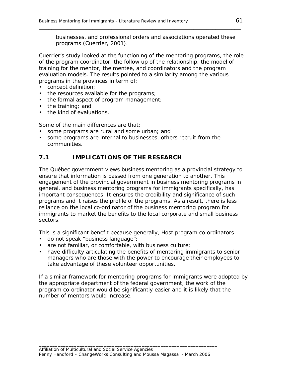businesses, and professional orders and associations operated these programs (Cuerrier, 2001).

**\_\_\_\_\_\_\_\_\_\_\_\_\_\_\_\_\_\_\_\_\_\_\_\_\_\_\_\_\_\_\_\_\_\_\_\_\_\_\_\_\_\_\_\_\_\_\_\_\_\_\_\_\_\_\_\_\_\_\_\_\_\_\_\_**

Cuerrier's study looked at the functioning of the mentoring programs, the role of the program coordinator, the follow up of the relationship, the model of training for the mentor, the mentee, and coordinators and the program evaluation models. The results pointed to a similarity among the various programs in the provinces in term of:

- concept definition;
- the resources available for the programs;
- the formal aspect of program management;
- the training; and
- the kind of evaluations.

Some of the main differences are that:

- some programs are rural and some urban; and
- some programs are internal to businesses, others recruit from the communities.

# **7.1 IMPLICATIONS OF THE RESEARCH**

The Québec government views business mentoring as a provincial strategy to ensure that information is passed from one generation to another. This engagement of the provincial government in business mentoring programs in general, and business mentoring programs for immigrants specifically, has important consequences. It ensures the credibility and significance of such programs and it raises the profile of the programs. As a result, there is less reliance on the local co-ordinator of the business mentoring program for immigrants to market the benefits to the local corporate and small business sectors.

This is a significant benefit because generally, Host program co-ordinators:

- do not speak "business language";
- are not familiar, or comfortable, with business culture;
- have difficulty articulating the benefits of mentoring immigrants to senior managers who are those with the power to encourage their employees to take advantage of these volunteer opportunities.

If a similar framework for mentoring programs for immigrants were adopted by the appropriate department of the federal government, the work of the program co-ordinator would be significantly easier and it is likely that the number of mentors would increase.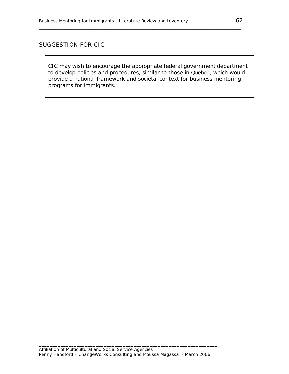#### *SUGGESTION FOR CIC:*

CIC may wish to encourage the appropriate federal government department to develop policies and procedures, similar to those in Québec, which would provide a national framework and societal context for business mentoring programs for immigrants.

**\_\_\_\_\_\_\_\_\_\_\_\_\_\_\_\_\_\_\_\_\_\_\_\_\_\_\_\_\_\_\_\_\_\_\_\_\_\_\_\_\_\_\_\_\_\_\_\_\_\_\_\_\_\_\_\_\_\_\_\_\_\_\_\_**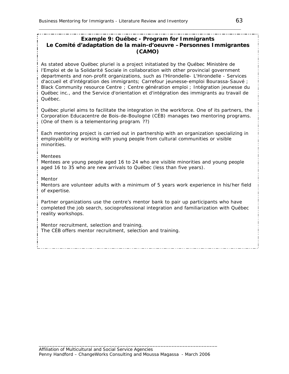# **Example 9: Québec - Program for Immigrants Le Comité d'adaptation de la main-d'oeuvre –Personnes Immigrantes (CAMO)**

**\_\_\_\_\_\_\_\_\_\_\_\_\_\_\_\_\_\_\_\_\_\_\_\_\_\_\_\_\_\_\_\_\_\_\_\_\_\_\_\_\_\_\_\_\_\_\_\_\_\_\_\_\_\_\_\_\_\_\_\_\_\_\_\_**

As stated above Québec pluriel is a project initatiated by the Québec Ministère de l'Emploi et de la Solidarit*é* Sociale in collaboration with other provincial government departments and non-profit organizations, such as l'Hirondelle- L'Hirondelle - Services d'accueil et d'intégration des immigrants; Carrefour jeunesse-emploi Bourassa-Sauvé ; Black Community resource Centre ; Centre génération emploi ; Intégration jeunesse du Québec inc., and the Service d'orientation et d'intégration des immigrants au travail de Québec.

Québec pluriel aims to facilitate the integration in the workforce. One of its partners, the Corporation Educacentre de Bois-de-Boulogne (CÉB) manages two mentoring programs. (One of them is a telementoring program. ??)

Each mentoring project is carried out in partnership with an organization specializing in employability or working with young people from cultural communities or visible minorities.

#### *Mentees*

Mentees are young people aged 16 to 24 who are visible minorities and young people aged 16 to 35 who are new arrivals to Québec (less than five years).

#### *Mentor*

Mentors are volunteer adults with a minimum of 5 years work experience in his/her field of expertise.

Partner organizations use the centre's mentor bank to pair up participants who have completed the job search, socioprofessional integration and familiarization with Québec reality workshops.

*Mentor recruitment, selection and training.* The CÉB offers mentor recruitment, selection and training.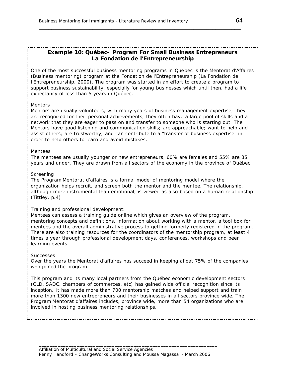# **Example 10: Québec– Program For Small Business Entrepreneurs La Fondation de l'Entrepreneurship**

**\_\_\_\_\_\_\_\_\_\_\_\_\_\_\_\_\_\_\_\_\_\_\_\_\_\_\_\_\_\_\_\_\_\_\_\_\_\_\_\_\_\_\_\_\_\_\_\_\_\_\_\_\_\_\_\_\_\_\_\_\_\_\_\_**

One of the most successful business mentoring programs in Québec is the *Mentorat d'Affaires* (Business mentoring) program at the Fondation de l'Entrepreneurship (La Fondation de l'Entrepreneurship, 2000). The program was started in an effort to create a program to support business sustainability, especially for young businesses which until then, had a life expectancy of less than 5 years in Québec.

#### *Mentors*

Mentors are usually volunteers, with many years of business management expertise; they are recognized for their personal achievements; they often have a large pool of skills and a network that they are eager to pass on and transfer to someone who is starting out. The Mentors have good listening and communication skills; are approachable; want to help and assist others; are trustworthy; and can contribute to a "transfer of business expertise" in order to help others to learn and avoid mistakes.

#### *Mentees*

The mentees are usually younger or new entrepreneurs, 60% are females and 55% are 35 years and under. They are drawn from all sectors of the economy in the province of Québec.

#### *Screening*

The Program *Mentorat d'affaires* is a formal model of mentoring model where the organization helps recruit, and screen both the mentor and the mentee. The relationship, although more instrumental than emotional, is viewed as also based on a human relationship (Tittley, p.4)

#### *Training and professional development:*

Mentees can assess a training guide online which gives an overview of the program, mentoring concepts and definitions, information about working with a mentor, a tool box for mentees and the overall administrative process to getting formerly registered in the program. There are also training resources for the coordinators of the mentorship program, at least 4 times a year through professional development days, conferences, workshops and peer learning events.

#### *Successes*

Over the years the *Mentorat d'affaires* has succeed in keeping afloat 75% of the companies who joined the program.

This program and its many local partners from the Québec economic development sectors (CLD, SADC, chambers of commerces, etc) has gained wide official recognition since its inception. It has made more than 700 mentorship matches and helped support and train more than 1300 new entrepreneurs and their businesses in all sectors province wide. The Program *Mentorat d'affaires* includes, province wide, more than 54 organizations who are involved in hosting business mentoring relationships.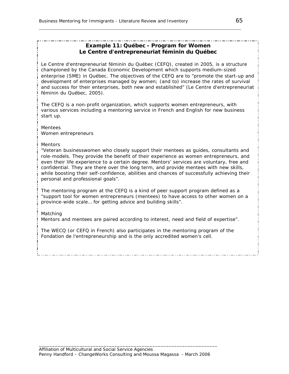## **Example 11: Québec - Program for Women Le Centre d'entrepreneuriat féminin du Québec**

*Le Centre d'entrepreneuriat féminin du Québec (CEFQ)*, created in 2005, is a structure championed by the Canada Economic Development which supports medium-sized enterprise (SME) in Québec. The objectives of the CEFQ are to "promote the start-up and development of enterprises managed by women; (and to) increase the rates of survival and success for their enterprises, both new and established" (Le Centre d'entrepreneuriat féminin du Québec, 2005).

The CEFQ is a non-profit organization, which supports women entrepreneurs, with various services including a mentoring service in French and English for new business start up.

*Mentees* Women entrepreneurs

*Mentors*

"Veteran businesswomen who closely support their mentees as guides, consultants and role-models. They provide the benefit of their experience as women entrepreneurs, and even their life experience to a certain degree. Mentors' services are voluntary, free and confidential. They are there over the long term, and provide mentees with new skills, while boosting their self-confidence, abilities and chances of successfully achieving their personal and professional goals".

The mentoring program at the CEFQ is a kind of peer support program defined as a "support tool for women entrepreneurs (*mentees*) to have access to other women on a province-wide scale… for getting advice and building skills".

*Matching*

Mentors and mentees are paired according to interest, need and field of expertise".

The WECQ (or CEFQ in French) also participates in the mentoring program of the *Fondation de l'entrepreneurship* and is the only accredited women's cell.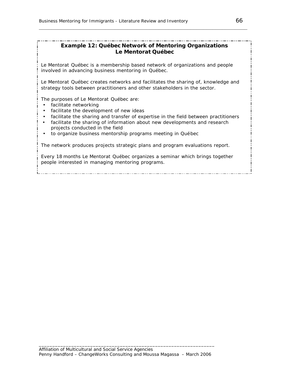### **Example 12: Québec Network of Mentoring Organizations Le Mentorat Québec**

**\_\_\_\_\_\_\_\_\_\_\_\_\_\_\_\_\_\_\_\_\_\_\_\_\_\_\_\_\_\_\_\_\_\_\_\_\_\_\_\_\_\_\_\_\_\_\_\_\_\_\_\_\_\_\_\_\_\_\_\_\_\_\_\_\_\_**

Le Mentorat Québec is a membership based network of organizations and people involved in advancing business mentoring in Québec.

Le Mentorat Québec creates networks and facilitates the sharing of, knowledge and strategy tools between practitioners and other stakeholders in the sector.

The purposes of Le Mentorat Québec are:

- facilitate networking
- facilitate the development of new ideas
- facilitate the sharing and transfer of expertise in the field between practitioners
- facilitate the sharing of information about new developments and research projects conducted in the field
- to organize business mentorship programs meeting in Québec

The network produces projects strategic plans and program evaluations report.

Every 18 months Le Mentorat Québec organizes a seminar which brings together people interested in managing mentoring programs.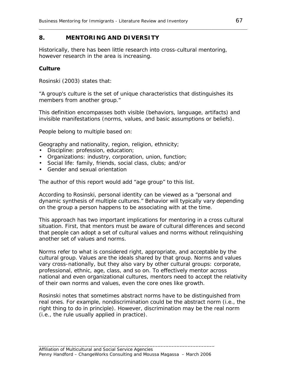## **8. MENTORING AND DIVERSITY**

Historically, there has been little research into cross-cultural mentoring, however research in the area is increasing.

**\_\_\_\_\_\_\_\_\_\_\_\_\_\_\_\_\_\_\_\_\_\_\_\_\_\_\_\_\_\_\_\_\_\_\_\_\_\_\_\_\_\_\_\_\_\_\_\_\_\_\_\_\_\_\_\_\_\_\_\_\_\_\_\_\_\_**

#### **Culture**

Rosinski (2003) states that:

"A group's culture is the set of unique characteristics that distinguishes its members from another group."

This definition encompasses both visible (behaviors, language, artifacts) and invisible manifestations (norms, values, and basic assumptions or beliefs).

People belong to multiple based on:

Geography and nationality, region, religion, ethnicity;

- Discipline: profession, education;
- Organizations: industry, corporation, union, function;
- Social life: family, friends, social class, clubs; and/or
- Gender and sexual orientation

The author of this report would add "age group" to this list.

According to Rosinski, personal identity can be viewed as a "personal and dynamic synthesis of multiple cultures." Behavior will typically vary depending on the group a person happens to be associating with at the time.

This approach has two important implications for mentoring in a cross cultural situation. First, that mentors must be aware of cultural differences and second that people can adopt a set of cultural values and norms without relinquishing another set of values and norms.

Norms refer to what is considered right, appropriate, and acceptable by the cultural group. Values are the ideals shared by that group. Norms and values vary cross-nationally, but they also vary by other cultural groups: corporate, professional, ethnic, age, class, and so on. To effectively mentor across national and even organizational cultures, mentors need to accept the relativity of their own norms and values, even the core ones like growth.

Rosinski notes that sometimes abstract norms have to be distinguished from real ones. For example, nondiscrimination could be the abstract norm (i.e., the right thing to do in principle). However, discrimination may be the real norm (i.e., the rule usually applied in practice).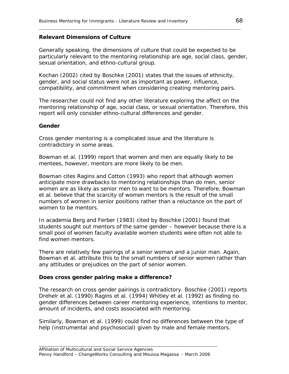#### **Relevant Dimensions of Culture**

Generally speaking, the dimensions of culture that could be expected to be particularly relevant to the mentoring relationship are age, social class, gender, sexual orientation, and ethno-cultural group.

**\_\_\_\_\_\_\_\_\_\_\_\_\_\_\_\_\_\_\_\_\_\_\_\_\_\_\_\_\_\_\_\_\_\_\_\_\_\_\_\_\_\_\_\_\_\_\_\_\_\_\_\_\_\_\_\_\_\_\_\_\_\_\_\_**

Kochan (2002) cited by Boschke (2001) states that the issues of ethnicity, gender, and social status were not as important as power, influence, compatibility, and commitment when considering creating mentoring pairs.

The researcher could not find any other literature exploring the affect on the mentoring relationship of age, social class, or sexual orientation. Therefore, this report will only consider ethno-cultural differences and gender.

#### **Gender**

Cross gender mentoring is a complicated issue and the literature is contradictory in some areas.

Bowman et al. (1999) report that women and men are equally likely to be mentees, however, mentors are more likely to be men.

Bowman cites Ragins and Cotton (1993) who report that although women anticipate more drawbacks to mentoring relationships than do men, senior women are as likely as senior men to *want to be* mentors. Therefore, Bowman et al. believe that the scarcity of women mentors is the result of the small numbers of women in senior positions rather than a reluctance on the part of women to be mentors.

In academia Berg and Ferber (1983) cited by Boschke (2001) found that students sought out mentors of the same gender – however because there is a small pool of women faculty available women students were often not able to find women mentors.

There are relatively few pairings of a senior woman and a junior man. Again, Bowman et al. attribute this to the small numbers of senior women rather than any attitudes or prejudices on the part of senior women.

#### **Does cross gender pairing make a difference?**

The research on cross gender pairings is contradictory. Boschke (2001) reports Drehelr et al. (1990) Ragins et al. (1994) Whitley et al. (1992) as finding no gender differences between career mentoring experience, intentions to mentor, amount of incidents, and costs associated with mentoring.

Similarly, Bowman et al. (1999) could find no differences between the type of help (instrumental and psychosocial) given by male and female mentors.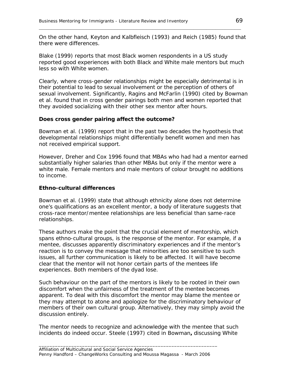On the other hand, Keyton and Kalbfleisch (1993) and Reich (1985) found that there were differences.

**\_\_\_\_\_\_\_\_\_\_\_\_\_\_\_\_\_\_\_\_\_\_\_\_\_\_\_\_\_\_\_\_\_\_\_\_\_\_\_\_\_\_\_\_\_\_\_\_\_\_\_\_\_\_\_\_\_\_\_\_\_\_\_\_**

Blake (1999) reports that most Black women respondents in a US study reported good experiences with both Black and White male mentors but much less so with White women.

Clearly, where cross-gender relationships might be especially detrimental is in their potential to lead to sexual involvement or the perception of others of sexual involvement. Significantly, Ragins and McFarlin (1990) cited by Bowman et al. found that in cross gender pairings both men and women reported that they avoided socializing with their other sex mentor after hours.

## **Does cross gender pairing affect the outcome?**

Bowman et al. (1999) report that in the past two decades the hypothesis that developmental relationships might differentially benefit women and men has not received empirical support.

However, Dreher and Cox 1996 found that MBAs who had had a mentor earned substantially higher salaries than other MBAs *but only if the mentor were a white male.* Female mentors and male mentors of colour brought no additions to income.

## **Ethno-cultural differences**

Bowman et al. (1999) state that although ethnicity alone does not determine one's qualifications as an excellent mentor, a body of literature suggests that cross-race mentor/mentee relationships are less beneficial than same-race relationships.

These authors make the point that the crucial element of mentorship, which spans ethno-cultural groups, is the *response of the mentor.* For example, if a mentee*,* discusses apparently discriminatory experiences and if the mentor's reaction is to convey the message that minorities are too sensitive to such issues, all further communication is likely to be affected. It will have become clear that the mentor will not honor certain parts of the mentees life experiences. Both members of the dyad lose.

Such behaviour on the part of the mentors is likely to be rooted in their own discomfort when the unfairness of the treatment of the mentee becomes apparent. To deal with this discomfort the mentor may blame the mentee or they may attempt to atone and apologize for the discriminatory behaviour of members of their own cultural group. Alternatively, they may simply avoid the discussion entirely.

The mentor needs to recognize and acknowledge with the mentee that such incidents do indeed occur. Steele (1997) cited in Bowman**,** discussing White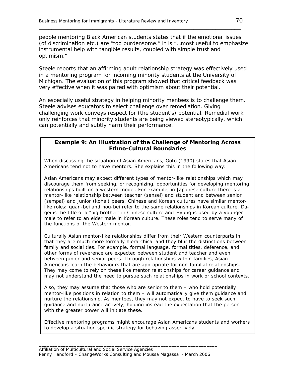people mentoring Black American students states that if the emotional issues (of discrimination etc.) are "too burdensome." It is "…most useful to emphasize instrumental help with tangible results, coupled with simple trust and optimism."

**\_\_\_\_\_\_\_\_\_\_\_\_\_\_\_\_\_\_\_\_\_\_\_\_\_\_\_\_\_\_\_\_\_\_\_\_\_\_\_\_\_\_\_\_\_\_\_\_\_\_\_\_\_\_\_\_\_\_\_\_\_\_\_\_**

Steele reports that an affirming adult relationship strategy was effectively used in a mentoring program for incoming minority students at the University of Michigan. The evaluation of this program showed that critical feedback was very effective when it was paired with optimism about their potential.

An especially useful strategy in helping minority mentees is to challenge them. Steele advises educators to select challenge over remediation. Giving challenging work conveys respect for (the student's) potential. Remedial work only reinforces that minority students are being viewed stereotypically, which can potentially and subtly harm their performance.

### **Example 9: An Illustration of the Challenge of Mentoring Across Ethno-Cultural Boundaries**

When discussing the situation of Asian Americans, Goto (1990) states that Asian Americans tend not to have mentors. She explains this in the following way:

Asian Americans may expect different types of mentor-like relationships which may discourage them from seeking, or recognizing, opportunities for developing mentoring relationships built on a western model. For example, in Japanese culture there is a mentor-like relationship between teacher (sensei) and student and between senior (sempai) and junior (kohai) peers. Chinese and Korean cultures have similar mentorlike roles: quan-bei and hou-bei refer to the same relationships in Korean culture. Dagei is the title of a "big brother" in Chinese culture and Hyung is used by a younger male to refer to an elder male in Korean culture. These roles tend to serve many of the functions of the Western mentor.

Culturally Asian mentor-like relationships differ from their Western counterparts in that they are much more formally hierarchical and they blur the distinctions between family and social ties. For example, formal language, formal titles, deference, and other forms of reverence are expected between student and teacher and even between junior and senior peers. Through relationships within families, Asian Americans learn the behaviours that are appropriate for non-familial relationships. They may come to rely on these like mentor relationships for career guidance and may not understand the need to pursue such relationships in work or school contexts.

Also, they may assume that those who are senior to them – who hold potentially mentor-like positions in relation to them – will automatically give them guidance and nurture the relationship. As mentees, they may not expect to have to seek such guidance and nurturance actively, holding instead the expectation that the person with the greater power will initiate these.

Effective mentoring programs might encourage Asian Americans students and workers to develop a situation specific strategy for behaving assertively.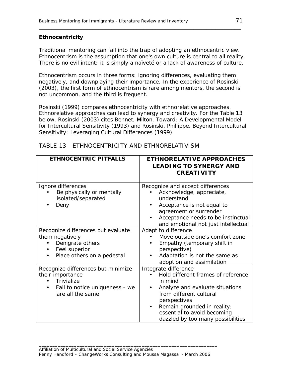### **Ethnocentricity**

Traditional mentoring can fall into the trap of adopting an ethnocentric view. Ethnocentrism is the assumption that one's own culture is central to all reality. There is no evil intent; it is simply a naïveté or a lack of awareness of culture.

**\_\_\_\_\_\_\_\_\_\_\_\_\_\_\_\_\_\_\_\_\_\_\_\_\_\_\_\_\_\_\_\_\_\_\_\_\_\_\_\_\_\_\_\_\_\_\_\_\_\_\_\_\_\_\_\_\_\_\_\_\_\_\_\_**

Ethnocentrism occurs in three forms: ignoring differences, evaluating them negatively, and downplaying their importance. In the experience of Rosinski (2003), the first form of ethnocentrism is rare among mentors, the second is not uncommon, and the third is frequent.

Rosinski (1999) compares ethnocentricity with ethnorelative approaches. Ethnorelative approaches can lead to synergy and creativity. For the Table 13 below, Rosinski (2003) cites Bennet, Milton. *Toward: A Developmental Model for Intercultural Sensitivity* (1993) and Rosinski, Phillippe. *Beyond Intercultural Sensitivity: Leveraging Cultural Differences* (1999)

| <b>ETHNOCENTRIC PITFALLS</b>                                                                                               | <b>ETHNORELATIVE APPROACHES</b><br><b>LEADING TO SYNERGY AND</b><br><b>CREATIVITY</b>                                                                                                                                                                  |
|----------------------------------------------------------------------------------------------------------------------------|--------------------------------------------------------------------------------------------------------------------------------------------------------------------------------------------------------------------------------------------------------|
| Ignore differences<br>Be physically or mentally<br>isolated/separated<br>Deny                                              | Recognize and accept differences<br>Acknowledge, appreciate,<br>understand<br>Acceptance is not equal to<br>$\bullet$<br>agreement or surrender<br>Acceptance needs to be instinctual<br>and emotional not just intellectual                           |
| Recognize differences but evaluate<br>them negatively<br>Denigrate others<br>Feel superior<br>Place others on a pedestal   | Adapt to difference<br>Move outside one's comfort zone<br>Empathy (temporary shift in<br>$\bullet$<br>perspective)<br>Adaptation is not the same as<br>adoption and assimilation                                                                       |
| Recognize differences but minimize<br>their importance<br>Trivialize<br>Fail to notice uniqueness - we<br>are all the same | Integrate difference<br>Hold different frames of reference<br>in mind<br>Analyze and evaluate situations<br>from different cultural<br>perspectives<br>Remain grounded in reality:<br>essential to avoid becoming<br>dazzled by too many possibilities |

| TABLE 13 ETHNOCENTRICITY AND ETHNORELATIVISM |
|----------------------------------------------|
|                                              |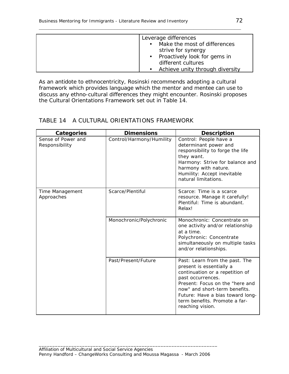| Leverage differences            |
|---------------------------------|
| Make the most of differences    |
| strive for synergy              |
| • Proactively look for gems in  |
| different cultures              |
| Achieve unity through diversity |

As an antidote to ethnocentricity, Rosinski recommends adopting a cultural framework which provides language which the mentor and mentee can use to discuss any ethno-cultural differences they might encounter. Rosinski proposes the Cultural Orientations Framework set out in Table 14.

## *TABLE 14 A CULTURAL ORIENTATIONS FRAMEWORK*

| <b>Categories</b>                    | <b>Dimensions</b>        | <b>Description</b>                                                                                                                                                                                                                                                              |
|--------------------------------------|--------------------------|---------------------------------------------------------------------------------------------------------------------------------------------------------------------------------------------------------------------------------------------------------------------------------|
| Sense of Power and<br>Responsibility | Control/Harmony/Humility | Control: People have a<br>determinant power and<br>responsibility to forge the life<br>they want.<br>Harmony: Strive for balance and<br>harmony with nature.<br>Humility: Accept inevitable<br>natural limitations.                                                             |
| Time Management<br>Approaches        | Scarce/Plentiful         | Scarce: Time is a scarce<br>resource. Manage it carefully!<br>Plentiful: Time is abundant.<br>Relax!                                                                                                                                                                            |
|                                      | Monochronic/Polychronic  | Monochronic: Concentrate on<br>one activity and/or relationship<br>at a time.<br>Polychronic: Concentrate<br>simultaneously on multiple tasks<br>and/or relationships.                                                                                                          |
|                                      | Past/Present/Future      | Past: Learn from the past. The<br>present is essentially a<br>continuation or a repetition of<br>past occurrences.<br>Present: Focus on the "here and<br>now" and short-term benefits.<br>Future: Have a bias toward long-<br>term benefits. Promote a far-<br>reaching vision. |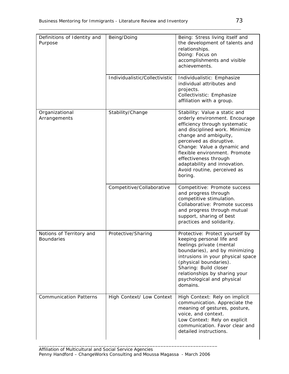| Definitions of Identity and<br>Purpose        | Being/Doing                    | Being: Stress living itself and<br>the development of talents and<br>relationships.<br>Doing: Focus on<br>accomplishments and visible<br>achievements.                                                                                                                                                                                                     |
|-----------------------------------------------|--------------------------------|------------------------------------------------------------------------------------------------------------------------------------------------------------------------------------------------------------------------------------------------------------------------------------------------------------------------------------------------------------|
|                                               | Individualistic/Collectivistic | Individualistic: Emphasize<br>individual attributes and<br>projects.<br>Collectivistic: Emphasize<br>affiliation with a group.                                                                                                                                                                                                                             |
| Organizational<br>Arrangements                | Stability/Change               | Stability: Value a static and<br>orderly environment. Encourage<br>efficiency through systematic<br>and disciplined work. Minimize<br>change and ambiguity,<br>perceived as disruptive.<br>Change: Value a dynamic and<br>flexible environment. Promote<br>effectiveness through<br>adaptability and innovation.<br>Avoid routine, perceived as<br>boring. |
|                                               | Competitive/Collaborative      | Competitive: Promote success<br>and progress through<br>competitive stimulation.<br>Collaborative: Promote success<br>and progress through mutual<br>support, sharing of best<br>practices and solidarity.                                                                                                                                                 |
| Notions of Territory and<br><b>Boundaries</b> | Protective/Sharing             | Protective: Protect yourself by<br>keeping personal life and<br>feelings private (mental<br>boundaries), and by minimizing<br>intrusions in your physical space<br>(physical boundaries).<br>Sharing: Build closer<br>relationships by sharing your<br>psychological and physical<br>domains.                                                              |
| <b>Communication Patterns</b>                 | High Context/ Low Context      | High Context: Rely on implicit<br>communication. Appreciate the<br>meaning of gestures, posture,<br>voice, and context.<br>Low Context: Rely on explicit<br>communication. Favor clear and<br>detailed instructions.                                                                                                                                       |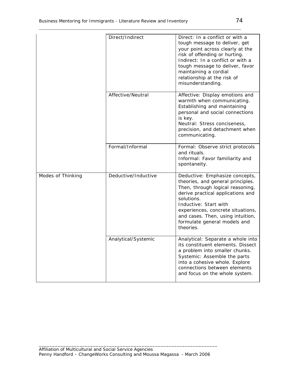|                   | Direct/Indirect     | Direct: In a conflict or with a<br>tough message to deliver, get<br>your point across clearly at the<br>risk of offending or hurting.<br>Indirect: In a conflict or with a<br>tough message to deliver, favor<br>maintaining a cordial<br>relationship at the risk of<br>misunderstanding.                 |
|-------------------|---------------------|------------------------------------------------------------------------------------------------------------------------------------------------------------------------------------------------------------------------------------------------------------------------------------------------------------|
|                   | Affective/Neutral   | Affective: Display emotions and<br>warmth when communicating.<br>Establishing and maintaining<br>personal and social connections<br>is key.<br>Neutral: Stress conciseness,<br>precision, and detachment when<br>communicating.                                                                            |
|                   | Formal/Informal     | Formal: Observe strict protocols<br>and rituals.<br>Informal: Favor familiarity and<br>spontaneity.                                                                                                                                                                                                        |
| Modes of Thinking | Deductive/Inductive | Deductive: Emphasize concepts,<br>theories, and general principles.<br>Then, through logical reasoning,<br>derive practical applications and<br>solutions.<br>Inductive: Start with<br>experiences, concrete situations,<br>and cases. Then, using intuition,<br>formulate general models and<br>theories. |
|                   | Analytical/Systemic | Analytical: Separate a whole into<br>its constituent elements. Dissect<br>a problem into smaller chunks.<br>Systemic: Assemble the parts<br>into a cohesive whole. Explore<br>connections between elements<br>and focus on the whole system.                                                               |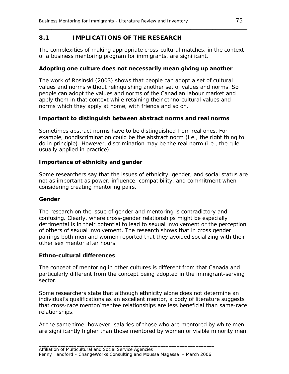## **8.1 IMPLICATIONS OF THE RESEARCH**

The complexities of making appropriate cross-cultural matches, in the context of a business mentoring program for immigrants, are significant.

**\_\_\_\_\_\_\_\_\_\_\_\_\_\_\_\_\_\_\_\_\_\_\_\_\_\_\_\_\_\_\_\_\_\_\_\_\_\_\_\_\_\_\_\_\_\_\_\_\_\_\_\_\_\_\_\_\_\_\_\_\_\_\_\_\_\_**

### **Adopting one culture does not necessarily mean giving up another**

The work of Rosinski (2003) shows that people can adopt a set of cultural values and norms without relinquishing another set of values and norms. So people can adopt the values and norms of the Canadian labour market and apply them in that context while retaining their ethno-cultural values and norms which they apply at home, with friends and so on.

#### **Important to distinguish between abstract norms and real norms**

Sometimes abstract norms have to be distinguished from real ones. For example, nondiscrimination could be the abstract norm (i.e., the right thing to do in principle). However, discrimination may be the real norm (i.e., the rule usually applied in practice).

### **Importance of ethnicity and gender**

Some researchers say that the issues of ethnicity, gender, and social status are not as important as power, influence, compatibility, and commitment when considering creating mentoring pairs.

#### **Gender**

The research on the issue of gender and mentoring is contradictory and confusing. Clearly, where cross-gender relationships might be especially detrimental is in their potential to lead to sexual involvement or the perception of others of sexual involvement. The research shows that in cross gender pairings both men and women reported that they avoided socializing with their other sex mentor after hours.

#### **Ethno-cultural differences**

The concept of mentoring in other cultures is different from that Canada and particularly different from the concept being adopted in the immigrant-serving sector.

Some researchers state that although ethnicity alone does not determine an individual's qualifications as an excellent mentor, a body of literature suggests that cross-race mentor/mentee relationships are less beneficial than same-race relationships.

At the same time, however, salaries of those who are mentored by white men are significantly higher than those mentored by women or visible minority men.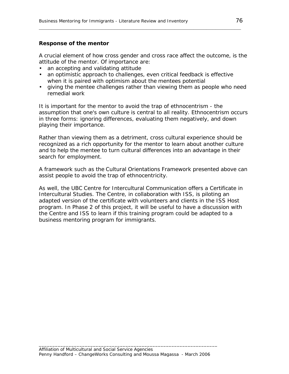#### **Response of the mentor**

A crucial element of how cross gender and cross race affect the outcome, is the attitude of the mentor. Of importance are:

**\_\_\_\_\_\_\_\_\_\_\_\_\_\_\_\_\_\_\_\_\_\_\_\_\_\_\_\_\_\_\_\_\_\_\_\_\_\_\_\_\_\_\_\_\_\_\_\_\_\_\_\_\_\_\_\_\_\_\_\_\_\_\_\_**

- an accepting and validating attitude
- an optimistic approach to challenges, even critical feedback is effective when it is paired with optimism about the mentees potential
- giving the mentee challenges rather than viewing them as people who need remedial work

It is important for the mentor to avoid the trap of ethnocentrism - the assumption that one's own culture is central to all reality. Ethnocentrism occurs in three forms: ignoring differences, evaluating them negatively, and down playing their importance.

Rather than viewing them as a detriment, cross cultural experience should be recognized as a rich opportunity for the mentor to learn about another culture and to help the mentee to turn cultural differences into an advantage in their search for employment.

A framework such as the Cultural Orientations Framework presented above can assist people to avoid the trap of ethnocentricity.

As well, the UBC Centre for Intercultural Communication offers a Certificate in Intercultural Studies. The Centre, in collaboration with ISS, is piloting an adapted version of the certificate with volunteers and clients in the ISS Host program. In Phase 2 of this project, it will be useful to have a discussion with the Centre and ISS to learn if this training program could be adapted to a business mentoring program for immigrants.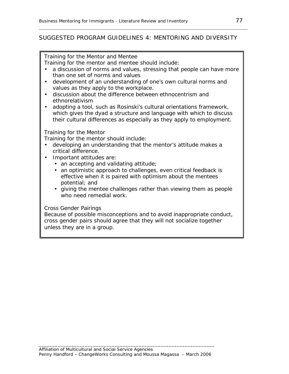# *SUGGESTED PROGRAM GUIDELINES 4: MENTORING AND DIVERSITY*

**\_\_\_\_\_\_\_\_\_\_\_\_\_\_\_\_\_\_\_\_\_\_\_\_\_\_\_\_\_\_\_\_\_\_\_\_\_\_\_\_\_\_\_\_\_\_\_\_\_\_\_\_\_\_\_\_\_\_\_\_\_\_\_\_\_\_**

## *Training for the Mentor and Mentee*

Training for the mentor and mentee should include:

- a discussion of norms and values, stressing that people can have more than one set of norms and values
- development of an understanding of one's own cultural norms and values as they apply to the workplace.
- discussion about the difference between ethnocentrism and ethnorelativism
- adopting a tool, such as Rosinski's cultural orientations framework, which gives the dyad a structure and language with which to discuss their cultural differences as especially as they apply to employment.

### *Training for the Mentor*

Training for the mentor should include:

- developing an understanding that the mentor's attitude makes a critical difference.
- Important attitudes are:
	- an accepting and validating attitude;
	- an optimistic approach to challenges, even critical feedback is effective when it is paired with optimism about the mentees potential; and
	- giving the mentee challenges rather than viewing them as people who need remedial work.

### *Cross Gender Pairings*

Because of possible misconceptions and to avoid inappropriate conduct, cross gender pairs should agree that they will not socialize together unless they are in a group.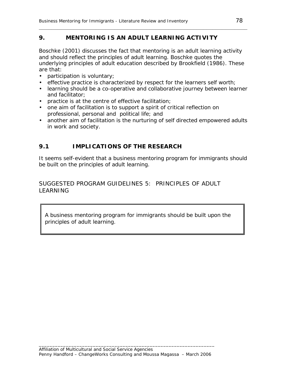## **9. MENTORING IS AN ADULT LEARNING ACTIVITY**

Boschke (2001) discusses the fact that mentoring is an adult learning activity and should reflect the principles of adult learning. Boschke quotes the underlying principles of adult education described by Brookfield (1986). These are that:

**\_\_\_\_\_\_\_\_\_\_\_\_\_\_\_\_\_\_\_\_\_\_\_\_\_\_\_\_\_\_\_\_\_\_\_\_\_\_\_\_\_\_\_\_\_\_\_\_\_\_\_\_\_\_\_\_\_\_\_\_\_\_\_\_\_\_**

- participation is voluntary;
- effective practice is characterized by respect for the learners self worth;
- learning should be a co-operative and collaborative journey between learner and facilitator;
- practice is at the centre of effective facilitation;
- one aim of facilitation is to support a spirit of critical reflection on professional, personal and political life; and
- another aim of facilitation is the nurturing of self directed empowered adults in work and society.

# **9.1 IMPLICATIONS OF THE RESEARCH**

It seems self-evident that a business mentoring program for immigrants should be built on the principles of adult learning.

## *SUGGESTED PROGRAM GUIDELINES 5: PRINCIPLES OF ADULT LEARNING*

A business mentoring program for immigrants should be built upon the principles of adult learning.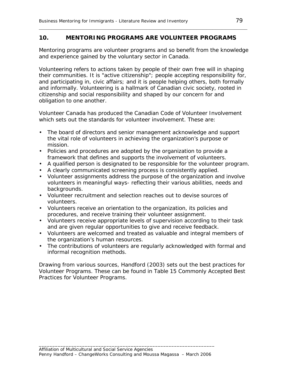## **10. MENTORING PROGRAMS ARE VOLUNTEER PROGRAMS**

Mentoring programs are volunteer programs and so benefit from the knowledge and experience gained by the voluntary sector in Canada.

**\_\_\_\_\_\_\_\_\_\_\_\_\_\_\_\_\_\_\_\_\_\_\_\_\_\_\_\_\_\_\_\_\_\_\_\_\_\_\_\_\_\_\_\_\_\_\_\_\_\_\_\_\_\_\_\_\_\_\_\_\_\_\_\_\_\_**

Volunteering refers to actions taken by people of their own free will in shaping their communities. It is "active citizenship"; people accepting responsibility for, and participating in, civic affairs; and it is people helping others, both formally and informally. Volunteering is a hallmark of Canadian civic society, rooted in citizenship and social responsibility and shaped by our concern for and obligation to one another.

Volunteer Canada has produced the Canadian Code of Volunteer Involvement which sets out the standards for volunteer involvement. These are:

- The board of directors and senior management acknowledge and support the vital role of volunteers in achieving the organization's purpose or mission.
- Policies and procedures are adopted by the organization to provide a framework that defines and supports the involvement of volunteers.
- A qualified person is designated to be responsible for the volunteer program.
- A clearly communicated screening process is consistently applied.
- Volunteer assignments address the purpose of the organization and involve volunteers in meaningful ways- reflecting their various abilities, needs and backgrounds.
- Volunteer recruitment and selection reaches out to devise sources of volunteers.
- Volunteers receive an orientation to the organization, its policies and procedures, and receive training their volunteer assignment.
- Volunteers receive appropriate levels of supervision according to their task and are given regular opportunities to give and receive feedback.
- Volunteers are welcomed and treated as valuable and integral members of the organization's human resources.
- The contributions of volunteers are regularly acknowledged with formal and informal recognition methods.

Drawing from various sources, Handford (2003) sets out the best practices for Volunteer Programs. These can be found in Table 15 Commonly Accepted Best Practices for Volunteer Programs.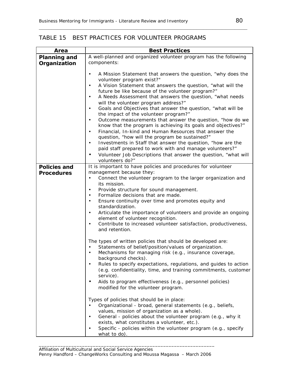| Area                                     | <b>Best Practices</b>                                                                                                                                                                                                                                                                                                                                                                                                                                                                                                                                                                                                                                                                                                                                                                                                          |
|------------------------------------------|--------------------------------------------------------------------------------------------------------------------------------------------------------------------------------------------------------------------------------------------------------------------------------------------------------------------------------------------------------------------------------------------------------------------------------------------------------------------------------------------------------------------------------------------------------------------------------------------------------------------------------------------------------------------------------------------------------------------------------------------------------------------------------------------------------------------------------|
| <b>Planning and</b>                      | A well-planned and organized volunteer program has the following<br>components:                                                                                                                                                                                                                                                                                                                                                                                                                                                                                                                                                                                                                                                                                                                                                |
| Organization                             | A Mission Statement that answers the question, "why does the<br>$\bullet$<br>volunteer program exist?"<br>A Vision Statement that answers the question, "what will the<br>$\bullet$<br>future be like because of the volunteer program?"<br>A Needs Assessment that answers the question, "what needs<br>$\bullet$<br>will the volunteer program address?"<br>Goals and Objectives that answer the question, "what will be<br>$\bullet$<br>the impact of the volunteer program?"<br>Outcome measurements that answer the question, "how do we<br>$\bullet$<br>know that the program is achieving its goals and objectives?"<br>Financial, In-kind and Human Resources that answer the<br>$\bullet$<br>question, "how will the program be sustained?"                                                                           |
|                                          | Investments in Staff that answer the question, "how are the<br>$\bullet$<br>paid staff prepared to work with and manage volunteers?"<br>Volunteer Job Descriptions that answer the question, "what will<br>$\bullet$<br>volunteers do?"                                                                                                                                                                                                                                                                                                                                                                                                                                                                                                                                                                                        |
| <b>Policies and</b><br><b>Procedures</b> | It is important to have policies and procedures for volunteer<br>management because they:<br>Connect the volunteer program to the larger organization and<br>$\bullet$<br>its mission.<br>Provide structure for sound management.<br>$\bullet$<br>Formalize decisions that are made.<br>$\bullet$<br>Ensure continuity over time and promotes equity and<br>$\bullet$<br>standardization.<br>Articulate the importance of volunteers and provide an ongoing<br>$\bullet$<br>element of volunteer recognition.<br>Contribute to increased volunteer satisfaction, productiveness,<br>$\bullet$<br>and retention.                                                                                                                                                                                                                |
|                                          | The types of written policies that should be developed are:<br>Statements of belief/position/values of organization.<br>$\bullet$<br>Mechanisms for managing risk (e.g., insurance coverage,<br>background checks).<br>Rules to specify expectations, regulations, and guides to action<br>(e.g. confidentiality, time, and training commitments, customer<br>service).<br>Aids to program effectiveness (e.g., personnel policies)<br>modified for the volunteer program.<br>Types of policies that should be in place:<br>Organizational - broad, general statements (e.g., beliefs,<br>values, mission of organization as a whole).<br>General - policies about the volunteer program (e.g., why it<br>٠<br>exists, what constitutes a volunteer, etc.).<br>Specific - policies within the volunteer program (e.g., specify |

## *TABLE 15 BEST PRACTICES FOR VOLUNTEER PROGRAMS*

**\_\_\_\_\_\_\_\_\_\_\_\_\_\_\_\_\_\_\_\_\_\_\_\_\_\_\_\_\_\_\_\_\_\_\_\_\_\_\_\_\_\_\_\_\_\_\_\_\_\_\_\_\_\_\_\_\_\_\_\_\_\_\_\_\_\_**

what to do).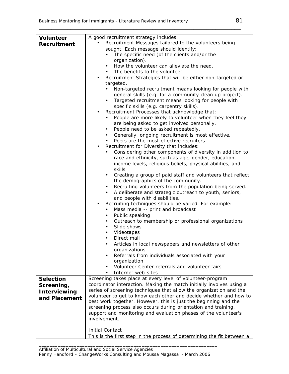| <b>Volunteer</b>   | A good recruitment strategy includes:                                                                                             |
|--------------------|-----------------------------------------------------------------------------------------------------------------------------------|
| <b>Recruitment</b> | Recruitment Messages tailored to the volunteers being                                                                             |
|                    | sought. Each message should identify:                                                                                             |
|                    | The specific need (of the clients and/or the<br>$\bullet$                                                                         |
|                    | organization).                                                                                                                    |
|                    | How the volunteer can alleviate the need.<br>$\bullet$                                                                            |
|                    | The benefits to the volunteer.<br>$\bullet$                                                                                       |
|                    | Recruitment Strategies that will be either non-targeted or<br>$\bullet$                                                           |
|                    | targeted.                                                                                                                         |
|                    | Non-targeted recruitment means looking for people with<br>$\bullet$                                                               |
|                    | general skills (e.g. for a community clean up project).                                                                           |
|                    | Targeted recruitment means looking for people with<br>$\bullet$                                                                   |
|                    | specific skills (e.g. carpentry skills).                                                                                          |
|                    | Recruitment Processes that acknowledge that:<br>$\bullet$                                                                         |
|                    | People are more likely to volunteer when they feel they<br>$\bullet$<br>are being asked to get involved personally.               |
|                    | People need to be asked repeatedly.<br>$\bullet$                                                                                  |
|                    | Generally, ongoing recruitment is most effective.<br>$\bullet$                                                                    |
|                    | Peers are the most effective recruiters.                                                                                          |
|                    | Recruitment for Diversity that includes:                                                                                          |
|                    | Considering other components of diversity in addition to<br>٠                                                                     |
|                    | race and ethnicity, such as age, gender, education,                                                                               |
|                    | income levels, religious beliefs, physical abilities, and                                                                         |
|                    | skills.                                                                                                                           |
|                    | Creating a group of paid staff and volunteers that reflect                                                                        |
|                    | the demographics of the community.                                                                                                |
|                    | Recruiting volunteers from the population being served.<br>$\bullet$                                                              |
|                    | A deliberate and strategic outreach to youth, seniors,<br>$\bullet$                                                               |
|                    | and people with disabilities.                                                                                                     |
|                    | Recruiting techniques should be varied. For example:                                                                              |
|                    | Mass media -- print and broadcast<br>$\bullet$                                                                                    |
|                    | Public speaking<br>$\bullet$                                                                                                      |
|                    | Outreach to membership or professional organizations<br>$\bullet$<br>Slide shows                                                  |
|                    | $\bullet$<br>Videotapes<br>٠                                                                                                      |
|                    | Direct mail<br>$\bullet$                                                                                                          |
|                    | Articles in local newspapers and newsletters of other                                                                             |
|                    | organizations                                                                                                                     |
|                    | Referrals from individuals associated with your<br>$\bullet$                                                                      |
|                    | organization                                                                                                                      |
|                    | Volunteer Center referrals and volunteer fairs<br>$\bullet$                                                                       |
|                    | Internet web-sites                                                                                                                |
| <b>Selection</b>   | Screening takes place at every level of volunteer-program                                                                         |
| Screening,         | coordinator interaction. Making the match initially involves using a                                                              |
| Interviewing       | series of screening techniques that allow the organization and the                                                                |
| and Placement      | volunteer to get to know each other and decide whether and how to                                                                 |
|                    | best work together. However, this is just the beginning and the                                                                   |
|                    | screening process also occurs during orientation and training,<br>support and monitoring and evaluation phases of the volunteer's |
|                    | involvement.                                                                                                                      |
|                    |                                                                                                                                   |
|                    | <b>Initial Contact</b>                                                                                                            |
|                    | This is the first step in the process of determining the fit between a                                                            |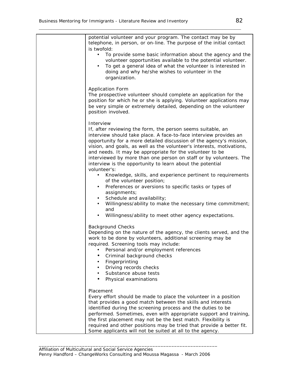| potential volunteer and your program. The contact may be by<br>telephone, in person, or on-line. The purpose of the initial contact<br>is twofold:<br>To provide some basic information about the agency and the                                                                                                                                                                                                                                                                                                    |
|---------------------------------------------------------------------------------------------------------------------------------------------------------------------------------------------------------------------------------------------------------------------------------------------------------------------------------------------------------------------------------------------------------------------------------------------------------------------------------------------------------------------|
| volunteer opportunities available to the potential volunteer.<br>To get a general idea of what the volunteer is interested in<br>doing and why he/she wishes to volunteer in the<br>organization.                                                                                                                                                                                                                                                                                                                   |
| <b>Application Form</b><br>The prospective volunteer should complete an application for the<br>position for which he or she is applying. Volunteer applications may<br>be very simple or extremely detailed, depending on the volunteer<br>position involved.                                                                                                                                                                                                                                                       |
| <i>Interview</i><br>If, after reviewing the form, the person seems suitable, an<br>interview should take place. A face-to-face interview provides an<br>opportunity for a more detailed discussion of the agency's mission,<br>vision, and goals, as well as the volunteer's interests, motivations,<br>and needs. It may be appropriate for the volunteer to be<br>interviewed by more than one person on staff or by volunteers. The<br>interview is the opportunity to learn about the potential<br>volunteer's: |
| Knowledge, skills, and experience pertinent to requirements<br>$\bullet$<br>of the volunteer position;<br>Preferences or aversions to specific tasks or types of<br>$\bullet$<br>assignments;<br>Schedule and availability;<br>$\bullet$<br>Willingness/ability to make the necessary time commitment;<br>$\bullet$<br>and<br>Willingness/ability to meet other agency expectations.                                                                                                                                |
| <b>Background Checks</b><br>Depending on the nature of the agency, the clients served, and the<br>work to be done by volunteers, additional screening may be<br>required. Screening tools may include:<br>Personal and/or employment references<br>Criminal background checks<br>Fingerprinting<br>$\bullet$<br>Driving records checks<br>٠<br>Substance abuse tests<br>$\bullet$<br>Physical examinations                                                                                                          |
| Placement<br>Every effort should be made to place the volunteer in a position<br>that provides a good match between the skills and interests<br>identified during the screening process and the duties to be<br>performed. Sometimes, even with appropriate support and training,<br>the first placement may not be the best match. Flexibility is<br>required and other positions may be tried that provide a better fit.<br>Some applicants will not be suited at all to the agency.                              |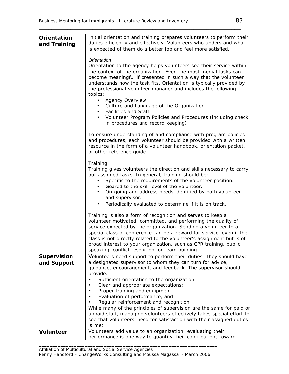| <b>Orientation</b>                | Initial orientation and training prepares volunteers to perform their                                                                                                                                                                                                                                                                                                                                                                                                                                                                                                                                                                                                         |
|-----------------------------------|-------------------------------------------------------------------------------------------------------------------------------------------------------------------------------------------------------------------------------------------------------------------------------------------------------------------------------------------------------------------------------------------------------------------------------------------------------------------------------------------------------------------------------------------------------------------------------------------------------------------------------------------------------------------------------|
| and Training                      | duties efficiently and effectively. Volunteers who understand what                                                                                                                                                                                                                                                                                                                                                                                                                                                                                                                                                                                                            |
|                                   | is expected of them do a better job and feel more satisfied.                                                                                                                                                                                                                                                                                                                                                                                                                                                                                                                                                                                                                  |
|                                   | Orientation<br>Orientation to the agency helps volunteers see their service within<br>the context of the organization. Even the most menial tasks can<br>become meaningful if presented in such a way that the volunteer<br>understands how the task fits. Orientation is typically provided by<br>the professional volunteer manager and includes the following<br>topics:<br><b>Agency Overview</b><br>$\bullet$<br>Culture and Language of the Organization<br>$\bullet$<br><b>Facilities and Staff</b><br>$\bullet$<br>Volunteer Program Policies and Procedures (including check<br>$\bullet$<br>in procedures and record keeping)                                       |
|                                   | To ensure understanding of and compliance with program policies<br>and procedures, each volunteer should be provided with a written<br>resource in the form of a volunteer handbook, orientation packet,<br>or other reference guide.                                                                                                                                                                                                                                                                                                                                                                                                                                         |
|                                   | Training<br>Training gives volunteers the direction and skills necessary to carry<br>out assigned tasks. In general, training should be:<br>Specific to the requirements of the volunteer position.<br>$\bullet$<br>Geared to the skill level of the volunteer.<br>$\bullet$<br>On-going and address needs identified by both volunteer<br>and supervisor.<br>Periodically evaluated to determine if it is on track.<br>$\bullet$                                                                                                                                                                                                                                             |
|                                   | Training is also a form of recognition and serves to keep a<br>volunteer motivated, committed, and performing the quality of<br>service expected by the organization. Sending a volunteer to a<br>special class or conference can be a reward for service, even if the<br>class is not directly related to the volunteer's assignment but is of<br>broad interest to your organization, such as CPR training, public<br>speaking, conflict resolution, or team building.                                                                                                                                                                                                      |
| <b>Supervision</b><br>and Support | Volunteers need support to perform their duties. They should have<br>a designated supervisor to whom they can turn for advice,<br>guidance, encouragement, and feedback. The supervisor should<br>provide:<br>Sufficient orientation to the organization;<br>$\bullet$<br>Clear and appropriate expectations;<br>Proper training and equipment;<br>Evaluation of performance, and<br>$\bullet$<br>Regular reinforcement and recognition.<br>While many of the principles of supervision are the same for paid or<br>unpaid staff, managing volunteers effectively takes special effort to<br>see that volunteers' need for satisfaction with their assigned duties<br>is met. |
| <b>Volunteer</b>                  | Volunteers add value to an organization; evaluating their                                                                                                                                                                                                                                                                                                                                                                                                                                                                                                                                                                                                                     |
|                                   | performance is one way to quantify their contributions toward                                                                                                                                                                                                                                                                                                                                                                                                                                                                                                                                                                                                                 |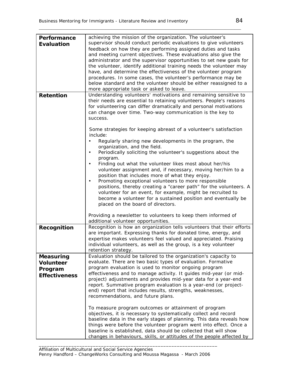| achieving the mission of the organization. The volunteer's<br>supervisor should conduct periodic evaluations to give volunteers<br>feedback on how they are performing assigned duties and tasks<br>and meeting current objectives. These evaluations also give the<br>administrator and the supervisor opportunities to set new goals for<br>the volunteer, identify additional training needs the volunteer may<br>have, and determine the effectiveness of the volunteer program<br>procedures. In some cases, the volunteer's performance may be<br>below standard and the volunteer should be either reassigned to a<br>more appropriate task or asked to leave.                                                                                                                                                                                                                                                       |
|-----------------------------------------------------------------------------------------------------------------------------------------------------------------------------------------------------------------------------------------------------------------------------------------------------------------------------------------------------------------------------------------------------------------------------------------------------------------------------------------------------------------------------------------------------------------------------------------------------------------------------------------------------------------------------------------------------------------------------------------------------------------------------------------------------------------------------------------------------------------------------------------------------------------------------|
| Understanding volunteers' motivations and remaining sensitive to<br>their needs are essential to retaining volunteers. People's reasons<br>for volunteering can differ dramatically and personal motivations<br>can change over time. Two-way communication is the key to<br>success.                                                                                                                                                                                                                                                                                                                                                                                                                                                                                                                                                                                                                                       |
| Some strategies for keeping abreast of a volunteer's satisfaction<br>include:<br>Regularly sharing new developments in the program, the<br>$\bullet$<br>organization, and the field.<br>Periodically soliciting the volunteer's suggestions about the<br>$\bullet$<br>program.<br>Finding out what the volunteer likes most about her/his<br>٠<br>volunteer assignment and, if necessary, moving her/him to a<br>position that includes more of what they enjoy.<br>Promoting exceptional volunteers to more responsible<br>$\bullet$<br>positions, thereby creating a "career path" for the volunteers. A<br>volunteer for an event, for example, might be recruited to<br>become a volunteer for a sustained position and eventually be<br>placed on the board of directors.<br>Providing a newsletter to volunteers to keep them informed of                                                                             |
| additional volunteer opportunities.<br>Recognition is how an organization tells volunteers that their efforts<br>are important. Expressing thanks for donated time, energy, and<br>expertise makes volunteers feel valued and appreciated. Praising<br>individual volunteers, as well as the group, is a key volunteer<br>retention strategy.                                                                                                                                                                                                                                                                                                                                                                                                                                                                                                                                                                               |
| Evaluation should be tailored to the organization's capacity to<br>evaluate. There are two basic types of evaluation. Formative<br>program evaluation is used to monitor ongoing program<br>effectiveness and to manage activity. It guides mid-year (or mid-<br>project) adjustments and provides mid-year data for a year-end<br>report. Summative program evaluation is a year-end (or project-<br>end) report that includes results, strengths, weaknesses,<br>recommendations, and future plans.<br>To measure program outcomes or attainment of program<br>objectives, it is necessary to systematically collect and record<br>baseline data in the early stages of planning. This data reveals how<br>things were before the volunteer program went into effect. Once a<br>baseline is established, data should be collected that will show<br>changes in behaviours, skills, or attitudes of the people affected by |
|                                                                                                                                                                                                                                                                                                                                                                                                                                                                                                                                                                                                                                                                                                                                                                                                                                                                                                                             |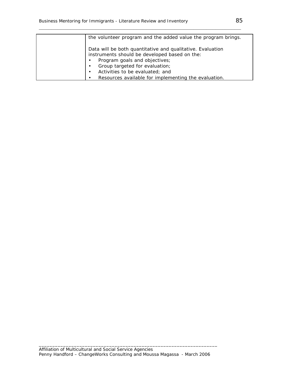| the volunteer program and the added value the program brings.                                                                                                                                                                                                                          |
|----------------------------------------------------------------------------------------------------------------------------------------------------------------------------------------------------------------------------------------------------------------------------------------|
| Data will be both quantitative and qualitative. Evaluation<br>instruments should be developed based on the:<br>Program goals and objectives;<br>Group targeted for evaluation;<br>Activities to be evaluated; and<br>$\bullet$<br>Resources available for implementing the evaluation. |
|                                                                                                                                                                                                                                                                                        |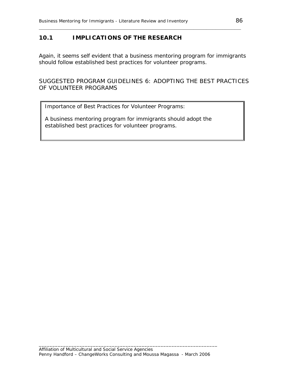# **10.1 IMPLICATIONS OF THE RESEARCH**

Again, it seems self evident that a business mentoring program for immigrants should follow established best practices for volunteer programs.

**\_\_\_\_\_\_\_\_\_\_\_\_\_\_\_\_\_\_\_\_\_\_\_\_\_\_\_\_\_\_\_\_\_\_\_\_\_\_\_\_\_\_\_\_\_\_\_\_\_\_\_\_\_\_\_\_\_\_\_\_\_\_\_\_**

## *SUGGESTED PROGRAM GUIDELINES 6: ADOPTING THE BEST PRACTICES OF VOLUNTEER PROGRAMS*

Importance of Best Practices for Volunteer Programs:

A business mentoring program for immigrants should adopt the established best practices for volunteer programs.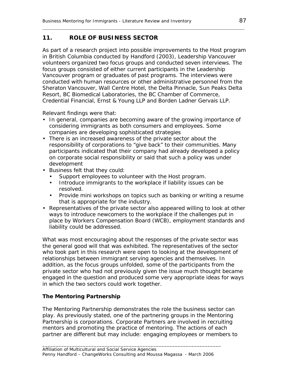# **11. ROLE OF BUSINESS SECTOR**

As part of a research project into possible improvements to the Host program in British Columbia conducted by Handford (2003), Leadership Vancouver volunteers organized two focus groups and conducted seven interviews. The focus groups consisted of either current participants in the Leadership Vancouver program or graduates of past programs. The interviews were conducted with human resources or other administrative personnel from the Sheraton Vancouver, Wall Centre Hotel, the Delta Pinnacle, Sun Peaks Delta Resort, BC Biomedical Laboratories, the BC Chamber of Commerce, Credential Financial, Ernst & Young LLP and Borden Ladner Gervais LLP.

**\_\_\_\_\_\_\_\_\_\_\_\_\_\_\_\_\_\_\_\_\_\_\_\_\_\_\_\_\_\_\_\_\_\_\_\_\_\_\_\_\_\_\_\_\_\_\_\_\_\_\_\_\_\_\_\_\_\_\_\_\_\_\_\_**

Relevant findings were that:

- In general, companies are becoming aware of the growing importance of considering immigrants as both consumers and employees. Some companies are developing sophisticated strategies
- There is an increased awareness of the private sector about the responsibility of corporations to "give back" to their communities. Many participants indicated that their company had already developed a policy on corporate social responsibility or said that such a policy was under development
- Business felt that they could:
	- Support employees to volunteer with the Host program.
	- Introduce immigrants to the workplace if liability issues can be resolved.
	- Provide mini workshops on topics such as banking or writing a resume that is appropriate for the industry.
- Representatives of the private sector also appeared willing to look at other ways to introduce newcomers to the workplace if the challenges put in place by Workers Compensation Board (WCB), employment standards and liability could be addressed.

What was most encouraging about the responses of the private sector was the general good will that was exhibited. The representatives of the sector who took part in this research were open to looking at the development of relationships between immigrant serving agencies and themselves. In addition, as the focus groups unfolded, some of the participants from the private sector who had not previously given the issue much thought became engaged in the question and produced some very appropriate ideas for ways in which the two sectors could work together.

## **The Mentoring Partnership**

The Mentoring Partnership demonstrates the role the business sector can play. As previously stated, one of the partnering groups in the Mentoring Partnership is corporations. Corporate Partners are involved in recruiting mentors and promoting the practice of mentoring. The actions of each partner are different but may include: engaging employees or members to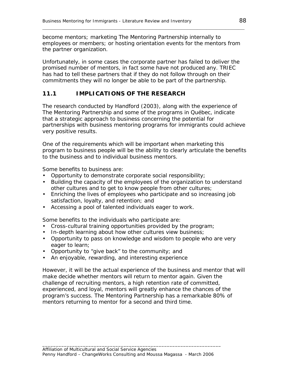become mentors; marketing The Mentoring Partnership internally to employees or members; or hosting orientation events for the mentors from the partner organization.

**\_\_\_\_\_\_\_\_\_\_\_\_\_\_\_\_\_\_\_\_\_\_\_\_\_\_\_\_\_\_\_\_\_\_\_\_\_\_\_\_\_\_\_\_\_\_\_\_\_\_\_\_\_\_\_\_\_\_\_\_\_\_\_\_**

Unfortunately, in some cases the corporate partner has failed to deliver the promised number of mentors, in fact some have not produced any. TRIEC has had to tell these partners that if they do not follow through on their commitments they will no longer be able to be part of the partnership.

# **11.1 IMPLICATIONS OF THE RESEARCH**

The research conducted by Handford (2003), along with the experience of The Mentoring Partnership and some of the programs in Québec, indicate that a strategic approach to business concerning the potential for partnerships with business mentoring programs for immigrants could achieve very positive results.

One of the requirements which will be important when marketing this program to business people will be the ability to clearly articulate the benefits to the business and to individual business mentors.

Some benefits to business are:

- Opportunity to demonstrate corporate social responsibility;
- Building the capacity of the employees of the organization to understand other cultures and to get to know people from other cultures;
- Enriching the lives of employees who participate and so increasing job satisfaction, loyalty, and retention; and
- Accessing a pool of talented individuals eager to work.

Some benefits to the individuals who participate are:

- Cross-cultural training opportunities provided by the program;
- In-depth learning about how other cultures view business;
- Opportunity to pass on knowledge and wisdom to people who are very eager to learn;
- Opportunity to "give back" to the community; and
- An enjoyable, rewarding, and interesting experience

However, it will be the actual experience of the business and mentor that will make decide whether mentors will return to mentor again. Given the challenge of recruiting mentors, a high retention rate of committed, experienced, and loyal, mentors will greatly enhance the chances of the program's success. The Mentoring Partnership has a remarkable 80% of mentors returning to mentor for a second and third time.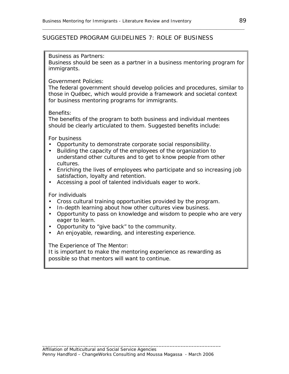## *SUGGESTED PROGRAM GUIDELINES 7: ROLE OF BUSINESS*

#### Business as Partners:

Business should be seen as a partner in a business mentoring program for immigrants.

**\_\_\_\_\_\_\_\_\_\_\_\_\_\_\_\_\_\_\_\_\_\_\_\_\_\_\_\_\_\_\_\_\_\_\_\_\_\_\_\_\_\_\_\_\_\_\_\_\_\_\_\_\_\_\_\_\_\_\_\_\_\_\_\_**

#### Government Policies:

The federal government should develop policies and procedures, similar to those in Québec, which would provide a framework and societal context for business mentoring programs for immigrants.

#### Benefits:

The benefits of the program to both business and individual mentees should be clearly articulated to them. Suggested benefits include:

*For business*

- Opportunity to demonstrate corporate social responsibility.
- Building the capacity of the employees of the organization to understand other cultures and to get to know people from other cultures.
- Enriching the lives of employees who participate and so increasing job satisfaction, loyalty and retention.
- Accessing a pool of talented individuals eager to work.

### *For individuals*

- Cross cultural training opportunities provided by the program.
- In-depth learning about how other cultures view business.
- Opportunity to pass on knowledge and wisdom to people who are very eager to learn.
- Opportunity to "give back" to the community.
- An enjoyable, rewarding, and interesting experience.

The Experience of The Mentor:

It is important to make the mentoring experience as rewarding as possible so that mentors will want to continue.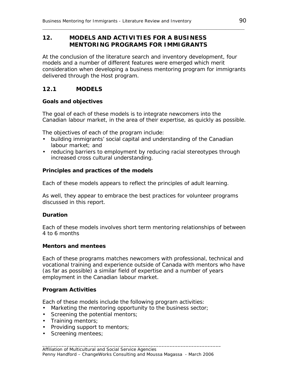## **12. MODELS AND ACTIVITIES FOR A BUSINESS MENTORING PROGRAMS FOR IMMIGRANTS**

At the conclusion of the literature search and inventory development, four models and a number of different features were emerged which merit consideration when developing a business mentoring program for immigrants delivered through the Host program.

**\_\_\_\_\_\_\_\_\_\_\_\_\_\_\_\_\_\_\_\_\_\_\_\_\_\_\_\_\_\_\_\_\_\_\_\_\_\_\_\_\_\_\_\_\_\_\_\_\_\_\_\_\_\_\_\_\_\_\_\_\_\_\_\_**

# **12.1 MODELS**

## **Goals and objectives**

The goal of each of these models is to integrate newcomers into the Canadian labour market, in the area of their expertise, as quickly as possible.

The objectives of each of the program include:

- building immigrants' social capital and understanding of the Canadian labour market; and
- reducing barriers to employment by reducing racial stereotypes through increased cross cultural understanding.

## **Principles and practices of the models**

Each of these models appears to reflect the principles of adult learning.

As well, they appear to embrace the best practices for volunteer programs discussed in this report.

### **Duration**

Each of these models involves short term mentoring relationships of between 4 to 6 months

### **Mentors and mentees**

Each of these programs matches newcomers with professional, technical and vocational training and experience outside of Canada with mentors who have (as far as possible) a similar field of expertise and a number of years employment in the Canadian labour market.

### **Program Activities**

Each of these models include the following program activities:

- Marketing the mentoring opportunity to the business sector;
- Screening the potential mentors;
- Training mentors;
- Providing support to mentors;
- Screening mentees;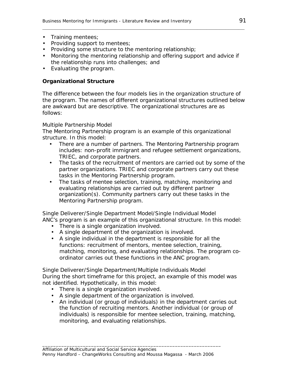- Training mentees:
- Providing support to mentees;
- Providing some structure to the mentoring relationship;
- Monitoring the mentoring relationship and offering support and advice if the relationship runs into challenges; and

• Evaluating the program.

### **Organizational Structure**

The difference between the four models lies in the organization structure of the program. The names of different organizational structures outlined below are awkward but are descriptive. The organizational structures are as follows:

#### *Multiple Partnership Model*

The Mentoring Partnership program is an example of this organizational structure. In this model:

- There are a number of partners. The Mentoring Partnership program includes: non-profit immigrant and refugee settlement organizations, TRIEC, and corporate partners.
- The tasks of the recruitment of mentors are carried out by some of the partner organizations. TRIEC and corporate partners carry out these tasks in the Mentoring Partnership program.
- The tasks of mentee selection, training, matching, monitoring and evaluating relationships are carried out by different partner organization(s). Community partners carry out these tasks in the Mentoring Partnership program.

### *Single Deliverer/Single Department Model/Single Individual Model*

ANC's program is an example of this organizational structure. In this model:

- There is a single organization involved.
- A single department of the organization is involved.
- A single individual in the department is responsible for all the functions: recruitment of mentors, mentee selection, training, matching, monitoring, and evaluating relationships. The program coordinator carries out these functions in the ANC program.

#### *Single Deliverer/Single Department/Multiple Individuals Model*

During the short timeframe for this project, an example of this model was not identified. Hypothetically, in this model:

- There is a single organization involved.
- A single department of the organization is involved.
- An individual (or group of individuals) in the department carries out the function of recruiting mentors. Another individual (or group of individuals) is responsible for mentee selection, training, matching, monitoring, and evaluating relationships.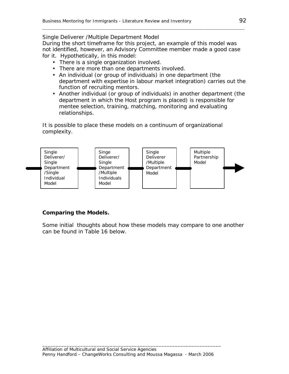#### *Single Deliverer /Multiple Department Model*

During the short timeframe for this project, an example of this model was not identified, however, an Advisory Committee member made a good case for it. Hypothetically, in this model:

**\_\_\_\_\_\_\_\_\_\_\_\_\_\_\_\_\_\_\_\_\_\_\_\_\_\_\_\_\_\_\_\_\_\_\_\_\_\_\_\_\_\_\_\_\_\_\_\_\_\_\_\_\_\_\_\_\_\_\_\_\_\_\_\_**

- There is a single organization involved.
- There are more than one departments involved.
- An individual (or group of individuals) in one department (the department with expertise in labour market integration) carries out the function of recruiting mentors.
- Another individual (or group of individuals) in another department (the department in which the Host program is placed) is responsible for mentee selection, training, matching, monitoring and evaluating relationships.

It is possible to place these models on a continuum of organizational complexity.



### **Comparing the Models.**

Some initial thoughts about how these models may compare to one another can be found in Table 16 below.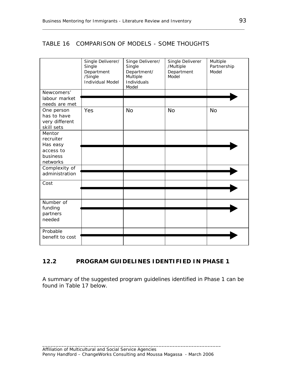## *TABLE 16 COMPARISON OF MODELS - SOME THOUGHTS*

**\_\_\_\_\_\_\_\_\_\_\_\_\_\_\_\_\_\_\_\_\_\_\_\_\_\_\_\_\_\_\_\_\_\_\_\_\_\_\_\_\_\_\_\_\_\_\_\_\_\_\_\_\_\_\_\_\_\_\_\_\_\_\_\_**

|                                                           | Single Deliverer/<br>Single<br>Department<br>/Single<br>Individual Model | Singe Deliverer/<br>Single<br>Department/<br>Multiple<br><b>Individuals</b><br>Model | Single Deliverer<br>/Multiple<br>Department<br>Model | <b>Multiple</b><br>Partnership<br>Model |
|-----------------------------------------------------------|--------------------------------------------------------------------------|--------------------------------------------------------------------------------------|------------------------------------------------------|-----------------------------------------|
| Newcomers'                                                |                                                                          |                                                                                      |                                                      |                                         |
| labour market<br>needs are met                            |                                                                          |                                                                                      |                                                      |                                         |
| One person<br>has to have<br>very different<br>skill sets | Yes                                                                      | <b>No</b>                                                                            | <b>No</b>                                            | <b>No</b>                               |
| Mentor<br>recruiter                                       |                                                                          |                                                                                      |                                                      |                                         |
| Has easy<br>access to                                     |                                                                          |                                                                                      |                                                      |                                         |
| business                                                  |                                                                          |                                                                                      |                                                      |                                         |
| networks                                                  |                                                                          |                                                                                      |                                                      |                                         |
| Complexity of<br>administration                           |                                                                          |                                                                                      |                                                      |                                         |
| Cost                                                      |                                                                          |                                                                                      |                                                      |                                         |
|                                                           |                                                                          |                                                                                      |                                                      |                                         |
| Number of                                                 |                                                                          |                                                                                      |                                                      |                                         |
| funding<br>partners                                       |                                                                          |                                                                                      |                                                      |                                         |
| needed                                                    |                                                                          |                                                                                      |                                                      |                                         |
| Probable                                                  |                                                                          |                                                                                      |                                                      |                                         |
| benefit to cost                                           |                                                                          |                                                                                      |                                                      |                                         |

## **12.2 PROGRAM GUIDELINES IDENTIFIED IN PHASE 1**

A summary of the suggested program guidelines identified in Phase 1 can be found in Table 17 below.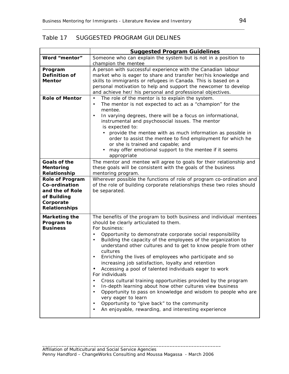# *Table 17 SUGGESTED PROGRAM GUIDELINES*

|                                                                                                                | <b>Suggested Program Guidelines</b>                                                                                                                                                                                                                                                                                                                                                                                                                                                                                                                                                                                                                                                                                                                                                                                                                                                                                                                |
|----------------------------------------------------------------------------------------------------------------|----------------------------------------------------------------------------------------------------------------------------------------------------------------------------------------------------------------------------------------------------------------------------------------------------------------------------------------------------------------------------------------------------------------------------------------------------------------------------------------------------------------------------------------------------------------------------------------------------------------------------------------------------------------------------------------------------------------------------------------------------------------------------------------------------------------------------------------------------------------------------------------------------------------------------------------------------|
| Word "mentor"                                                                                                  | Someone who can explain the system but is not in a position to                                                                                                                                                                                                                                                                                                                                                                                                                                                                                                                                                                                                                                                                                                                                                                                                                                                                                     |
|                                                                                                                | champion the mentee                                                                                                                                                                                                                                                                                                                                                                                                                                                                                                                                                                                                                                                                                                                                                                                                                                                                                                                                |
| Program<br><b>Definition of</b><br><b>Mentor</b>                                                               | A person with successful experience with the Canadian labour<br>market who is eager to share and transfer her/his knowledge and<br>skills to immigrants or refugees in Canada. This is based on a<br>personal motivation to help and support the newcomer to develop<br>and achieve her/ his personal and professional objectives.                                                                                                                                                                                                                                                                                                                                                                                                                                                                                                                                                                                                                 |
| <b>Role of Mentor</b>                                                                                          | The role of the mentor is to explain the system.<br>$\bullet$<br>The mentor is not expected to act as a "champion" for the<br>$\bullet$<br>mentee.<br>In varying degrees, there will be a focus on informational,<br>$\bullet$<br>instrumental and psychosocial issues. The mentor<br>is expected to:<br>• provide the mentee with as much information as possible in<br>order to assist the mentee to find employment for which he<br>or she is trained and capable; and<br>may offer emotional support to the mentee if it seems<br>appropriate                                                                                                                                                                                                                                                                                                                                                                                                  |
| <b>Goals of the</b><br><b>Mentoring</b><br>Relationship                                                        | The mentor and mentee will agree to goals for their relationship and<br>these goals will be consistent with the goals of the business<br>mentoring program.                                                                                                                                                                                                                                                                                                                                                                                                                                                                                                                                                                                                                                                                                                                                                                                        |
| <b>Role of Program</b><br>Co-ordination<br>and the of Role<br>of Building<br>Corporate<br><b>Relationships</b> | Wherever possible the functions of role of program co-ordination and<br>of the role of building corporate relationships these two roles should<br>be separated.                                                                                                                                                                                                                                                                                                                                                                                                                                                                                                                                                                                                                                                                                                                                                                                    |
| <b>Marketing the</b><br>Program to<br><b>Business</b>                                                          | The benefits of the program to both business and individual mentees<br>should be clearly articulated to them.<br>For business:<br>Opportunity to demonstrate corporate social responsibility<br>$\bullet$<br>Building the capacity of the employees of the organization to<br>$\bullet$<br>understand other cultures and to get to know people from other<br>cultures<br>Enriching the lives of employees who participate and so<br>$\bullet$<br>increasing job satisfaction, loyalty and retention<br>Accessing a pool of talented individuals eager to work<br>$\bullet$<br>For individuals<br>Cross cultural training opportunities provided by the program<br>$\bullet$<br>In-depth learning about how other cultures view business<br>Opportunity to pass on knowledge and wisdom to people who are<br>very eager to learn<br>Opportunity to "give back" to the community<br>$\bullet$<br>An enjoyable, rewarding, and interesting experience |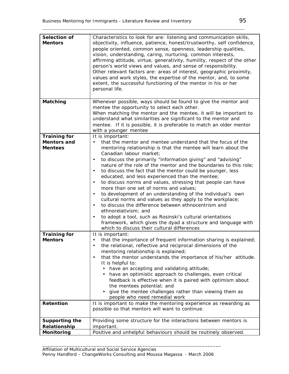| Selection of        | Characteristics to look for are: listening and communication skills,                                             |
|---------------------|------------------------------------------------------------------------------------------------------------------|
| <b>Mentors</b>      | objectivity, influence, patience, honest/trustworthy, self confidence,                                           |
|                     | people oriented, common sense, openness, leadership qualities,                                                   |
|                     | vision, understanding, caring, nurturing, common interests,                                                      |
|                     | affirming attitude, virtue, generativity, humility, respect of the other                                         |
|                     | person's world views and values, and sense of responsibility.                                                    |
|                     | Other relevant factors are: areas of interest, geographic proximity,                                             |
|                     | values and work styles, the expertise of the mentor, and, to some                                                |
|                     | extent, the successful functioning of the mentor in his or her                                                   |
|                     | personal life.                                                                                                   |
|                     |                                                                                                                  |
| Matching            | Whenever possible, ways should be found to give the mentor and                                                   |
|                     | mentee the opportunity to select each other.                                                                     |
|                     | When matching the mentor and the mentee, it will be important to                                                 |
|                     | understand what similarities are significant to the mentor and                                                   |
|                     | mentee. If it is possible, it is preferable to match an older mentor                                             |
|                     | with a younger mentee                                                                                            |
| <b>Training for</b> | It is important:                                                                                                 |
| <b>Mentors and</b>  | that the mentor and mentee understand that the focus of the<br>$\bullet$                                         |
| <b>Mentees</b>      | mentoring relationship is that the mentee will learn about the                                                   |
|                     | Canadian labour market;                                                                                          |
|                     | to discuss the primarily "information giving" and "advising"<br>$\bullet$                                        |
|                     | nature of the role of the mentor and the boundaries to this role;                                                |
|                     | to discuss the fact that the mentor could be younger, less<br>$\bullet$                                          |
|                     | educated, and less experienced than the mentee;                                                                  |
|                     | to discuss norms and values, stressing that people can have<br>$\bullet$                                         |
|                     | more than one set of norms and values;                                                                           |
|                     | to development of an understanding of the individual's own<br>$\bullet$                                          |
|                     | cultural norms and values as they apply to the workplace;<br>to discuss the difference between ethnocentrism and |
|                     | $\bullet$<br>ethnorelativism; and                                                                                |
|                     | to adopt a tool, such as Rosinski's cultural orientations<br>$\bullet$                                           |
|                     | framework, which gives the dyad a structure and language with                                                    |
|                     | which to discuss their cultural differences                                                                      |
| <b>Training for</b> | It is important:                                                                                                 |
| <b>Mentors</b>      | that the importance of frequent information sharing is explained;                                                |
|                     | the relational, reflective and reciprocal dimensions of the                                                      |
|                     | mentoring relationship is explained;                                                                             |
|                     | that the mentor understands the importance of his/her attitude.<br>$\bullet$                                     |
|                     | It is helpful to:                                                                                                |
|                     | have an accepting and validating attitude;                                                                       |
|                     | have an optimistic approach to challenges, even critical                                                         |
|                     | feedback is effective when it is paired with optimism about                                                      |
|                     | the mentees potential; and                                                                                       |
|                     | give the mentee challenges rather than viewing them as                                                           |
|                     | people who need remedial work                                                                                    |
| <b>Retention</b>    | It is important to make the mentoring experience as rewarding as                                                 |
|                     | possible so that mentors will want to continue.                                                                  |
|                     |                                                                                                                  |
| Supporting the      | Providing some structure for the interactions between mentors is                                                 |
| Relationship        | important.                                                                                                       |
| <b>Monitoring</b>   | Positive and unhelpful behaviours should be routinely observed.                                                  |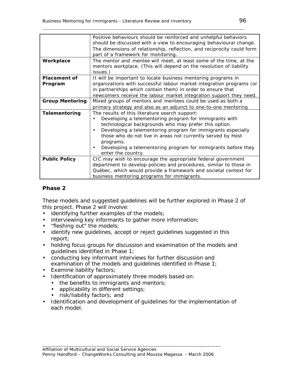|                        | Positive behaviours should be reinforced and unhelpful behaviors           |
|------------------------|----------------------------------------------------------------------------|
|                        | should be discussed with a view to encouraging behavioural change.         |
|                        |                                                                            |
|                        | The dimensions of relationship, reflection, and reciprocity could form     |
|                        | part of a framework for monitoring.                                        |
| Workplace              | The mentor and mentee will meet, at least some of the time, at the         |
|                        | mentors workplace. (This will depend on the resolution of liability        |
|                        | issues.)                                                                   |
| <b>Placement of</b>    | It will be important to locate business mentoring programs in              |
| Program                | organizations with successful labour market integration programs (or       |
|                        | in partnerships which contain them) in order to ensure that                |
|                        | newcomers receive the labour market integration support they need.         |
| <b>Group Mentoring</b> | Mixed groups of mentors and mentees could be used as both a                |
|                        | primary strategy and also as an adjunct to one-to-one mentoring            |
| <b>Telementoring</b>   | The results of this literature search support:                             |
|                        | Developing a telementoring program for immigrants with                     |
|                        | technological backgrounds who may prefer this option.                      |
|                        | Developing a telementoring program for immigrants especially<br>$\bullet$  |
|                        | those who do not live in areas not currently served by Host                |
|                        | programs.                                                                  |
|                        | Developing a telementoring program for immigrants before they<br>$\bullet$ |
|                        | enter the country.                                                         |
| <b>Public Policy</b>   | CIC may wish to encourage the appropriate federal government               |
|                        | department to develop policies and procedures, similar to those in         |
|                        | Québec, which would provide a framework and societal context for           |
|                        | business mentoring programs for immigrants.                                |
|                        |                                                                            |

## **Phase 2**

These models and suggested guidelines will be further explored in Phase 2 of this project. Phase 2 will involve:

- identifying further examples of the models;
- interviewing key informants to gather more information;
- "fleshing out" the models;
- identify new guidelines, accept or reject guidelines suggested in this report;
- holding focus groups for discussion and examination of the models and guidelines identified in Phase 1;
- conducting key informant interviews for further discussion and examination of the models and guidelines identified in Phase 1;
- Examine liability factors;
- Identification of approximately three models based on:
	- the benefits to immigrants and mentors;
	- applicability in different settings;
	- risk/liability factors; and
- Identification and development of guidelines for the implementation of each model.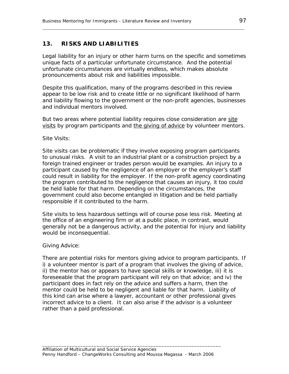# **13. RISKS AND LIABILITIES**

Legal liability for an injury or other harm turns on the specific and sometimes unique facts of a particular unfortunate circumstance. And the potential unfortunate circumstances are virtually endless, which makes absolute pronouncements about risk and liabilities impossible.

**\_\_\_\_\_\_\_\_\_\_\_\_\_\_\_\_\_\_\_\_\_\_\_\_\_\_\_\_\_\_\_\_\_\_\_\_\_\_\_\_\_\_\_\_\_\_\_\_\_\_\_\_\_\_\_\_\_\_\_\_\_\_\_\_**

Despite this qualification, many of the programs described in this review appear to be low risk and to create little or no significant likelihood of harm and liability flowing to the government or the non-profit agencies, businesses and individual mentors involved.

But two areas where potential liability requires close consideration are site visits by program participants and the giving of advice by volunteer mentors.

#### Site Visits:

Site visits can be problematic if they involve exposing program participants to unusual risks. A visit to an industrial plant or a construction project by a foreign trained engineer or trades person would be examples. An injury to a participant caused by the negligence of an employer or the employer's staff could result in liability for the employer. If the non-profit agency coordinating the program contributed to the negligence that causes an injury, it too could be held liable for that harm. Depending on the circumstances, the government could also become entangled in litigation and be held partially responsible if it contributed to the harm.

Site visits to less hazardous settings will of course pose less risk. Meeting at the office of an engineering firm or at a public place, in contrast, would generally not be a dangerous activity, and the potential for injury and liability would be inconsequential.

### Giving Advice:

There are potential risks for mentors giving advice to program participants. If i) a volunteer mentor is part of a program that involves the giving of advice, ii) the mentor has or appears to have special skills or knowledge, iii) it is foreseeable that the program participant will rely on that advice; and iv) the participant does in fact rely on the advice and suffers a harm, then the mentor could be held to be negligent and liable for that harm. Liability of this kind can arise where a lawyer, accountant or other professional gives incorrect advice to a client. It can also arise if the advisor is a volunteer rather than a paid professional.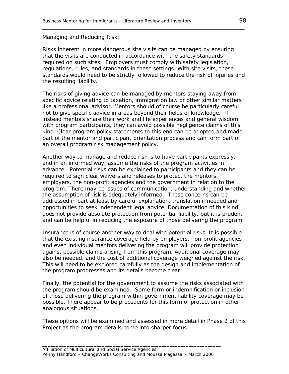Managing and Reducing Risk:

Risks inherent in more dangerous site visits can be managed by ensuring that the visits are conducted in accordance with the safety standards required on such sites. Employers must comply with safety legislation, regulations, rules, and standards in these settings. With site visits, these standards would need to be strictly followed to reduce the risk of injuries and the resulting liability.

**\_\_\_\_\_\_\_\_\_\_\_\_\_\_\_\_\_\_\_\_\_\_\_\_\_\_\_\_\_\_\_\_\_\_\_\_\_\_\_\_\_\_\_\_\_\_\_\_\_\_\_\_\_\_\_\_\_\_\_\_\_\_\_\_**

The risks of giving advice can be managed by mentors staying away from specific advice relating to taxation, immigration law or other similar matters like a professional advisor. Mentors should of course be particularly careful not to give specific advice in areas beyond their fields of knowledge. If instead mentors share their work and life experiences and general wisdom with program participants, they can avoid possible negligence claims of this kind. Clear program policy statements to this end can be adopted and made part of the mentor and participant orientation process and can form part of an overall program risk management policy.

Another way to manage and reduce risk is to have participants expressly, and in an informed way, assume the risks of the program activities in advance. Potential risks can be explained to participants and they can be required to sign clear waivers and releases to protect the mentors, employers, the non-profit agencies and the government in relation to the program. There may be issues of communication, understanding and whether the assumption of risk is adequately informed. These concerns can be addressed in part at least by careful explanation, translation if needed and opportunities to seek independent legal advice. Documentation of this kind does not provide absolute protection from potential liability, but it is prudent and can be helpful in reducing the exposure of those delivering the program.

Insurance is of course another way to deal with potential risks. It is possible that the existing insurance coverage held by employers, non-profit agencies and even individual mentors delivering the program will provide protection against possible claims arising from this program. Additional coverage may also be needed, and the cost of additional coverage weighed against the risk. This will need to be explored carefully as the design and implementation of the program progresses and its details become clear.

Finally, the potential for the government to assume the risks associated with the program should be examined. Some form or indemnification or inclusion of those delivering the program within government liability coverage may be possible. There appear to be precedents for this form of protection in other analogous situations.

These options will be examined and assessed in more detail in Phase 2 of this Project as the program details come into sharper focus.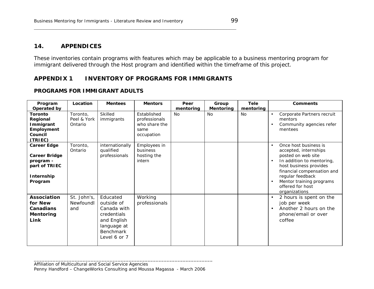## **14. APPENDICES**

These inventories contain programs with features which may be applicable to a business mentoring program for immigrant delivered through the Host program and identified within the timeframe of this project.

## **APPENDIX 1 INVENTORY OF PROGRAMS FOR IMMIGRANTS**

**\_\_\_\_\_\_\_\_\_\_\_\_\_\_\_\_\_\_\_\_\_\_\_\_\_\_\_\_\_\_\_\_\_\_\_\_\_\_\_\_\_\_\_\_\_\_\_\_\_\_\_\_\_\_\_\_\_\_\_\_\_\_\_\_**

#### **PROGRAMS FOR IMMIGRANT ADULTS**

| Program<br>Operated by                                                                            | Location                           | <b>Mentees</b>                                                                                                         | <b>Mentors</b>                                                      | Peer<br>mentoring | Group<br>Mentoring | <b>Tele</b><br>mentoring | <b>Comments</b>                                                                                                                                                                                                                                                                       |
|---------------------------------------------------------------------------------------------------|------------------------------------|------------------------------------------------------------------------------------------------------------------------|---------------------------------------------------------------------|-------------------|--------------------|--------------------------|---------------------------------------------------------------------------------------------------------------------------------------------------------------------------------------------------------------------------------------------------------------------------------------|
| Toronto<br>Regional<br>Immigrant<br><b>Employment</b><br>Council<br>(TRIEC)                       | Toronto.<br>Peel & York<br>Ontario | Skilled<br>immigrants                                                                                                  | Established<br>professionals<br>who share the<br>same<br>occupation | <b>No</b>         | <b>No</b>          | <b>No</b>                | Corporate Partners recruit<br>$\bullet$<br>mentors<br>Community agencies refer<br>mentees                                                                                                                                                                                             |
| <b>Career Edge</b><br><b>Career Bridge</b><br>program -<br>part of TRIEC<br>Internship<br>Program | Toronto,<br>Ontario                | internationally<br>qualified<br>professionals                                                                          | Employees in<br>business<br>hosting the<br>intern                   |                   |                    |                          | Once host business is<br>$\bullet$<br>accepted, internships<br>posted on web site<br>In addition to mentoring,<br>$\bullet$<br>host business provides<br>financial compensation and<br>regular feedback<br>Mentor training programs<br>$\bullet$<br>offered for host<br>organizations |
| Association<br>for New<br><b>Canadians</b><br><b>Mentoring</b><br>Link                            | St. John's,<br>Newfoundl<br>and    | Educated<br>outside of<br>Canada with<br>credentials<br>and English<br>language at<br><b>Benchmark</b><br>Level 6 or 7 | Working<br>professionals                                            |                   |                    |                          | 2 hours is spent on the<br>$\bullet$<br>job per week<br>Another 2 hours on the<br>$\bullet$<br>phone/email or over<br>coffee                                                                                                                                                          |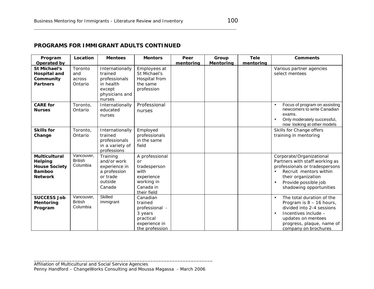#### **PROGRAMS FOR IMMIGRANT ADULTS CONTINUED**

| Program                                                                                           | Location                                 | <b>Mentees</b>                                                                                 | <b>Mentors</b>                                                                                       | Peer      | Group            | <b>Tele</b> | <b>Comments</b>                                                                                                                                                                                                           |
|---------------------------------------------------------------------------------------------------|------------------------------------------|------------------------------------------------------------------------------------------------|------------------------------------------------------------------------------------------------------|-----------|------------------|-------------|---------------------------------------------------------------------------------------------------------------------------------------------------------------------------------------------------------------------------|
| Operated by                                                                                       |                                          |                                                                                                |                                                                                                      | mentoring | <b>Mentoring</b> | mentoring   |                                                                                                                                                                                                                           |
| <b>St Michael's</b><br><b>Hospital and</b><br>Community<br><b>Partners</b>                        | Toronto<br>and<br>across<br>Ontario      | Internationally<br>trained<br>professionals<br>in health<br>except<br>physicians and<br>nurses | Employees at<br>St Michael's<br>Hospital from<br>the same<br>profession                              |           |                  |             | Various partner agencies<br>select mentees                                                                                                                                                                                |
| <b>CARE</b> for<br><b>Nurses</b>                                                                  | Toronto,<br>Ontario                      | Internationally<br>educated<br>nurses                                                          | Professional<br>nurses                                                                               |           |                  |             | Focus of program on assisting<br>$\bullet$<br>newcomers to write Canadian<br>exams.<br>Only moderately successful,<br>$\bullet$<br>now looking at other models                                                            |
| <b>Skills for</b><br>Change                                                                       | Toronto,<br>Ontario                      | Internationally<br>trained<br>professionals<br>in a variety of<br>professions                  | Employed<br>professionals<br>in the same<br>field                                                    |           |                  |             | Skills for Change offers<br>training in mentoring                                                                                                                                                                         |
| <b>Multicultural</b><br><b>Helping</b><br><b>House Society</b><br><b>Bamboo</b><br><b>Network</b> | Vancouver,<br><b>British</b><br>Columbia | Training<br>and/or work<br>experience in<br>a profession<br>or trade<br>outside<br>Canada      | A professional<br>or<br>tradesperson<br>with<br>experience<br>working in<br>Canada in<br>their field |           |                  |             | Corporate/Organizational<br>Partners with staff working as<br>professionals or tradespersons<br>Recruit mentors within<br>$\bullet$<br>their organization<br>Provide possible job<br>$\bullet$<br>shadowing opportunities |
| <b>SUCCESS Job</b><br>Mentoring<br>Program                                                        | Vancouver,<br><b>British</b><br>Columbia | Skilled<br>immigrant                                                                           | Canadian<br>trained<br>professional -<br>3 years<br>practical<br>experience in<br>the profession     |           |                  |             | The total duration of the<br>$\bullet$<br>Program is 8 - 16 hours,<br>divided into 2-4 sessions<br>Incentives include -<br>$\bullet$<br>updates on mentees<br>progress, plaque, name of<br>company on brochures           |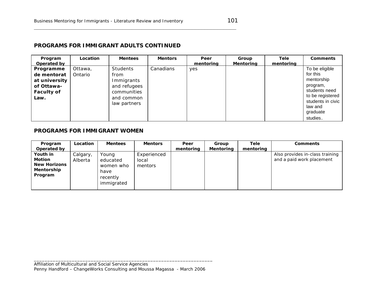#### **PROGRAMS FOR IMMIGRANT ADULTS CONTINUED**

| Program                                 | Location | <b>Mentees</b>                                            | <b>Mentors</b> | Peer      | Group            | <b>Tele</b> | <b>Comments</b>                                                               |
|-----------------------------------------|----------|-----------------------------------------------------------|----------------|-----------|------------------|-------------|-------------------------------------------------------------------------------|
| Operated by                             |          |                                                           |                | mentoring | <b>Mentoring</b> | mentoring   |                                                                               |
| Programme                               | Ottawa,  | <b>Students</b>                                           | Canadians      | yes       |                  |             | To be eligible                                                                |
| de mentorat<br>at university            | Ontario  | from<br>Immigrants                                        |                |           |                  |             | for this<br>mentorship                                                        |
| of Ottawa-<br><b>Faculty of</b><br>Law. |          | and refugees<br>communities<br>and common<br>law partners |                |           |                  |             | program,<br>students need<br>to be registered<br>students in civic<br>law and |
|                                         |          |                                                           |                |           |                  |             | graduate<br>studies.                                                          |

#### **PROGRAMS FOR IMMIGRANT WOMEN**

| Program                                                                          | Location            | <b>Mentees</b>                                                   | <b>Mentors</b>                  | Peer      | Group     | Tele      | <b>Comments</b>                                              |
|----------------------------------------------------------------------------------|---------------------|------------------------------------------------------------------|---------------------------------|-----------|-----------|-----------|--------------------------------------------------------------|
| Operated by                                                                      |                     |                                                                  |                                 | mentoring | Mentoring | mentoring |                                                              |
| Youth in<br><b>Motion</b><br><b>New Horizons</b><br><b>Mentorship</b><br>Program | Calgary,<br>Alberta | Young<br>educated<br>women who<br>have<br>recently<br>immigrated | Experienced<br>local<br>mentors |           |           |           | Also provides in-class training<br>and a paid work placement |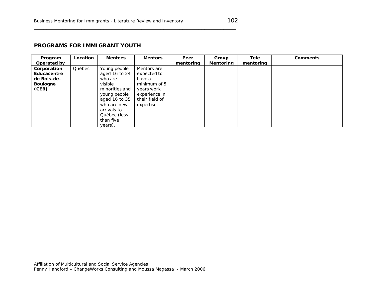#### **PROGRAMS FOR IMMIGRANT YOUTH**

| Program<br>Operated by                                                | Location | <b>Mentees</b>                                                                                                                                                               | <b>Mentors</b>                                                                                                     | Peer<br>mentorina | Group<br>Mentorina | <b>Tele</b><br>mentoring | <b>Comments</b> |
|-----------------------------------------------------------------------|----------|------------------------------------------------------------------------------------------------------------------------------------------------------------------------------|--------------------------------------------------------------------------------------------------------------------|-------------------|--------------------|--------------------------|-----------------|
| Corporation<br>Educacentre<br>de Bois-de-<br><b>Boulogne</b><br>(CÉB) | Québec   | Young people<br>aged 16 to 24<br>who are<br>visible<br>minorities and<br>young people<br>aged 16 to 35<br>who are new<br>arrivals to<br>Québec (less<br>than five<br>years). | Mentors are<br>expected to<br>have a<br>minimum of 5<br>years work<br>experience in<br>their field of<br>expertise |                   |                    |                          |                 |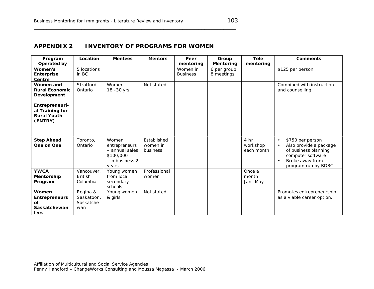| o esta                             |  |
|------------------------------------|--|
| ×<br>۰.<br>I<br>۰.<br>.,<br>v<br>× |  |

## **APPENDIX 2 INVENTORY OF PROGRAMS FOR WOMEN**

**\_\_\_\_\_\_\_\_\_\_\_\_\_\_\_\_\_\_\_\_\_\_\_\_\_\_\_\_\_\_\_\_\_\_\_\_\_\_\_\_\_\_\_\_\_\_\_\_\_\_\_\_\_\_\_\_\_\_\_\_\_\_\_\_**

| Program<br>Operated by                                                                                                         | Location                                   | <b>Mentees</b>                                                                    | <b>Mentors</b>                      | Peer<br>mentoring           | Group<br>Mentoring        | <b>Tele</b><br>mentoring       | <b>Comments</b>                                                                                                                                                          |
|--------------------------------------------------------------------------------------------------------------------------------|--------------------------------------------|-----------------------------------------------------------------------------------|-------------------------------------|-----------------------------|---------------------------|--------------------------------|--------------------------------------------------------------------------------------------------------------------------------------------------------------------------|
| Women's<br><b>Enterprise</b><br>Centre                                                                                         | 5 locations<br>in BC                       |                                                                                   |                                     | Women in<br><b>Business</b> | 6 per group<br>8 meetings |                                | \$125 per person                                                                                                                                                         |
| Women and<br><b>Rural Economic</b><br><b>Development</b><br>Entrepreneuri-<br>al Training for<br><b>Rural Youth</b><br>(ENTRY) | Stratford,<br>Ontario                      | Women<br>18 - 30 yrs                                                              | Not stated                          |                             |                           |                                | Combined with instruction<br>and counselling                                                                                                                             |
| <b>Step Ahead</b><br>One on One                                                                                                | Toronto,<br>Ontario                        | Women<br>entrepreneurs<br>- annual sales<br>\$100,000<br>- in business 2<br>years | Established<br>women in<br>business |                             |                           | 4 hr<br>workshop<br>each month | \$750 per person<br>$\bullet$<br>Also provide a package<br>$\bullet$<br>of business planning<br>computer software<br>Broke away from<br>$\bullet$<br>program run by BDBC |
| <b>YWCA</b><br>Mentorship<br>Program                                                                                           | Vancouver.<br><b>British</b><br>Columbia   | Young women<br>from local<br>secondary<br>schools                                 | Professional<br>women               |                             |                           | Once a<br>month<br>Jan-May     |                                                                                                                                                                          |
| <b>Women</b><br><b>Entrepreneurs</b><br>Οf<br>Saskatchewan<br>Inc.                                                             | Regina &<br>Saskatoon,<br>Saskatche<br>wan | Young women<br>& girls                                                            | Not stated                          |                             |                           |                                | Promotes entrepreneurship<br>as a viable career option.                                                                                                                  |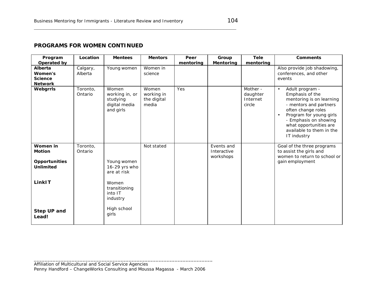#### **PROGRAMS FOR WOMEN CONTINUED**

| Program                                                        | Location            | <b>Mentees</b>                                                        | <b>Mentors</b>                              | Peer      | Group                                  | <b>Tele</b>                                | <b>Comments</b>                                                                                                                                                                                                                                      |
|----------------------------------------------------------------|---------------------|-----------------------------------------------------------------------|---------------------------------------------|-----------|----------------------------------------|--------------------------------------------|------------------------------------------------------------------------------------------------------------------------------------------------------------------------------------------------------------------------------------------------------|
| Operated by                                                    |                     |                                                                       |                                             | mentoring | Mentoring                              | mentoring                                  |                                                                                                                                                                                                                                                      |
| Alberta<br>Women's<br><b>Science</b><br><b>Network</b>         | Calgary,<br>Alberta | Young women                                                           | Women in<br>science                         |           |                                        |                                            | Also provide job shadowing,<br>conferences, and other<br>events                                                                                                                                                                                      |
| Webgrrls                                                       | Toronto,<br>Ontario | Women<br>working in, or<br>studying<br>digital media<br>and girls     | Women<br>working in<br>the digital<br>media | Yes       |                                        | Mother -<br>daughter<br>Internet<br>circle | Adult program -<br>$\bullet$<br>Emphasis of the<br>mentoring is on learning<br>- mentors and partners<br>often change roles<br>Program for young girls<br>- Emphasis on showing<br>what opportunities are<br>available to them in the<br>IT industry |
| Women in<br><b>Motion</b><br>Opportunities<br><b>Unlimited</b> | Toronto,<br>Ontario | Young women<br>16-29 yrs who<br>are at risk                           | Not stated                                  |           | Events and<br>Interactive<br>workshops |                                            | Goal of the three programs<br>to assist the girls and<br>women to return to school or<br>gain employment                                                                                                                                             |
| <b>LinkIT</b><br>Step UP and<br>Lead!                          |                     | Women<br>transitioning<br>into IT<br>industry<br>High school<br>girls |                                             |           |                                        |                                            |                                                                                                                                                                                                                                                      |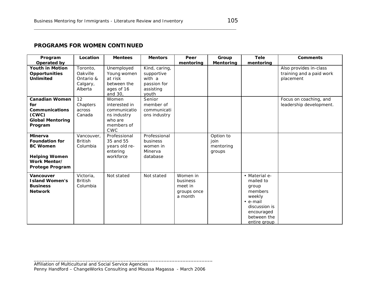#### **PROGRAMS FOR WOMEN CONTINUED**

| Program                                                                                                                      | Location                                                 | <b>Mentees</b>                                                                               | <b>Mentors</b>                                                             | Peer                                                      | Group                                    | <b>Tele</b>                                                                                                                                | <b>Comments</b>                                                 |
|------------------------------------------------------------------------------------------------------------------------------|----------------------------------------------------------|----------------------------------------------------------------------------------------------|----------------------------------------------------------------------------|-----------------------------------------------------------|------------------------------------------|--------------------------------------------------------------------------------------------------------------------------------------------|-----------------------------------------------------------------|
| Operated by                                                                                                                  |                                                          |                                                                                              |                                                                            | mentoring                                                 | <b>Mentoring</b>                         | mentoring                                                                                                                                  |                                                                 |
| <b>Youth in Motion</b><br><b>Opportunities</b><br><b>Unlimited</b>                                                           | Toronto,<br>Oakville<br>Ontario &<br>Calgary,<br>Alberta | Unemployed<br>Young women<br>at risk<br>between the<br>ages of 16<br>and 30,                 | Kind, caring,<br>supportive<br>with a<br>passion for<br>assisting<br>youth |                                                           |                                          |                                                                                                                                            | Also provides in-class<br>training and a paid work<br>placement |
| <b>Canadian Women</b><br>for<br><b>Communications</b><br>(CWC)<br><b>Global Mentoring</b><br>Program                         | 12<br>Chapters<br>across<br>Canada                       | Women<br>interested in<br>communicatio<br>ns industry<br>who are<br>members of<br><b>CWC</b> | Senior<br>member of<br>communicati<br>ons industry                         |                                                           |                                          |                                                                                                                                            | Focus on coaching, and<br>leadership development.               |
| <b>Minerva</b><br><b>Foundation for</b><br><b>BC Women</b><br><b>Helping Women</b><br>Work Mentor/<br><b>Protege Program</b> | Vancouver,<br><b>British</b><br>Columbia                 | Professional<br>35 and 55<br>years old re-<br>entering<br>workforce                          | Professional<br>business<br>women in<br>Minerva<br>database                |                                                           | Option to<br>join<br>mentoring<br>groups |                                                                                                                                            |                                                                 |
| Vancouver<br><b>Island Women's</b><br><b>Business</b><br><b>Network</b>                                                      | Victoria,<br><b>British</b><br>Columbia                  | Not stated                                                                                   | Not stated                                                                 | Women in<br>business<br>meet in<br>groups once<br>a month |                                          | • Material e-<br>mailed to<br>group<br>members<br>weekly<br>$\bullet$ e-mail<br>discussion is<br>encouraged<br>between the<br>entire group |                                                                 |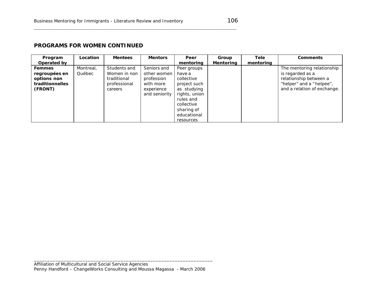#### **PROGRAMS FOR WOMEN CONTINUED**

| Program         | Location  | <b>Mentees</b> | <b>Mentors</b> | Peer          | Group     | <b>Tele</b> | <b>Comments</b>             |
|-----------------|-----------|----------------|----------------|---------------|-----------|-------------|-----------------------------|
| Operated by     |           |                |                | mentoring     | Mentorina | mentoring   |                             |
| <b>Femmes</b>   | Montreal, | Students and   | Seniors and    | Peer groups   |           |             | The mentoring relationship  |
| regroupées en   | Québec    | Women in non   | other women    | have a        |           |             | is regarded as a            |
| options non     |           | traditional    | profession     | collective    |           |             | relationship between a      |
| traditionnelles |           | professional   | with more      | project such  |           |             | "helper" and a "helpee",    |
| (FRONT)         |           | careers        | experience     | as studying   |           |             | and a relation of exchange. |
|                 |           |                | and seniority  | rights, union |           |             |                             |
|                 |           |                |                | rules and     |           |             |                             |
|                 |           |                |                | collective    |           |             |                             |
|                 |           |                |                | sharing of    |           |             |                             |
|                 |           |                |                | educational   |           |             |                             |
|                 |           |                |                | resources     |           |             |                             |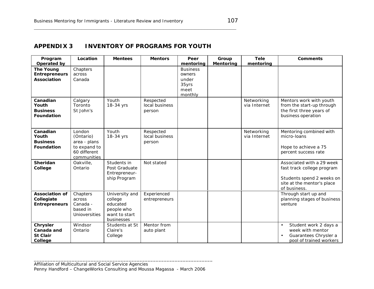# **APPENDIX 3 INVENTORY OF PROGRAMS FOR YOUTH**

**\_\_\_\_\_\_\_\_\_\_\_\_\_\_\_\_\_\_\_\_\_\_\_\_\_\_\_\_\_\_\_\_\_\_\_\_\_\_\_\_\_\_\_\_\_\_\_\_\_\_\_\_\_\_\_\_\_\_\_\_\_\_\_\_**

| Program               | Location      | <b>Mentees</b> | <b>Mentors</b> | Peer            | Group            | <b>Tele</b>  | <b>Comments</b>                    |
|-----------------------|---------------|----------------|----------------|-----------------|------------------|--------------|------------------------------------|
| Operated by           |               |                |                | mentoring       | <b>Mentoring</b> | mentoring    |                                    |
| <b>The Young</b>      | Chapters      |                |                | <b>Business</b> |                  |              |                                    |
| <b>Entrepreneurs</b>  | across        |                |                | owners          |                  |              |                                    |
| Association           | Canada        |                |                | under           |                  |              |                                    |
|                       |               |                |                | 35yrs           |                  |              |                                    |
|                       |               |                |                | meet            |                  |              |                                    |
|                       |               |                |                | monthly         |                  |              |                                    |
| Canadian              | Calgary       | Youth          | Respected      |                 |                  | Networking   | Mentors work with youth            |
| Youth                 | Toronto       | 18-34 yrs      | local business |                 |                  | via Internet | from the start-up through          |
| <b>Business</b>       | St John's     |                | person         |                 |                  |              | the first three years of           |
| <b>Foundation</b>     |               |                |                |                 |                  |              | business operation                 |
|                       |               |                |                |                 |                  |              |                                    |
| Canadian              | London        | Youth          | Respected      |                 |                  | Networking   | Mentoring combined with            |
| Youth                 | (Ontario)     | 18-34 yrs      | local business |                 |                  | via Internet | micro-loans                        |
| <b>Business</b>       | area - plans  |                | person         |                 |                  |              |                                    |
| <b>Foundation</b>     | to expand to  |                |                |                 |                  |              | Hope to achieve a 75               |
|                       | 60 different  |                |                |                 |                  |              | percent success rate               |
|                       | communities   |                |                |                 |                  |              |                                    |
| Sheridan              | Oakville,     | Students in    | Not stated     |                 |                  |              | Associated with a 29 week          |
| College               | Ontario       | Post Graduate  |                |                 |                  |              | fast track college program         |
|                       |               | Entrepreneur-  |                |                 |                  |              |                                    |
|                       |               | ship Program   |                |                 |                  |              | Students spend 2 weeks on          |
|                       |               |                |                |                 |                  |              | site at the mentor's place         |
|                       |               |                |                |                 |                  |              | of business.                       |
| <b>Association of</b> | Chapters      | University and | Experienced    |                 |                  |              | Through start up and               |
| Collegiate            | across        | college        | entrepreneurs  |                 |                  |              | planning stages of business        |
| <b>Entrepreneurs</b>  | Canada -      | educated       |                |                 |                  |              | venture                            |
|                       | based in      | people who     |                |                 |                  |              |                                    |
|                       | Unioversities | want to start  |                |                 |                  |              |                                    |
|                       |               | businesses     |                |                 |                  |              |                                    |
| Chrysler              | Windsor       | Students at St | Mentor from    |                 |                  |              | Student work 2 days a<br>$\bullet$ |
| Canada and            | Ontario       | Claire's       | auto plant     |                 |                  |              | week with mentor                   |
| <b>St Clair</b>       |               | College        |                |                 |                  |              | Guarantees Chrysler a              |
| College               |               |                |                |                 |                  |              | pool of trained workers            |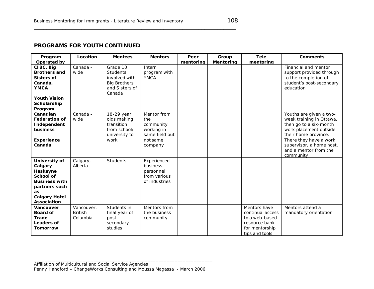## **PROGRAMS FOR YOUTH CONTINUED**

| Program                                                                                                                                               | Location                                 | <b>Mentees</b>                                                                                  | <b>Mentors</b>                                                                         | Peer      | Group            | <b>Tele</b>                                                                                             | <b>Comments</b>                                                                                                                                                                                                             |
|-------------------------------------------------------------------------------------------------------------------------------------------------------|------------------------------------------|-------------------------------------------------------------------------------------------------|----------------------------------------------------------------------------------------|-----------|------------------|---------------------------------------------------------------------------------------------------------|-----------------------------------------------------------------------------------------------------------------------------------------------------------------------------------------------------------------------------|
| Operated by<br>CIBC, Big<br><b>Brothers and</b><br><b>Sisters of</b><br>Canada,<br><b>YMCA</b><br><b>Youth Vision</b><br>Scholarship<br>Program       | Canada -<br>wide                         | Grade 10<br><b>Students</b><br>involved with<br><b>Big Brothers</b><br>and Sisters of<br>Canada | Intern<br>program with<br><b>YMCA</b>                                                  | mentoring | <b>Mentoring</b> | mentoring                                                                                               | Financial and mentor<br>support provided through<br>to the completion of<br>student's post-secondary<br>education                                                                                                           |
| Canadian<br><b>Federation of</b><br>Independent<br>business<br><b>Experience</b><br>Canada                                                            | Canada -<br>wide                         | 18-29 year<br>olds making<br>transition<br>from school/<br>university to<br>work                | Mentor from<br>the<br>community<br>working in<br>same field but<br>not same<br>company |           |                  |                                                                                                         | Youths are given a two-<br>week training in Ottawa,<br>then go to a six-month<br>work placement outside<br>their home province.<br>There they have a work<br>supervisor, a home host,<br>and a mentor from the<br>community |
| University of<br>Calgary<br>Haskayne<br><b>School of</b><br><b>Business with</b><br>partners such<br>as<br><b>Calgary Hotel</b><br><b>Association</b> | Calgary,<br>Alberta                      | <b>Students</b>                                                                                 | Experienced<br>business<br>personnel<br>from various<br>of industries                  |           |                  |                                                                                                         |                                                                                                                                                                                                                             |
| Vancouver<br><b>Board of</b><br><b>Trade</b><br><b>Leaders of</b><br><b>Tomorrow</b>                                                                  | Vancouver,<br><b>British</b><br>Columbia | Students in<br>final year of<br>post<br>secondary<br>studies                                    | Mentors from<br>the business<br>community                                              |           |                  | Mentors have<br>continual access<br>to a web-based<br>resource bank<br>for mentorship<br>tips and tools | Mentors attend a<br>mandatory orientation                                                                                                                                                                                   |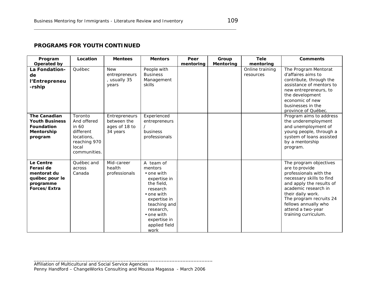## **PROGRAMS FOR YOUTH CONTINUED**

| Program<br>Operated by                                                                            | Location                                                                                            | <b>Mentees</b>                                            | <b>Mentors</b>                                                                                                                                                                                                 | Peer<br>mentoring | Group<br><b>Mentoring</b> | <b>Tele</b><br>mentoring     | <b>Comments</b>                                                                                                                                                                                                                                                         |
|---------------------------------------------------------------------------------------------------|-----------------------------------------------------------------------------------------------------|-----------------------------------------------------------|----------------------------------------------------------------------------------------------------------------------------------------------------------------------------------------------------------------|-------------------|---------------------------|------------------------------|-------------------------------------------------------------------------------------------------------------------------------------------------------------------------------------------------------------------------------------------------------------------------|
| La Fondation-<br>de<br>l'Entrepreneu<br>-rship                                                    | Québec                                                                                              | <b>New</b><br>entrepreneurs<br>usually 35<br>years        | People with<br><b>Business</b><br>Management<br>skills                                                                                                                                                         |                   |                           | Online training<br>resources | The Program Mentorat<br>d'affaires aims to<br>contribute, through the<br>assistance of mentors to<br>new entrepreneurs, to<br>the development<br>economic of new<br>businesses in the<br>province of Québec.                                                            |
| <b>The Canadian</b><br><b>Youth Business</b><br><b>Foundation</b><br><b>Mentorship</b><br>program | Toronto<br>And offered<br>in 60<br>different<br>locations,<br>reaching 970<br>local<br>communities. | Entrepreneurs<br>between the<br>ages of 18 to<br>34 years | Experienced<br>entrepreneurs<br>business<br>professionals                                                                                                                                                      |                   |                           |                              | Program aims to address<br>the underemployment<br>and unemployment of<br>young people, through a<br>system of loans assisted<br>by a mentorship<br>program.                                                                                                             |
| Le Centre<br>Ferasi de<br>mentorat du<br>québec pour le<br>programme<br>Forces/Extra              | Québec and<br>across<br>Canada                                                                      | Mid-career<br>health<br>professionals                     | A team of<br>mentors<br>$\bullet$ one with<br>expertise in<br>the field,<br>research<br>• one with<br>expertise in<br>teaching and<br>research.<br>$\bullet$ one with<br>expertise in<br>applied field<br>work |                   |                           |                              | The program objectives<br>are to provide<br>professionals with the<br>necessary skills to find<br>and apply the results of<br>academic research in<br>their daily work.<br>The program recruits 24<br>fellows annually who<br>attend a two-year<br>training curriculum. |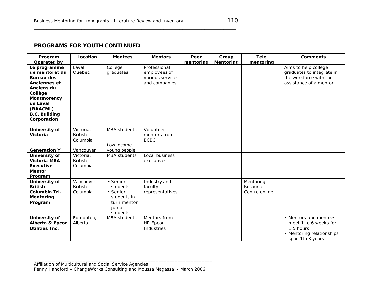## **PROGRAMS FOR YOUTH CONTINUED**

| Program                                                                                                                                                   | Location                                             | <b>Mentees</b>                                                                       | <b>Mentors</b>                                                    | Peer      | Group            | <b>Tele</b>                            | <b>Comments</b>                                                                                              |
|-----------------------------------------------------------------------------------------------------------------------------------------------------------|------------------------------------------------------|--------------------------------------------------------------------------------------|-------------------------------------------------------------------|-----------|------------------|----------------------------------------|--------------------------------------------------------------------------------------------------------------|
| Operated by<br>Le programme<br>de mentorat du<br><b>Bureau des</b><br><b>Anciennes et</b><br>Anciens du<br>Collège<br>Montmorency<br>de Laval<br>(BAACML) | Laval,<br>Québec                                     | College<br>graduates                                                                 | Professional<br>employees of<br>various services<br>and companies | mentorina | <b>Mentoring</b> | mentoring                              | Aims to help college<br>graduates to integrate in<br>the workforce with the<br>assistance of a mentor        |
| <b>B.C. Building</b><br>Corporation                                                                                                                       |                                                      |                                                                                      |                                                                   |           |                  |                                        |                                                                                                              |
| University of<br><b>Victoria</b><br><b>Generation Y</b>                                                                                                   | Victoria.<br><b>British</b><br>Columbia<br>Vancouver | <b>MBA</b> students<br>Low income<br>young people                                    | Volunteer<br>mentors from<br><b>BCBC</b>                          |           |                  |                                        |                                                                                                              |
| University of<br><b>Victoria MBA</b><br><b>Executive</b><br><b>Mentor</b><br>Program                                                                      | Victoria,<br><b>British</b><br>Columbia              | <b>MBA</b> students                                                                  | Local business<br>executives                                      |           |                  |                                        |                                                                                                              |
| University of<br><b>British</b><br>Columbia Tri-<br>Mentoring<br>Program                                                                                  | Vancouver,<br><b>British</b><br>Columbia             | • Senior<br>students<br>• Senior<br>students in<br>turn mentor<br>junior<br>students | Industry and<br>faculty<br>representatives                        |           |                  | Mentoring<br>Resource<br>Centre online |                                                                                                              |
| University of<br>Alberta & Epcor<br><b>Utilities Inc.</b>                                                                                                 | Edmonton,<br>Alberta                                 | <b>MBA</b> students                                                                  | Mentors from<br>HR Epcor<br>Industries                            |           |                  |                                        | • Mentors and mentees<br>meet 1 to 6 weeks for<br>1.5 hours<br>• Mentoring relationships<br>span 1to 3 years |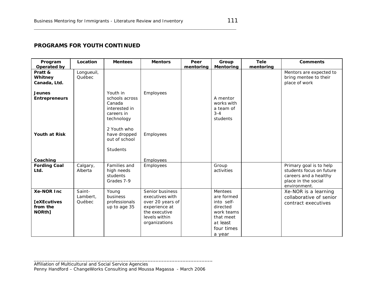## **PROGRAMS FOR YOUTH CONTINUED**

| Program<br>Operated by                                        | Location                     | <b>Mentees</b>                                                                                                                                       | <b>Mentors</b>                                                                                                             | Peer<br>mentoring | Group<br>Mentoring                                                                                             | <b>Tele</b><br>mentoring | <b>Comments</b>                                                                                                     |
|---------------------------------------------------------------|------------------------------|------------------------------------------------------------------------------------------------------------------------------------------------------|----------------------------------------------------------------------------------------------------------------------------|-------------------|----------------------------------------------------------------------------------------------------------------|--------------------------|---------------------------------------------------------------------------------------------------------------------|
| Pratt &<br>Whitney<br>Canada, Ltd.                            | Longueuil,<br>Québec         |                                                                                                                                                      |                                                                                                                            |                   |                                                                                                                |                          | Mentors are expected to<br>bring mentee to their<br>place of work                                                   |
| <b>Jeunes</b><br><b>Entrepreneurs</b><br><b>Youth at Risk</b> |                              | Youth in<br>schools across<br>Canada<br>interested in<br>careers in<br>technology<br>2 Youth who<br>have dropped<br>out of school<br><b>Students</b> | Employees<br>Employees                                                                                                     |                   | A mentor<br>works with<br>a team of<br>$3 - 4$<br>students                                                     |                          |                                                                                                                     |
| Coaching                                                      |                              |                                                                                                                                                      | Employees                                                                                                                  |                   |                                                                                                                |                          |                                                                                                                     |
| <b>Fording Coal</b><br>Ltd.                                   | Calgary,<br>Alberta          | Families and<br>high needs<br>students<br>Grades 7-9                                                                                                 | Employees                                                                                                                  |                   | Group<br>activities                                                                                            |                          | Primary goal is to help<br>students focus on future<br>careers and a healthy<br>place in the social<br>environment. |
| Xe-NOR Inc<br><b>[eXEcutives</b><br>from the<br>NORth]        | Saint-<br>Lambert.<br>Québec | Young<br>business<br>professionals<br>up to age 35                                                                                                   | Senior business<br>executives with<br>over 20 years of<br>experience at<br>the executive<br>levels within<br>organizations |                   | Mentees<br>are formed<br>into self-<br>directed<br>work teams<br>that meet<br>at least<br>four times<br>a year |                          | Xe-NOR is a learning<br>collaborative of senior<br>contract executives                                              |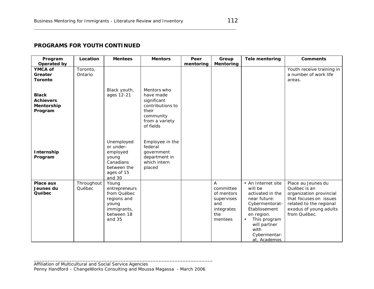## **PROGRAMS FOR YOUTH CONTINUED**

| Program                                                   | Location             | <b>Mentees</b>                                                                                       | <b>Mentors</b>                                                                                                   | Peer      | Group                                                                             | <b>Tele mentoring</b>                                                                                                                                                                      | <b>Comments</b>                                                                                                                                              |
|-----------------------------------------------------------|----------------------|------------------------------------------------------------------------------------------------------|------------------------------------------------------------------------------------------------------------------|-----------|-----------------------------------------------------------------------------------|--------------------------------------------------------------------------------------------------------------------------------------------------------------------------------------------|--------------------------------------------------------------------------------------------------------------------------------------------------------------|
| Operated by                                               |                      |                                                                                                      |                                                                                                                  | mentoring | Mentoring                                                                         |                                                                                                                                                                                            |                                                                                                                                                              |
| <b>YMCA of</b><br>Greater<br><b>Toronto</b>               | Toronto,<br>Ontario  |                                                                                                      |                                                                                                                  |           |                                                                                   |                                                                                                                                                                                            | Youth receive training in<br>a number of work life<br>areas.                                                                                                 |
| <b>Black</b><br><b>Achievers</b><br>Mentorship<br>Program |                      | Black youth,<br>ages 12-21                                                                           | Mentors who<br>have made<br>significant<br>contributions to<br>their<br>community<br>from a variety<br>of fields |           |                                                                                   |                                                                                                                                                                                            |                                                                                                                                                              |
| Internship<br>Program                                     |                      | Unemployed<br>or under-<br>employed<br>young<br>Canadians<br>between the<br>ages of 15<br>and 30     | Employee in the<br>federal<br>government<br>department in<br>which intern<br>placed                              |           |                                                                                   |                                                                                                                                                                                            |                                                                                                                                                              |
| Place aux<br>Jeunes du<br>Québec                          | Throughout<br>Québec | Young<br>entrepreneurs<br>from Québec<br>regions and<br>young<br>immigrants,<br>between 18<br>and 35 |                                                                                                                  |           | A<br>committee<br>of mentors<br>supervises<br>and<br>integrates<br>the<br>mentees | • An Internet site<br>will be<br>activated in the<br>near future:<br>Cybermentorat-<br>Établissement<br>en region.<br>This program<br>will partner<br>with<br>Cybermentar-<br>at, Academos | Place au Jeunes du<br>Québec is an<br>organization provincial<br>that focuses on issues<br>related to the regional<br>exodus of young adults<br>from Québec. |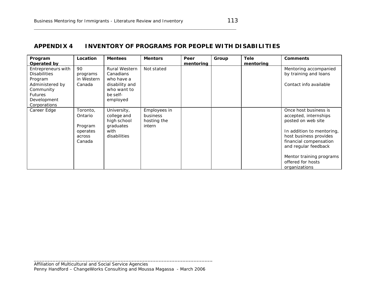## **APPENDIX 4 INVENTORY OF PROGRAMS FOR PEOPLE WITH DISABILITIES**

**\_\_\_\_\_\_\_\_\_\_\_\_\_\_\_\_\_\_\_\_\_\_\_\_\_\_\_\_\_\_\_\_\_\_\_\_\_\_\_\_\_\_\_\_\_\_\_\_\_\_\_\_\_\_\_\_\_\_\_\_\_\_\_\_**

| Program<br>Operated by                                                                                                                | Location                                                       | <b>Mentees</b>                                                                                           | <b>Mentors</b>                                    | Peer<br>mentoring | Group | <b>Tele</b><br>mentoring | <b>Comments</b>                                                                                                                                                                                                                                 |
|---------------------------------------------------------------------------------------------------------------------------------------|----------------------------------------------------------------|----------------------------------------------------------------------------------------------------------|---------------------------------------------------|-------------------|-------|--------------------------|-------------------------------------------------------------------------------------------------------------------------------------------------------------------------------------------------------------------------------------------------|
| Entrepreneurs with<br><b>Disabilities</b><br>Program<br>Administered by<br>Community<br><b>Futures</b><br>Development<br>Corporations | 90<br>programs<br>in Western<br>Canada                         | <b>Rural Western</b><br>Canadians<br>who have a<br>disability and<br>who want to<br>be self-<br>employed | Not stated                                        |                   |       |                          | Mentoring accompanied<br>by training and loans<br>Contact info available                                                                                                                                                                        |
| Career Edge                                                                                                                           | Toronto,<br>Ontario<br>Program<br>operates<br>across<br>Canada | University,<br>college and<br>high school<br>graduates<br>with<br>disabilities                           | Employees in<br>business<br>hosting the<br>intern |                   |       |                          | Once host business is<br>accepted, internships<br>posted on web site<br>In addition to mentoring,<br>host business provides<br>financial compensation<br>and regular feedback<br>Mentor training programs<br>offered for hosts<br>organizations |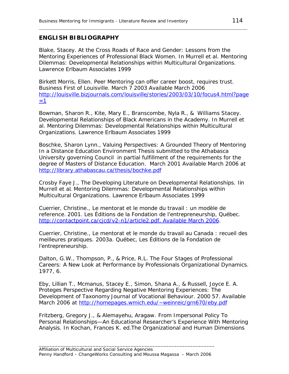# **ENGLISH BIBLIOGRAPHY**

Blake, Stacey. At the Cross Roads of Race and Gender: Lessons from the Mentoring Experiences of Professional Black Women. In *Murrell et al. Mentoring Dilemmas: Developmental Relationships within Multicultural Organizations.* Lawrence Erlbaum Associates 1999

**\_\_\_\_\_\_\_\_\_\_\_\_\_\_\_\_\_\_\_\_\_\_\_\_\_\_\_\_\_\_\_\_\_\_\_\_\_\_\_\_\_\_\_\_\_\_\_\_\_\_\_\_\_\_\_\_\_\_\_\_\_\_\_\_\_\_**

Birkett Morris, Ellen. Peer Mentoring can offer career boost, requires trust*. Business First of Louisville*. March 7 2003 Available March 2006 http://louisville.bizjournals.com/louisville/stories/2003/03/10/focus4.html?page  $=1$ 

Bowman, Sharon R., Kite, Mary E., Branscombe, Nyla R., & Williams Stacey. Developmental Relationships of Black Americans in the Academy. In *Murrell et al. Mentoring Dilemmas: Developmental Relationships within Multicultural Organizations.* Lawrence Erlbaum Associates 1999

Boschke, Sharon Lynn., Valuing Perspectives: A Grounded Theory of Mentoring In a Distance Education *Environment Thesis submitted to the Athabasca University governing Council in partial fulfillment of the requirements for the degree of Masters of Distance Education.* March 2001 Available March 2006 at http://library.athabascau.ca/thesis/bochke.pdf

Crosby Faye J., The Developing Literature on Developmental Relationships. Iin Murrell et al*. Mentoring Dilemmas: Developmental Relationships within Multicultural Organizations.* Lawrence Erlbaum Associates 1999

Cuerrier, Christine., *Le mentorat et le monde du travail : un modèle de reference.* 2001. Les Éditions de la Fondation de l'entrepreneurship, Québec. http://contactpoint.ca/cjcd/v2-n1/article2.pdf. Available March 2006.

Cuerrier, Christine., Le mentorat et le monde du travail au Canada : recueil des meilleures pratiques. 2003a. Québec, Les Éditions de la Fondation de l'entrepreneurship.

Dalton, G.W., Thompson, P., & Price, R.L. The Four Stages of Professional Careers: A New Look at Performance by Professionals *Organizational Dynamics.* 1977, 6.

Eby, Lillian T., Mcmanus, Stacey E., Simon, Shana A., & Russell, Joyce E. A. Proteges Perspective Regarding Negative Mentoring Experiences: The Development of Taxonomy *Journal of Vocational Behaviour.* 2000 57. Available March 2006 at http://homepages.wmich.edu/~weinreic/grn670/eby.pdf

Fritzberg, Gregory J., & Alemayehu, Aragaw. From Impersonal Policy To Personal Relationships—An Educational Researcher's Experience With Mentoring Analysis. In Kochan, Frances K. ed.*The Organizational and Human Dimensions*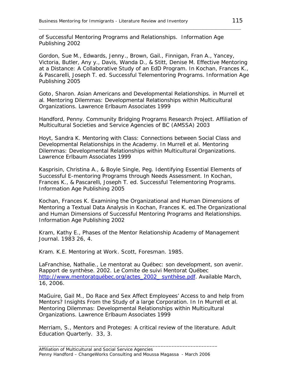*of Successful Mentoring Programs and Relationships.* Information Age Publishing 2002

**\_\_\_\_\_\_\_\_\_\_\_\_\_\_\_\_\_\_\_\_\_\_\_\_\_\_\_\_\_\_\_\_\_\_\_\_\_\_\_\_\_\_\_\_\_\_\_\_\_\_\_\_\_\_\_\_\_\_\_\_\_\_\_\_**

Gordon, Sue M., Edwards, Jenny., Brown, Gail., Finnigan, Fran A., Yancey, Victoria, Butler, Any y., Davis, Wanda D., & Stitt, Denise M. Effective Mentoring at a Distance: A Collaborative Study of an EdD Program. In Kochan, Frances K., & Pascarelli, Joseph T. ed. *Successful Telementoring Programs.* Information Age Publishing 2005

Goto, Sharon. Asian Americans and Developmental Relationships. in Murrell et al. *Mentoring Dilemmas: Developmental Relationships within Multicultural Organizations.* Lawrence Erlbaum Associates 1999

Handford, Penny. Community Bridging Programs Research Project. Affiliation of Multicultural Societies and Service Agencies of BC (AMSSA) 2003

Hoyt, Sandra K. Mentoring with Class: Connections between Social Class and Developmental Relationships in the Academy. In Murrell et al. *Mentoring Dilemmas: Developmental Relationships within Multicultural Organizations.* Lawrence Erlbaum Associates 1999

Kasprisin, Christina A., & Boyle Single, Peg. Identifying Essential Elements of Successful E-mentoring Programs through Needs Assessment. In Kochan, Frances K., & Pascarelli, Joseph T. ed. *Successful Telementoring Programs.* Information Age Publishing 2005

Kochan, Frances K. Examining the Organizational and Human Dimensions of Mentoring a Textual Data Analysis in Kochan, Frances K. ed.*The Organizational and Human Dimensions of Successful Mentoring Programs and Relationships.* Information Age Publishing 2002

Kram, Kathy E., Phases of the Mentor Relationship *Academy of Management Journal*. 1983 26, 4.

Kram. K.E. *Mentoring at Work*. Scott, Foresman. 1985.

LaFranchise, Nathalie., Le mentorat au Québec: son development, son avenir. Rapport de synthèse. 2002. Le Comite de suivi Mentorat Québec http://www.mentoratquébec.org/actes\_2002\_synthèse.pdf. Available March, 16, 2006.

MaGuire, Gail M., Do Race and Sex Affect Employees' Access to and help from Mentors? Insights From the Study of a large Corporation. In In Murrell et al. *Mentoring Dilemmas: Developmental Relationships within Multicultural Organizations.* Lawrence Erlbaum Associates 1999

Merriam, S., Mentors and Proteges: A critical review of the literature. *Adult Education Quarterly.* 33, 3.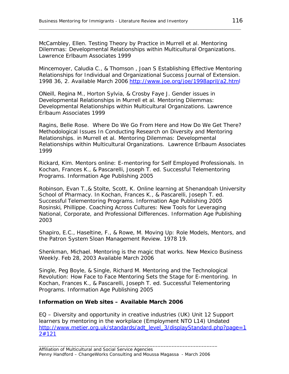McCambley, Ellen. Testing Theory by Practice in Murrell et al. *Mentoring Dilemmas: Developmental Relationships within Multicultural Organizations.* Lawrence Erlbaum Associates 1999

**\_\_\_\_\_\_\_\_\_\_\_\_\_\_\_\_\_\_\_\_\_\_\_\_\_\_\_\_\_\_\_\_\_\_\_\_\_\_\_\_\_\_\_\_\_\_\_\_\_\_\_\_\_\_\_\_\_\_\_\_\_\_\_\_**

Mincemoyer, Caludia C., & Thomson , Joan S Establishing Effective Mentoring Relationships for Individual and Organizational Success *Journal of Extension.* 1998 36, 2. Available March 2006 http://www.joe.org/joe/1998april/a2.html

ONeill, Regina M., Horton Sylvia, & Crosby Faye J. Gender issues in Developmental Relationships in Murrell et al. *Mentoring Dilemmas: Developmental Relationships within Multicultural Organizations.* Lawrence Erlbaum Associates 1999

Ragins, Belle Rose. Where Do We Go From Here and How Do We Get There? Methodological Issues In Conducting Research on Diversity and Mentoring Relationships. in Murrell et al. *Mentoring Dilemmas: Developmental Relationships within Multicultural Organizations.* Lawrence Erlbaum Associates 1999

Rickard, Kim. Mentors online: E-mentoring for Self Employed Professionals. In Kochan, Frances K., & Pascarelli, Joseph T. ed. *Successful Telementoring Programs.* Information Age Publishing 2005

Robinson, Evan T.,& Stolte, Scott, K. Online learning at Shenandoah University School of Pharmacy. In Kochan, Frances K., & Pascarelli, Joseph T. ed. *Successful Telementoring Programs.* Information Age Publishing 2005 Rosinski, Phillippe. *Coaching Across Cultures: New Tools for Leveraging National, Corporate, and Professional Differences*. Information Age Publishing 2003

Shapiro, E.C., Haseltine, F., & Rowe, M. Moving Up: Role Models, Mentors, and the Patron System *Sloan Management Review*. 1978 19.

Shenkman, Michael. Mentoring is the magic that works. *New Mexico Business Weekly.* Feb 28, 2003 Available March 2006

Single, Peg Boyle, & Single, Richard M. Mentoring and the Technological Revolution: How Face to Face Mentoring Sets the Stage for E-mentoring. In Kochan, Frances K., & Pascarelli, Joseph T. ed. *Successful Telementoring Programs.* Information Age Publishing 2005

## **Information on Web sites – Available March 2006**

EQ – Diversity and opportunity in creative industries (UK) Unit 12 Support learners by mentoring in the workplace (Employment NTO L14) Undated http://www.metier.org.uk/standards/adt\_level\_3/displayStandard.php?page=1 2#121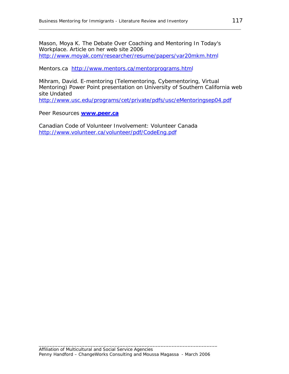Mason, Moya K. The Debate Over Coaching and Mentoring In Today's Workplace. Article on her web site 2006 http://www.moyak.com/researcher/resume/papers/var20mkm.html

Mentors.ca http://www.mentors.ca/mentorprograms.html

Mihram, David. E-mentoring (Telementoring, Cybementoring, Virtual Mentoring) Power Point presentation on University of Southern California web site Undated http://www.usc.edu/programs/cet/private/pdfs/usc/eMentoringsep04.pdf

**\_\_\_\_\_\_\_\_\_\_\_\_\_\_\_\_\_\_\_\_\_\_\_\_\_\_\_\_\_\_\_\_\_\_\_\_\_\_\_\_\_\_\_\_\_\_\_\_\_\_\_\_\_\_\_\_\_\_\_\_\_\_\_\_**

Peer Resources **www.peer.ca**

Canadian Code of Volunteer Involvement: Volunteer Canada http://www.volunteer.ca/volunteer/pdf/CodeEng.pdf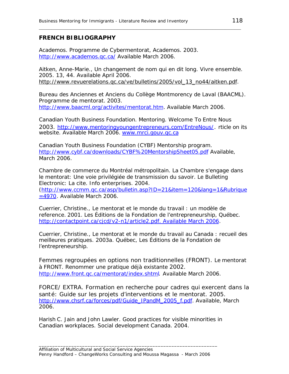# **FRENCH BIBLIOGRAPHY**

Academos. Programme de Cybermentorat, Academos. 2003. http://www.academos.qc.ca/ Available March 2006.

Aitken, Anne-Marie., Un changement de nom qui en dit long. *Vivre ensemble.* 2005. 13, 44. Available April 2006. http://www.revuerelations.gc.ca/ve/bulletins/2005/vol\_13\_no44/aitken.pdf.

**\_\_\_\_\_\_\_\_\_\_\_\_\_\_\_\_\_\_\_\_\_\_\_\_\_\_\_\_\_\_\_\_\_\_\_\_\_\_\_\_\_\_\_\_\_\_\_\_\_\_\_\_\_\_\_\_\_\_\_\_\_\_\_\_**

Bureau des Anciennes et Anciens du Collège Montmorency de Laval (BAACML). Programme de mentorat. 2003. http://www.baacml.org/activites/mentorat.htm. Available March 2006.

Canadian Youth Business Foundation. Mentoring. Welcome To Entre Nous 2003. http://www.mentoringyoungentrepreneurs.com/EntreNous/. rticle on its website. Available March 2006. www.mrci.gouv.qc.ca

Canadian Youth Business Foundation (CYBF) *Mentorship program.* http://www.cybf.ca/downloads/CYBF%20MentorshipSheet05.pdf Available, March 2006.

Chambre de commerce du Montréal métropolitain. *La Chambre s'engage dans le mentorat: Une voie privilégiée de transmission du savoir. Le Bulleting Electronic: La cite. Info enterprises. 2004.* (http://www.ccmm.qc.ca/asp/bulletin.asp?ID=21&item=120&lang=1&Rubrique =4970. Available March 2006.

Cuerrier, Christine., *Le mentorat et le monde du travail : un modèle de reference.* 2001. Les Éditions de la Fondation de l'entrepreneurship, Québec. http://contactpoint.ca/cicd/v2-n1/article2.pdf. Available March 2006.

Cuerrier, Christine., Le mentorat et le monde du travail au Canada : recueil des meilleures pratiques. 2003a. Québec, Les Éditions de la Fondation de l'entrepreneurship.

Femmes regroupées en options non traditionnelles (FRONT). Le mentorat à FRONT. Renommer une pratique déjà existante 2002. http://www.front.qc.ca/mentorat/index.shtml. Available March 2006.

FORCE/ EXTRA. Formation en recherche pour cadres qui exercent dans la santé: Guide sur les projets d'interventions et le mentorat. 2005. http://www.chsrf.ca/forces/pdf/Guide\_IPandM\_2005\_f.pdf. Available, March 2006.

Harish C. Jain and John Lawler. Good practices for visible minorities in Canadian workplaces. Social development Canada. 2004.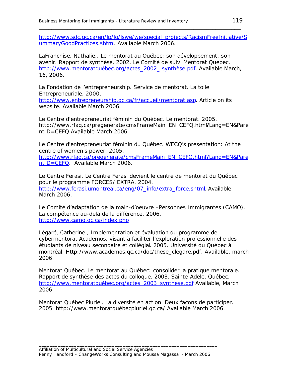http://www.sdc.gc.ca/en/lp/lo/lswe/we/special\_projects/RacismFreeInitiative/S ummaryGoodPractices.shtml. Available March 2006.

**\_\_\_\_\_\_\_\_\_\_\_\_\_\_\_\_\_\_\_\_\_\_\_\_\_\_\_\_\_\_\_\_\_\_\_\_\_\_\_\_\_\_\_\_\_\_\_\_\_\_\_\_\_\_\_\_\_\_\_\_\_\_\_\_**

LaFranchise, Nathalie., Le mentorat au Québec: son développement, son avenir. Rapport de synthèse. 2002. Le Comité de suivi Mentorat Québec. http://www.mentoratquébec.org/actes\_2002\_ synthèse.pdf. Available March, 16, 2006.

La Fondation de l'entrepreneurship. Service de mentorat. La toile Entrepreneuriale. 2000.

http://www.entrepreneurship.qc.ca/fr/accueil/mentorat.asp. Article on its website. Available March 2006.

Le Centre d'entrepreneuriat féminin du Québec. Le mentorat. 2005. http://www.rfaq.ca/pregenerate/cmsFrameMain\_EN\_CEFQ.html?Lang=EN&Pare ntID=CEFQ Available March 2006.

Le Centre d'entrepreneuriat féminin du Québec. WECQ's presentation: At the centre of women's power. 2005. http://www.rfaq.ca/pregenerate/cmsFrameMain\_EN\_CEFQ.html?Lang=EN&Pare ntID=CEFQ. Available March 2006.

Le Centre Ferasi. Le Centre Ferasi devient le centre de mentorat du Québec pour le programme FORCES/ EXTRA. 2004. http://www.ferasi.umontreal.ca/eng/07\_info/extra\_force.shtml. Available March 2006.

Le Comité d'adaptation de la main-d'oeuvre –Personnes Immigrantes (CAMO). La compétence au-delà de la différence. 2006. http://www.camo.qc.ca/index.php

Légaré, Catherine., Implémentation et évaluation du programme de cybermentorat Academos, visant à faciliter l'exploration professionnelle des étudiants de niveau secondaire et collégial. 2005. Université du Québec à montréal. Http://www.academos.qc.ca/doc/these\_clegare.pdf. Available, march 2006

Mentorat Québec. Le mentorat au Québec: consolider la pratique mentorale. Rapport de synthèse des actes du colloque. 2003. Sainte-Adele, Québec. http://www.mentoratquébec.org/actes\_2003\_synthese.pdf Available, March 2006

Mentorat Québec Pluriel. La diversité en action. Deux façons de participer. 2005. http://www.mentoratquébecpluriel.qc.ca/ Available March 2006.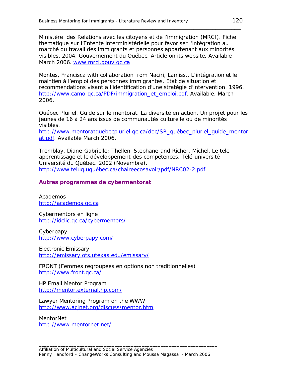*Ministère des Relations avec les citoyens et de l'immigration (MRCI)*. *Fiche thématique sur l'Entente interministérielle pour favoriser l'intégration au marché du travail des immigrants et personnes appartenant aux minorités visibles.* 2004. Gouvernement du Québec. Article on its website. Available March 2006. www.mrci.gouv.gc.ca

**\_\_\_\_\_\_\_\_\_\_\_\_\_\_\_\_\_\_\_\_\_\_\_\_\_\_\_\_\_\_\_\_\_\_\_\_\_\_\_\_\_\_\_\_\_\_\_\_\_\_\_\_\_\_\_\_\_\_\_\_\_\_\_\_**

Montes, Francisca with collaboration from Naciri, Lamiss., L'intégration et le maintien à l'emploi des personnes immigrantes. Etat de situation et recommendations visant a l'identification d'une stratégie d'intervention. 1996. http://www.camo-qc.ca/PDF/immigration\_et\_emploi.pdf. Available. March 2006.

Québec Pluriel. Guide sur le mentorat. La diversité en action. Un projet pour les jeunes de 16 à 24 ans issus de communautés culturelle ou de minorités visibles.

http://www.mentoratquébecpluriel.qc.ca/doc/SR\_québec\_pluriel\_guide\_mentor at.pdf. Available March 2006.

Tremblay, Diane-Gabrielle; Thellen, Stephane and Richer, Michel. Le teleapprentissage et le développement des compétences. Télé-université Université du Québec. 2002 (Novembre). http://www.teluq.uquébec.ca/chaireecosavoir/pdf/NRC02-2.pdf

## **Autres programmes de cybermentorat**

Academos http://academos.qc.ca

Cybermentors en ligne http://idclic.qc.ca/cybermentors/

Cyberpapy http://www.cyberpapy.com/

Electronic Emissary http://emissary.ots.utexas.edu/emissary/

FRONT (Femmes regroupées en options non traditionnelles) http://www.front.qc.ca/

HP Email Mentor Program http://mentor.external.hp.com/

Lawyer Mentoring Program on the WWW http://www.acjnet.org/discuss/mentor.html

MentorNet http://www.mentornet.net/